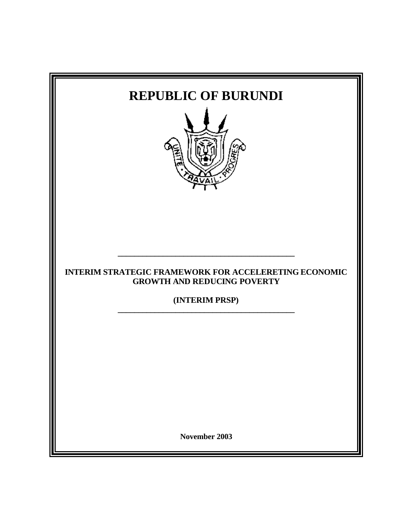| <b>REPUBLIC OF BURUNDI</b>                                                                                           |
|----------------------------------------------------------------------------------------------------------------------|
| <b>INTERIM STRATEGIC FRAMEWORK FOR ACCELERETING ECONOMIC</b><br><b>GROWTH AND REDUCING POVERTY</b><br>(INTERIM PRSP) |
| November 2003                                                                                                        |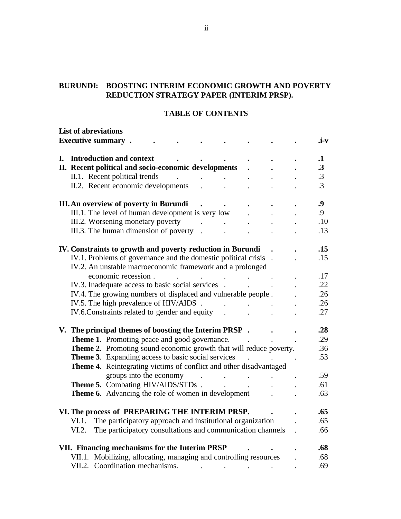## **BURUNDI: BOOSTING INTERIM ECONOMIC GROWTH AND POVERTY REDUCTION STRATEGY PAPER (INTERIM PRSP).**

#### **TABLE OF CONTENTS**

|    | <b>List of abreviations</b> |                                                                    |        |                                                                                                                                                                                                                                                                                                                                                                                                                                                             |                                                                                              |  |                      |           |
|----|-----------------------------|--------------------------------------------------------------------|--------|-------------------------------------------------------------------------------------------------------------------------------------------------------------------------------------------------------------------------------------------------------------------------------------------------------------------------------------------------------------------------------------------------------------------------------------------------------------|----------------------------------------------------------------------------------------------|--|----------------------|-----------|
|    | <b>Executive summary.</b>   |                                                                    |        |                                                                                                                                                                                                                                                                                                                                                                                                                                                             |                                                                                              |  |                      | .i-v      |
|    |                             |                                                                    |        |                                                                                                                                                                                                                                                                                                                                                                                                                                                             |                                                                                              |  |                      |           |
| L. |                             | <b>Introduction and context</b>                                    |        |                                                                                                                                                                                                                                                                                                                                                                                                                                                             |                                                                                              |  |                      | $\cdot$   |
|    |                             | II. Recent political and socio-economic developments               |        |                                                                                                                                                                                                                                                                                                                                                                                                                                                             |                                                                                              |  |                      | $\cdot$ 3 |
|    |                             | II.1. Recent political trends                                      |        |                                                                                                                                                                                                                                                                                                                                                                                                                                                             |                                                                                              |  |                      | $\cdot$ 3 |
|    |                             | II.2. Recent economic developments                                 |        |                                                                                                                                                                                                                                                                                                                                                                                                                                                             |                                                                                              |  |                      | $\cdot$ 3 |
|    |                             | III. An overview of poverty in Burundi                             |        |                                                                                                                                                                                                                                                                                                                                                                                                                                                             |                                                                                              |  |                      | .9        |
|    |                             | III.1. The level of human development is very low                  |        |                                                                                                                                                                                                                                                                                                                                                                                                                                                             |                                                                                              |  | $\ddot{\phantom{a}}$ | .9        |
|    |                             | III.2. Worsening monetary poverty                                  |        | $\mathcal{L}(\mathcal{L}(\mathcal{L}(\mathcal{L}(\mathcal{L}(\mathcal{L}(\mathcal{L}(\mathcal{L}(\mathcal{L}(\mathcal{L}(\mathcal{L}(\mathcal{L}(\mathcal{L}(\mathcal{L}(\mathcal{L}(\mathcal{L}(\mathcal{L}(\mathcal{L}(\mathcal{L}(\mathcal{L}(\mathcal{L}(\mathcal{L}(\mathcal{L}(\mathcal{L}(\mathcal{L}(\mathcal{L}(\mathcal{L}(\mathcal{L}(\mathcal{L}(\mathcal{L}(\mathcal{L}(\mathcal{L}(\mathcal{L}(\mathcal{L}(\mathcal{L}(\mathcal{L}(\mathcal{$ |                                                                                              |  |                      | .10       |
|    |                             | III.3. The human dimension of poverty.                             |        |                                                                                                                                                                                                                                                                                                                                                                                                                                                             |                                                                                              |  |                      | .13       |
|    |                             | IV. Constraints to growth and poverty reduction in Burundi         |        |                                                                                                                                                                                                                                                                                                                                                                                                                                                             |                                                                                              |  |                      | .15       |
|    |                             | IV.1. Problems of governance and the domestic political crisis .   |        |                                                                                                                                                                                                                                                                                                                                                                                                                                                             |                                                                                              |  |                      | .15       |
|    |                             | IV.2. An unstable macroeconomic framework and a prolonged          |        |                                                                                                                                                                                                                                                                                                                                                                                                                                                             |                                                                                              |  |                      |           |
|    |                             | economic recession.                                                |        |                                                                                                                                                                                                                                                                                                                                                                                                                                                             |                                                                                              |  |                      | .17       |
|    |                             | IV.3. Inadequate access to basic social services.                  |        |                                                                                                                                                                                                                                                                                                                                                                                                                                                             |                                                                                              |  |                      | .22       |
|    |                             | IV.4. The growing numbers of displaced and vulnerable people.      |        |                                                                                                                                                                                                                                                                                                                                                                                                                                                             |                                                                                              |  |                      | .26       |
|    |                             | IV.5. The high prevalence of HIV/AIDS.                             |        |                                                                                                                                                                                                                                                                                                                                                                                                                                                             |                                                                                              |  |                      | .26       |
|    |                             | IV.6. Constraints related to gender and equity                     |        |                                                                                                                                                                                                                                                                                                                                                                                                                                                             |                                                                                              |  |                      | .27       |
|    |                             |                                                                    |        |                                                                                                                                                                                                                                                                                                                                                                                                                                                             |                                                                                              |  |                      |           |
|    |                             | V. The principal themes of boosting the Interim PRSP.              |        |                                                                                                                                                                                                                                                                                                                                                                                                                                                             |                                                                                              |  |                      | .28       |
|    |                             | <b>Theme 1.</b> Promoting peace and good governance.               |        |                                                                                                                                                                                                                                                                                                                                                                                                                                                             |                                                                                              |  |                      | .29       |
|    |                             | Theme 2. Promoting sound economic growth that will reduce poverty. |        |                                                                                                                                                                                                                                                                                                                                                                                                                                                             |                                                                                              |  |                      | .36       |
|    |                             | <b>Theme 3.</b> Expanding access to basic social services          |        |                                                                                                                                                                                                                                                                                                                                                                                                                                                             |                                                                                              |  |                      | .53       |
|    |                             | Theme 4. Reintegrating victims of conflict and other disadvantaged |        |                                                                                                                                                                                                                                                                                                                                                                                                                                                             |                                                                                              |  |                      |           |
|    |                             | groups into the economy                                            | $\sim$ |                                                                                                                                                                                                                                                                                                                                                                                                                                                             |                                                                                              |  |                      | .59       |
|    |                             | Theme 5. Combating HIV/AIDS/STDs.                                  |        |                                                                                                                                                                                                                                                                                                                                                                                                                                                             |                                                                                              |  |                      | .61       |
|    |                             | <b>Theme 6.</b> Advancing the role of women in development         |        |                                                                                                                                                                                                                                                                                                                                                                                                                                                             | $\mathbf{r} = \left\{ \mathbf{r} \in \mathbb{R}^d \mid \mathbf{r} \in \mathbb{R}^d \right\}$ |  |                      | .63       |
|    |                             |                                                                    |        |                                                                                                                                                                                                                                                                                                                                                                                                                                                             |                                                                                              |  |                      |           |
|    |                             | VI. The process of PREPARING THE INTERIM PRSP.                     |        |                                                                                                                                                                                                                                                                                                                                                                                                                                                             |                                                                                              |  |                      | .65       |
|    |                             | VI.1. The participatory approach and institutional organization    |        |                                                                                                                                                                                                                                                                                                                                                                                                                                                             |                                                                                              |  |                      | .65       |
|    | VI.2.                       | The participatory consultations and communication channels         |        |                                                                                                                                                                                                                                                                                                                                                                                                                                                             |                                                                                              |  |                      | .66       |
|    |                             | VII. Financing mechanisms for the Interim PRSP                     |        |                                                                                                                                                                                                                                                                                                                                                                                                                                                             |                                                                                              |  |                      | .68       |
|    |                             | VII.1. Mobilizing, allocating, managing and controlling resources  |        |                                                                                                                                                                                                                                                                                                                                                                                                                                                             |                                                                                              |  |                      | .68       |
|    |                             | VII.2. Coordination mechanisms.                                    |        |                                                                                                                                                                                                                                                                                                                                                                                                                                                             |                                                                                              |  |                      | .69       |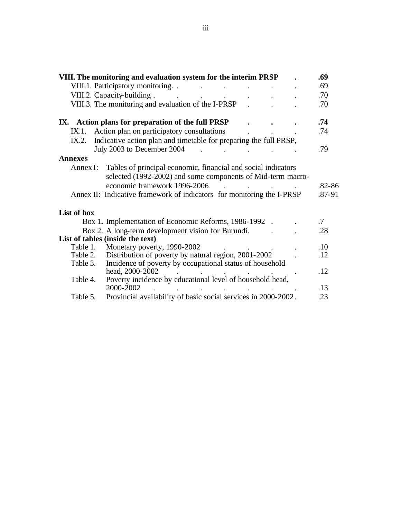|                  | VIII. The monitoring and evaluation system for the interim PRSP                                                                                                                                                                        | .69                  |
|------------------|----------------------------------------------------------------------------------------------------------------------------------------------------------------------------------------------------------------------------------------|----------------------|
|                  | VIII.1. Participatory monitoring. .<br>$\sim$ $\sim$<br>$\sim$ $\sim$ $\sim$<br>$\sim$ $\sim$                                                                                                                                          | .69                  |
|                  | VIII.2. Capacity-building.<br><b><i>Committee Committee States</i></b><br>$\mathbf{L}$ and $\mathbf{L}$<br>$\mathbf{L}^{(1)}$ and $\mathbf{L}^{(2)}$                                                                                   | .70                  |
|                  | VIII.3. The monitoring and evaluation of the I-PRSP                                                                                                                                                                                    | .70                  |
|                  | IX. Action plans for preparation of the full PRSP                                                                                                                                                                                      | .74                  |
| IX.1.            | Action plan on participatory consultations                                                                                                                                                                                             | .74                  |
| IX.2.            | Indicative action plan and timetable for preparing the full PRSP,                                                                                                                                                                      |                      |
|                  | July 2003 to December 2004                                                                                                                                                                                                             | .79                  |
| <b>Annexes</b>   |                                                                                                                                                                                                                                        |                      |
| Annex $\Gamma$ : | Tables of principal economic, financial and social indicators<br>selected (1992-2002) and some components of Mid-term macro-<br>economic framework 1996-2006<br>Annex II: Indicative framework of indicators for monitoring the I-PRSP | $.82 - 86$<br>.87-91 |
| List of box      |                                                                                                                                                                                                                                        |                      |
|                  | Box 1. Implementation of Economic Reforms, 1986-1992.                                                                                                                                                                                  | $\cdot$ .7           |
|                  | Box 2. A long-term development vision for Burundi.                                                                                                                                                                                     | .28                  |
|                  | List of tables (inside the text)                                                                                                                                                                                                       |                      |
| Table 1.         | Monetary poverty, 1990-2002                                                                                                                                                                                                            | .10                  |
| Table 2.         | Distribution of poverty by natural region, 2001-2002                                                                                                                                                                                   | .12                  |
| Table 3.         | Incidence of poverty by occupational status of household<br>head, 2000-2002                                                                                                                                                            | .12                  |
| Table 4.         | Poverty incidence by educational level of household head,<br>2000-2002                                                                                                                                                                 | .13                  |
| Table 5.         | Provincial availability of basic social services in 2000-2002.                                                                                                                                                                         | .23                  |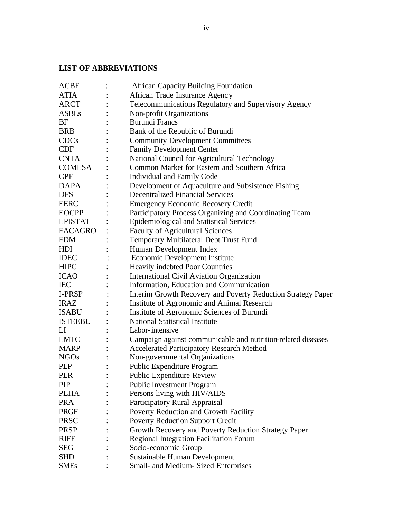# **LIST OF ABBREVIATIONS**

| <b>ACBF</b>            | <b>African Capacity Building Foundation</b>                  |
|------------------------|--------------------------------------------------------------|
| <b>ATIA</b>            | African Trade Insurance Agency                               |
| ARCT                   | Telecommunications Regulatory and Supervisory Agency         |
| <b>ASBLs</b>           | Non-profit Organizations                                     |
| BF                     | <b>Burundi Francs</b>                                        |
| <b>BRB</b>             | Bank of the Republic of Burundi                              |
| <b>CDCs</b>            | <b>Community Development Committees</b>                      |
| <b>CDF</b>             | <b>Family Development Center</b>                             |
| <b>CNTA</b>            | National Council for Agricultural Technology                 |
| <b>COMESA</b>          | Common Market for Eastern and Southern Africa                |
| <b>CPF</b>             | Individual and Family Code                                   |
| <b>DAPA</b>            | Development of Aquaculture and Subsistence Fishing           |
| <b>DFS</b>             | <b>Decentralized Financial Services</b>                      |
| <b>EERC</b>            | <b>Emergency Economic Recovery Credit</b>                    |
| <b>EOCPP</b>           | Participatory Process Organizing and Coordinating Team       |
| <b>EPISTAT</b>         | <b>Epidemiological and Statistical Services</b>              |
| FACAGRO                | <b>Faculty of Agricultural Sciences</b>                      |
| <b>FDM</b>             | Temporary Multilateral Debt Trust Fund                       |
| HDI                    | Human Development Index                                      |
| <b>IDEC</b>            | <b>Economic Development Institute</b>                        |
| <b>HIPC</b>            | Heavily indebted Poor Countries                              |
| <b>ICAO</b>            | <b>International Civil Aviation Organization</b>             |
| <b>IEC</b>             | Information, Education and Communication                     |
| I-PRSP                 | Interim Growth Recovery and Poverty Reduction Strategy Paper |
| <b>IRAZ</b>            | Institute of Agronomic and Animal Research                   |
| <b>ISABU</b>           | Institute of Agronomic Sciences of Burundi                   |
| <b>ISTEEBU</b>         | <b>National Statistical Institute</b>                        |
| $\mathop{\mathrm{LI}}$ | Labor-intensive                                              |
| <b>LMTC</b>            | Campaign against communicable and nutrition-related diseases |
| <b>MARP</b>            | <b>Accelerated Participatory Research Method</b>             |
| <b>NGOs</b>            | Non-governmental Organizations                               |
| <b>PEP</b>             | Public Expenditure Program                                   |
| <b>PER</b>             | Public Expenditure Review                                    |
| <b>PIP</b>             | <b>Public Investment Program</b>                             |
| <b>PLHA</b>            | Persons living with HIV/AIDS                                 |
| <b>PRA</b>             | Participatory Rural Appraisal                                |
| <b>PRGF</b>            | Poverty Reduction and Growth Facility                        |
| <b>PRSC</b>            | <b>Poverty Reduction Support Credit</b>                      |
| <b>PRSP</b>            | Growth Recovery and Poverty Reduction Strategy Paper         |
| <b>RIFF</b>            | Regional Integration Facilitation Forum                      |
| SEG                    | Socio-economic Group                                         |
| <b>SHD</b>             | Sustainable Human Development                                |
| <b>SMEs</b>            | Small- and Medium-Sized Enterprises                          |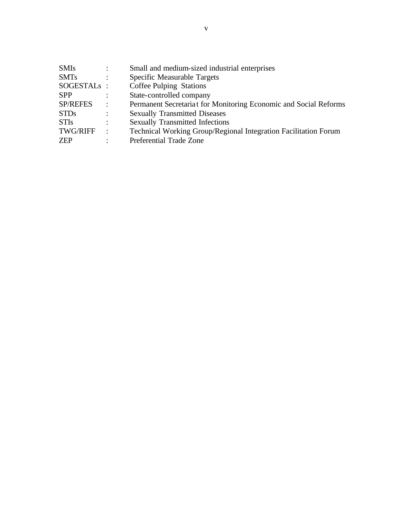| <b>SMIs</b>     | $\ddot{\cdot}$ | Small and medium-sized industrial enterprises                    |
|-----------------|----------------|------------------------------------------------------------------|
| <b>SMTs</b>     | $\ddot{\cdot}$ | Specific Measurable Targets                                      |
| SOGESTALS :     |                | Coffee Pulping Stations                                          |
| <b>SPP</b>      | $\ddot{\cdot}$ | State-controlled company                                         |
| <b>SP/REFES</b> | $\ddot{\cdot}$ | Permanent Secretariat for Monitoring Economic and Social Reforms |
| <b>STDs</b>     | $\ddot{\cdot}$ | <b>Sexually Transmitted Diseases</b>                             |
| <b>STIs</b>     | $\ddot{\cdot}$ | <b>Sexually Transmitted Infections</b>                           |
| <b>TWG/RIFF</b> | $\ddot{\cdot}$ | Technical Working Group/Regional Integration Facilitation Forum  |
| ZEP             | ٠              | Preferential Trade Zone                                          |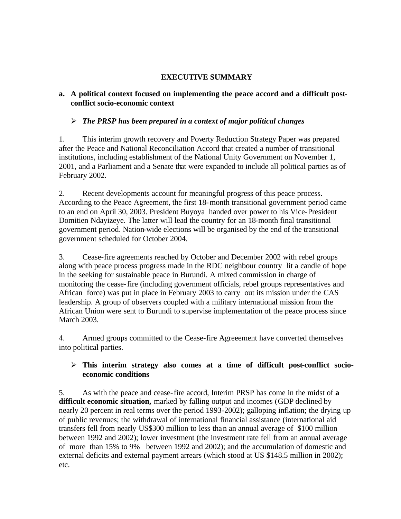### **EXECUTIVE SUMMARY**

### **a. A political context focused on implementing the peace accord and a difficult postconflict socio-economic context**

### ÿ *The PRSP has been prepared in a context of major political changes*

1. This interim growth recovery and Poverty Reduction Strategy Paper was prepared after the Peace and National Reconciliation Accord that created a number of transitional institutions, including establishment of the National Unity Government on November 1, 2001, and a Parliament and a Senate that were expanded to include all political parties as of February 2002.

2. Recent developments account for meaningful progress of this peace process. According to the Peace Agreement, the first 18-month transitional government period came to an end on April 30, 2003. President Buyoya handed over power to his Vice-President Domitien Ndayizeye. The latter will lead the country for an 18-month final transitional government period. Nation-wide elections will be organised by the end of the transitional government scheduled for October 2004.

3. Cease-fire agreements reached by October and December 2002 with rebel groups along with peace process progress made in the RDC neighbour country lit a candle of hope in the seeking for sustainable peace in Burundi. A mixed commission in charge of monitoring the cease-fire (including government officials, rebel groups representatives and African force) was put in place in February 2003 to carry out its mission under the CAS leadership. A group of observers coupled with a military international mission from the African Union were sent to Burundi to supervise implementation of the peace process since March 2003.

4. Armed groups committed to the Cease-fire Agreeement have converted themselves into political parties.

### ÿ **This interim strategy also comes at a time of difficult post-conflict socioeconomic conditions**

5. As with the peace and cease-fire accord, Interim PRSP has come in the midst of **a difficult economic situation,** marked by falling output and incomes (GDP declined by nearly 20 percent in real terms over the period 1993-2002); galloping inflation; the drying up of public revenues; the withdrawal of international financial assistance (international aid transfers fell from nearly US\$300 million to less than an annual average of \$100 million between 1992 and 2002); lower investment (the investment rate fell from an annual average of more than 15% to 9% between 1992 and 2002); and the accumulation of domestic and external deficits and external payment arrears (which stood at US \$148.5 million in 2002); etc.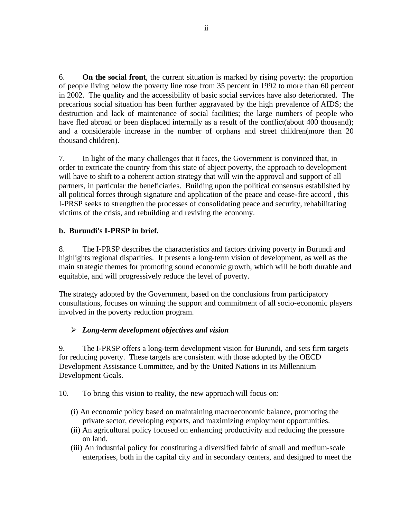6. **On the social front**, the current situation is marked by rising poverty: the proportion of people living below the poverty line rose from 35 percent in 1992 to more than 60 percent in 2002. The quality and the accessibility of basic social services have also deteriorated. The precarious social situation has been further aggravated by the high prevalence of AIDS; the destruction and lack of maintenance of social facilities; the large numbers of people who have fled abroad or been displaced internally as a result of the conflict(about 400 thousand); and a considerable increase in the number of orphans and street children(more than 20 thousand children).

7. In light of the many challenges that it faces, the Government is convinced that, in order to extricate the country from this state of abject poverty, the approach to development will have to shift to a coherent action strategy that will win the approval and support of all partners, in particular the beneficiaries. Building upon the political consensus established by all political forces through signature and application of the peace and cease-fire accord , this I-PRSP seeks to strengthen the processes of consolidating peace and security, rehabilitating victims of the crisis, and rebuilding and reviving the economy.

### **b. Burundi's I-PRSP in brief.**

8. The I-PRSP describes the characteristics and factors driving poverty in Burundi and highlights regional disparities. It presents a long-term vision of development, as well as the main strategic themes for promoting sound economic growth, which will be both durable and equitable, and will progressively reduce the level of poverty.

The strategy adopted by the Government, based on the conclusions from participatory consultations, focuses on winning the support and commitment of all socio-economic players involved in the poverty reduction program.

### ÿ *Long-term development objectives and vision*

9. The I-PRSP offers a long-term development vision for Burundi, and sets firm targets for reducing poverty. These targets are consistent with those adopted by the OECD Development Assistance Committee, and by the United Nations in its Millennium Development Goals.

- 10. To bring this vision to reality, the new approach will focus on:
	- (i) An economic policy based on maintaining macroeconomic balance, promoting the private sector, developing exports, and maximizing employment opportunities.
	- (ii) An agricultural policy focused on enhancing productivity and reducing the pressure on land.
	- (iii) An industrial policy for constituting a diversified fabric of small and medium-scale enterprises, both in the capital city and in secondary centers, and designed to meet the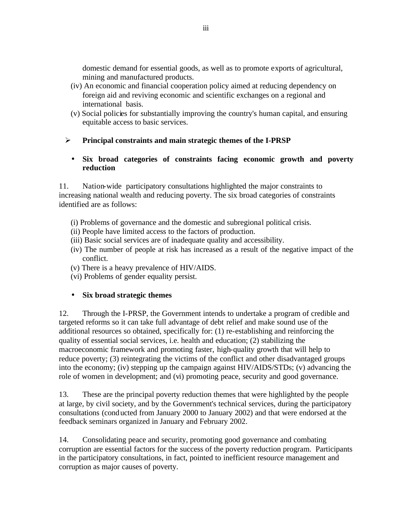domestic demand for essential goods, as well as to promote exports of agricultural, mining and manufactured products.

- (iv) An economic and financial cooperation policy aimed at reducing dependency on foreign aid and reviving economic and scientific exchanges on a regional and international basis.
- (v) Social policies for substantially improving the country's human capital, and ensuring equitable access to basic services.

# ÿ **Principal constraints and main strategic themes of the I-PRSP**

### • **Six broad categories of constraints facing economic growth and poverty reduction**

11. Nation-wide participatory consultations highlighted the major constraints to increasing national wealth and reducing poverty. The six broad categories of constraints identified are as follows:

- (i) Problems of governance and the domestic and subregional political crisis.
- (ii) People have limited access to the factors of production.
- (iii) Basic social services are of inadequate quality and accessibility.
- (iv) The number of people at risk has increased as a result of the negative impact of the conflict.
- (v) There is a heavy prevalence of HIV/AIDS.
- (vi) Problems of gender equality persist.

# • **Six broad strategic themes**

12. Through the I-PRSP, the Government intends to undertake a program of credible and targeted reforms so it can take full advantage of debt relief and make sound use of the additional resources so obtained, specifically for: (1) re-establishing and reinforcing the quality of essential social services, i.e. health and education; (2) stabilizing the macroeconomic framework and promoting faster, high-quality growth that will help to reduce poverty; (3) reintegrating the victims of the conflict and other disadvantaged groups into the economy; (iv) stepping up the campaign against HIV/AIDS/STDs; (v) advancing the role of women in development; and (vi) promoting peace, security and good governance.

13. These are the principal poverty reduction themes that were highlighted by the people at large, by civil society, and by the Government's technical services, during the participatory consultations (conducted from January 2000 to January 2002) and that were endorsed at the feedback seminars organized in January and February 2002.

14. Consolidating peace and security, promoting good governance and combating corruption are essential factors for the success of the poverty reduction program. Participants in the participatory consultations, in fact, pointed to inefficient resource management and corruption as major causes of poverty.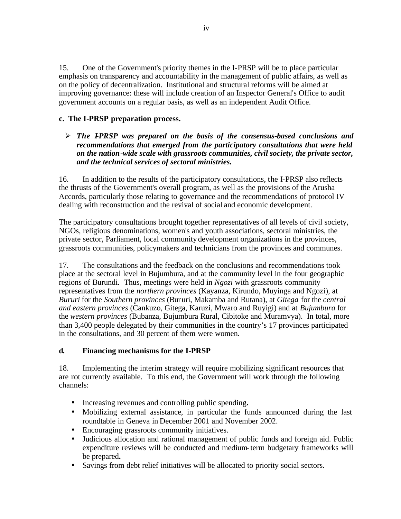15. One of the Government's priority themes in the I-PRSP will be to place particular emphasis on transparency and accountability in the management of public affairs, as well as on the policy of decentralization. Institutional and structural reforms will be aimed at improving governance: these will include creation of an Inspector General's Office to audit government accounts on a regular basis, as well as an independent Audit Office.

#### **c. The I-PRSP preparation process.**

 $\triangleright$  The I-PRSP was prepared on the basis of the consensus-based conclusions and *recommendations that emerged from the participatory consultations that were held on the nation-wide scale with grassroots communities, civil society, the private sector, and the technical services of sectoral ministries.*

16. In addition to the results of the participatory consultations, the I-PRSP also reflects the thrusts of the Government's overall program, as well as the provisions of the Arusha Accords, particularly those relating to governance and the recommendations of protocol IV dealing with reconstruction and the revival of social and economic development.

The participatory consultations brought together representatives of all levels of civil society, NGOs, religious denominations, women's and youth associations, sectoral ministries, the private sector, Parliament, local community development organizations in the provinces, grassroots communities, policymakers and technicians from the provinces and communes.

17. The consultations and the feedback on the conclusions and recommendations took place at the sectoral level in Bujumbura, and at the community level in the four geographic regions of Burundi. Thus, meetings were held in *Ngozi* with grassroots community representatives from the *northern provinces* (Kayanza, Kirundo, Muyinga and Ngozi), at *Bururi* for the *Southern provinces* (Bururi, Makamba and Rutana), at *Gitega* for the *central and eastern provinces* (Cankuzo, Gitega, Karuzi, Mwaro and Ruyigi) and at *Bujumbura* for the *western provinces* (Bubanza, Bujumbura Rural, Cibitoke and Muramvya). In total, more than 3,400 people delegated by their communities in the country's 17 provinces participated in the consultations, and 30 percent of them were women.

#### **d. Financing mechanisms for the I-PRSP**

18. Implementing the interim strategy will require mobilizing significant resources that are not currently available. To this end, the Government will work through the following channels:

- Increasing revenues and controlling public spending**.**
- Mobilizing external assistance, in particular the funds announced during the last roundtable in Geneva in December 2001 and November 2002.
- Encouraging grassroots community initiatives.
- Judicious allocation and rational management of public funds and foreign aid. Public expenditure reviews will be conducted and medium-term budgetary frameworks will be prepared**.**
- Savings from debt relief initiatives will be allocated to priority social sectors.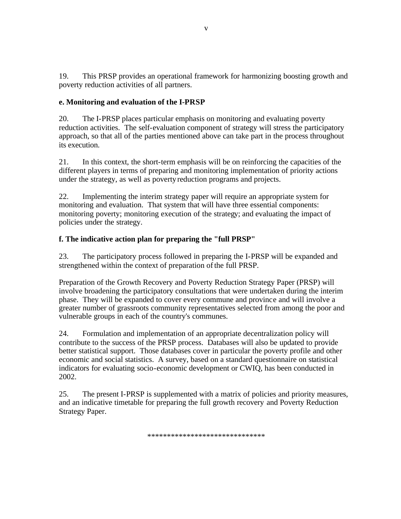19. This PRSP provides an operational framework for harmonizing boosting growth and poverty reduction activities of all partners.

### **e. Monitoring and evaluation of the I-PRSP**

20. The I-PRSP places particular emphasis on monitoring and evaluating poverty reduction activities. The self-evaluation component of strategy will stress the participatory approach, so that all of the parties mentioned above can take part in the process throughout its execution.

21. In this context, the short-term emphasis will be on reinforcing the capacities of the different players in terms of preparing and monitoring implementation of priority actions under the strategy, as well as poverty reduction programs and projects.

22. Implementing the interim strategy paper will require an appropriate system for monitoring and evaluation. That system that will have three essential components: monitoring poverty; monitoring execution of the strategy; and evaluating the impact of policies under the strategy.

### **f. The indicative action plan for preparing the "full PRSP"**

23. The participatory process followed in preparing the I-PRSP will be expanded and strengthened within the context of preparation of the full PRSP.

Preparation of the Growth Recovery and Poverty Reduction Strategy Paper (PRSP) will involve broadening the participatory consultations that were undertaken during the interim phase. They will be expanded to cover every commune and province and will involve a greater number of grassroots community representatives selected from among the poor and vulnerable groups in each of the country's communes.

24. Formulation and implementation of an appropriate decentralization policy will contribute to the success of the PRSP process. Databases will also be updated to provide better statistical support. Those databases cover in particular the poverty profile and other economic and social statistics. A survey, based on a standard questionnaire on statistical indicators for evaluating socio-economic development or CWIQ, has been conducted in 2002.

25. The present I-PRSP is supplemented with a matrix of policies and priority measures, and an indicative timetable for preparing the full growth recovery and Poverty Reduction Strategy Paper.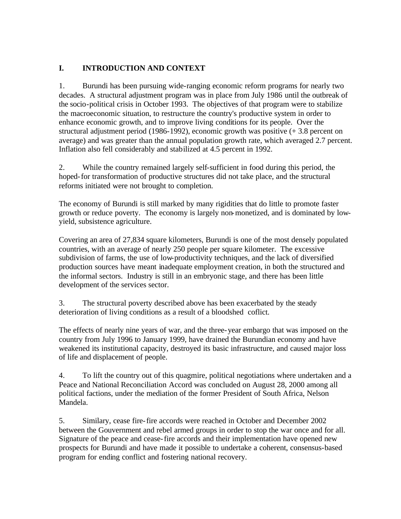# **I. INTRODUCTION AND CONTEXT**

1. Burundi has been pursuing wide-ranging economic reform programs for nearly two decades. A structural adjustment program was in place from July 1986 until the outbreak of the socio-political crisis in October 1993. The objectives of that program were to stabilize the macroeconomic situation, to restructure the country's productive system in order to enhance economic growth, and to improve living conditions for its people. Over the structural adjustment period (1986-1992), economic growth was positive (+ 3.8 percent on average) and was greater than the annual population growth rate, which averaged 2.7 percent. Inflation also fell considerably and stabilized at 4.5 percent in 1992.

2. While the country remained largely self-sufficient in food during this period, the hoped-for transformation of productive structures did not take place, and the structural reforms initiated were not brought to completion.

The economy of Burundi is still marked by many rigidities that do little to promote faster growth or reduce poverty. The economy is largely non-monetized, and is dominated by lowyield, subsistence agriculture.

Covering an area of 27,834 square kilometers, Burundi is one of the most densely populated countries, with an average of nearly 250 people per square kilometer. The excessive subdivision of farms, the use of low-productivity techniques, and the lack of diversified production sources have meant inadequate employment creation, in both the structured and the informal sectors. Industry is still in an embryonic stage, and there has been little development of the services sector.

3. The structural poverty described above has been exacerbated by the steady deterioration of living conditions as a result of a bloodshed coflict.

The effects of nearly nine years of war, and the three-year embargo that was imposed on the country from July 1996 to January 1999, have drained the Burundian economy and have weakened its institutional capacity, destroyed its basic infrastructure, and caused major loss of life and displacement of people.

4. To lift the country out of this quagmire, political negotiations where undertaken and a Peace and National Reconciliation Accord was concluded on August 28, 2000 among all political factions, under the mediation of the former President of South Africa, Nelson Mandela.

5. Similary, cease fire-fire accords were reached in October and December 2002 between the Gouvernment and rebel armed groups in order to stop the war once and for all. Signature of the peace and cease-fire accords and their implementation have opened new prospects for Burundi and have made it possible to undertake a coherent, consensus-based program for ending conflict and fostering national recovery.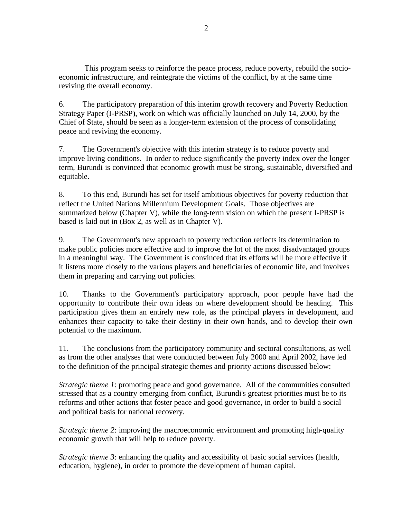This program seeks to reinforce the peace process, reduce poverty, rebuild the socioeconomic infrastructure, and reintegrate the victims of the conflict, by at the same time reviving the overall economy.

6. The participatory preparation of this interim growth recovery and Poverty Reduction Strategy Paper (I-PRSP), work on which was officially launched on July 14, 2000, by the Chief of State, should be seen as a longer-term extension of the process of consolidating peace and reviving the economy.

7. The Government's objective with this interim strategy is to reduce poverty and improve living conditions. In order to reduce significantly the poverty index over the longer term, Burundi is convinced that economic growth must be strong, sustainable, diversified and equitable.

8. To this end, Burundi has set for itself ambitious objectives for poverty reduction that reflect the United Nations Millennium Development Goals. Those objectives are summarized below (Chapter V), while the long-term vision on which the present I-PRSP is based is laid out in (Box 2, as well as in Chapter V).

9. The Government's new approach to poverty reduction reflects its determination to make public policies more effective and to improve the lot of the most disadvantaged groups in a meaningful way. The Government is convinced that its efforts will be more effective if it listens more closely to the various players and beneficiaries of economic life, and involves them in preparing and carrying out policies.

10. Thanks to the Government's participatory approach, poor people have had the opportunity to contribute their own ideas on where development should be heading. This participation gives them an entirely new role, as the principal players in development, and enhances their capacity to take their destiny in their own hands, and to develop their own potential to the maximum.

11. The conclusions from the participatory community and sectoral consultations, as well as from the other analyses that were conducted between July 2000 and April 2002, have led to the definition of the principal strategic themes and priority actions discussed below:

*Strategic theme 1*: promoting peace and good governance. All of the communities consulted stressed that as a country emerging from conflict, Burundi's greatest priorities must be to its reforms and other actions that foster peace and good governance, in order to build a social and political basis for national recovery.

*Strategic theme 2*: improving the macroeconomic environment and promoting high-quality economic growth that will help to reduce poverty.

*Strategic theme 3*: enhancing the quality and accessibility of basic social services (health, education, hygiene), in order to promote the development of human capital.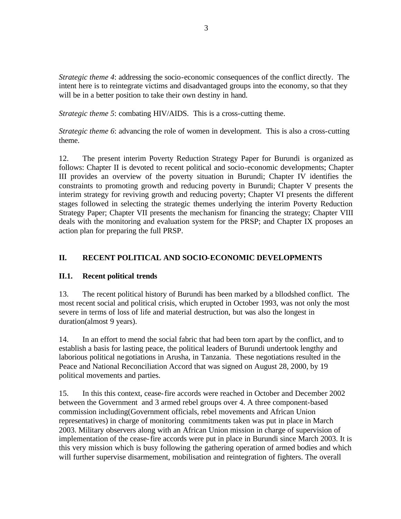*Strategic theme 4*: addressing the socio-economic consequences of the conflict directly. The intent here is to reintegrate victims and disadvantaged groups into the economy, so that they will be in a better position to take their own destiny in hand.

*Strategic theme 5*: combating HIV/AIDS. This is a cross-cutting theme.

*Strategic theme 6*: advancing the role of women in development. This is also a cross-cutting theme.

12. The present interim Poverty Reduction Strategy Paper for Burundi is organized as follows: Chapter II is devoted to recent political and socio-economic developments; Chapter III provides an overview of the poverty situation in Burundi; Chapter IV identifies the constraints to promoting growth and reducing poverty in Burundi; Chapter V presents the interim strategy for reviving growth and reducing poverty; Chapter VI presents the different stages followed in selecting the strategic themes underlying the interim Poverty Reduction Strategy Paper; Chapter VII presents the mechanism for financing the strategy; Chapter VIII deals with the monitoring and evaluation system for the PRSP; and Chapter IX proposes an action plan for preparing the full PRSP.

### **II. RECENT POLITICAL AND SOCIO-ECONOMIC DEVELOPMENTS**

### **II.1. Recent political trends**

13. The recent political history of Burundi has been marked by a bllodshed conflict. The most recent social and political crisis, which erupted in October 1993, was not only the most severe in terms of loss of life and material destruction, but was also the longest in duration(almost 9 years).

14. In an effort to mend the social fabric that had been torn apart by the conflict, and to establish a basis for lasting peace, the political leaders of Burundi undertook lengthy and laborious political negotiations in Arusha, in Tanzania. These negotiations resulted in the Peace and National Reconciliation Accord that was signed on August 28, 2000, by 19 political movements and parties.

15. In this this context, cease-fire accords were reached in October and December 2002 between the Government and 3 armed rebel groups over 4. A three component-based commission including(Government officials, rebel movements and African Union representatives) in charge of monitoring commitments taken was put in place in March 2003. Military observers along with an African Union mission in charge of supervision of implementation of the cease-fire accords were put in place in Burundi since March 2003. It is this very mission which is busy following the gathering operation of armed bodies and which will further supervise disarmement, mobilisation and reintegration of fighters. The overall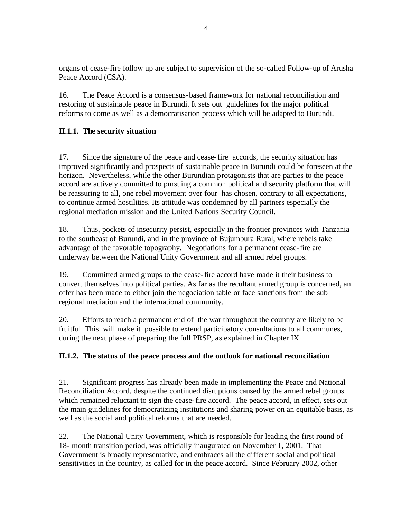organs of cease-fire follow up are subject to supervision of the so-called Follow-up of Arusha Peace Accord (CSA).

16. The Peace Accord is a consensus-based framework for national reconciliation and restoring of sustainable peace in Burundi. It sets out guidelines for the major political reforms to come as well as a democratisation process which will be adapted to Burundi.

# **II.1.1. The security situation**

17. Since the signature of the peace and cease-fire accords, the security situation has improved significantly and prospects of sustainable peace in Burundi could be foreseen at the horizon. Nevertheless, while the other Burundian protagonists that are parties to the peace accord are actively committed to pursuing a common political and security platform that will be reassuring to all, one rebel movement over four has chosen, contrary to all expectations, to continue armed hostilities. Its attitude was condemned by all partners especially the regional mediation mission and the United Nations Security Council.

18. Thus, pockets of insecurity persist, especially in the frontier provinces with Tanzania to the southeast of Burundi, and in the province of Bujumbura Rural, where rebels take advantage of the favorable topography. Negotiations for a permanent cease-fire are underway between the National Unity Government and all armed rebel groups.

19. Committed armed groups to the cease-fire accord have made it their business to convert themselves into political parties. As far as the recultant armed group is concerned, an offer has been made to either join the negociation table or face sanctions from the sub regional mediation and the international community.

20. Efforts to reach a permanent end of the war throughout the country are likely to be fruitful. This will make it possible to extend participatory consultations to all communes, during the next phase of preparing the full PRSP, as explained in Chapter IX.

# **II.1.2. The status of the peace process and the outlook for national reconciliation**

21. Significant progress has already been made in implementing the Peace and National Reconciliation Accord, despite the continued disruptions caused by the armed rebel groups which remained reluctant to sign the cease-fire accord. The peace accord, in effect, sets out the main guidelines for democratizing institutions and sharing power on an equitable basis, as well as the social and political reforms that are needed.

22. The National Unity Government, which is responsible for leading the first round of 18- month transition period, was officially inaugurated on November 1, 2001. That Government is broadly representative, and embraces all the different social and political sensitivities in the country, as called for in the peace accord. Since February 2002, other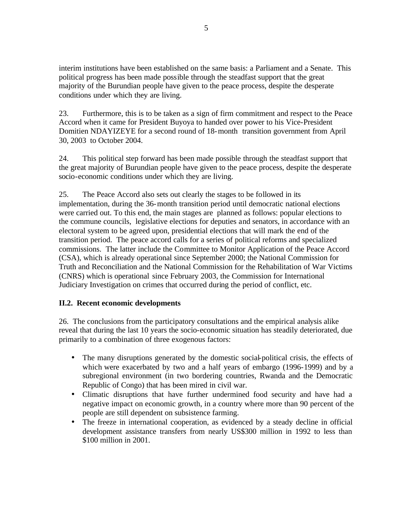interim institutions have been established on the same basis: a Parliament and a Senate. This political progress has been made possible through the steadfast support that the great majority of the Burundian people have given to the peace process, despite the desperate conditions under which they are living.

23. Furthermore, this is to be taken as a sign of firm commitment and respect to the Peace Accord when it came for President Buyoya to handed over power to his Vice-President Domitien NDAYIZEYE for a second round of 18-month transition government from April 30, 2003 to October 2004.

24. This political step forward has been made possible through the steadfast support that the great majority of Burundian people have given to the peace process, despite the desperate socio-economic conditions under which they are living.

25. The Peace Accord also sets out clearly the stages to be followed in its implementation, during the 36-month transition period until democratic national elections were carried out. To this end, the main stages are planned as follows: popular elections to the commune councils, legislative elections for deputies and senators, in accordance with an electoral system to be agreed upon, presidential elections that will mark the end of the transition period. The peace accord calls for a series of political reforms and specialized commissions. The latter include the Committee to Monitor Application of the Peace Accord (CSA), which is already operational since September 2000; the National Commission for Truth and Reconciliation and the National Commission for the Rehabilitation of War Victims (CNRS) which is operational since February 2003, the Commission for International Judiciary Investigation on crimes that occurred during the period of conflict, etc.

### **II.2. Recent economic developments**

26. The conclusions from the participatory consultations and the empirical analysis alike reveal that during the last 10 years the socio-economic situation has steadily deteriorated, due primarily to a combination of three exogenous factors:

- The many disruptions generated by the domestic social-political crisis, the effects of which were exacerbated by two and a half years of embargo (1996-1999) and by a subregional environment (in two bordering countries, Rwanda and the Democratic Republic of Congo) that has been mired in civil war.
- Climatic disruptions that have further undermined food security and have had a negative impact on economic growth, in a country where more than 90 percent of the people are still dependent on subsistence farming.
- The freeze in international cooperation, as evidenced by a steady decline in official development assistance transfers from nearly US\$300 million in 1992 to less than \$100 million in 2001.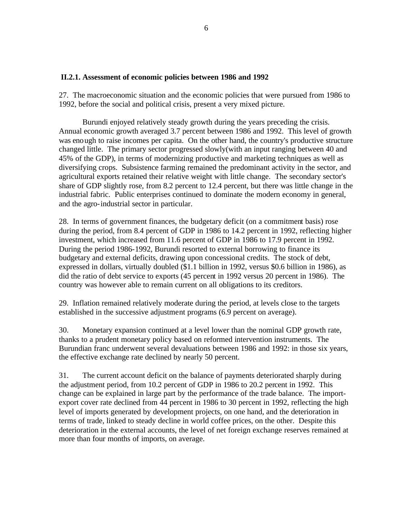#### **II.2.1. Assessment of economic policies between 1986 and 1992**

27. The macroeconomic situation and the economic policies that were pursued from 1986 to 1992, before the social and political crisis, present a very mixed picture.

Burundi enjoyed relatively steady growth during the years preceding the crisis. Annual economic growth averaged 3.7 percent between 1986 and 1992. This level of growth was enough to raise incomes per capita. On the other hand, the country's productive structure changed little. The primary sector progressed slowly(with an input ranging between 40 and 45% of the GDP), in terms of modernizing productive and marketing techniques as well as diversifying crops. Subsistence farming remained the predominant activity in the sector, and agricultural exports retained their relative weight with little change. The secondary sector's share of GDP slightly rose, from 8.2 percent to 12.4 percent, but there was little change in the industrial fabric. Public enterprises continued to dominate the modern economy in general, and the agro-industrial sector in particular.

28. In terms of government finances, the budgetary deficit (on a commitment basis) rose during the period, from 8.4 percent of GDP in 1986 to 14.2 percent in 1992, reflecting higher investment, which increased from 11.6 percent of GDP in 1986 to 17.9 percent in 1992. During the period 1986-1992, Burundi resorted to external borrowing to finance its budgetary and external deficits, drawing upon concessional credits. The stock of debt, expressed in dollars, virtually doubled (\$1.1 billion in 1992, versus \$0.6 billion in 1986), as did the ratio of debt service to exports (45 percent in 1992 versus 20 percent in 1986). The country was however able to remain current on all obligations to its creditors.

29. Inflation remained relatively moderate during the period, at levels close to the targets established in the successive adjustment programs (6.9 percent on average).

30. Monetary expansion continued at a level lower than the nominal GDP growth rate, thanks to a prudent monetary policy based on reformed intervention instruments. The Burundian franc underwent several devaluations between 1986 and 1992: in those six years, the effective exchange rate declined by nearly 50 percent.

31. The current account deficit on the balance of payments deteriorated sharply during the adjustment period, from 10.2 percent of GDP in 1986 to 20.2 percent in 1992. This change can be explained in large part by the performance of the trade balance. The importexport cover rate declined from 44 percent in 1986 to 30 percent in 1992, reflecting the high level of imports generated by development projects, on one hand, and the deterioration in terms of trade, linked to steady decline in world coffee prices, on the other. Despite this deterioration in the external accounts, the level of net foreign exchange reserves remained at more than four months of imports, on average.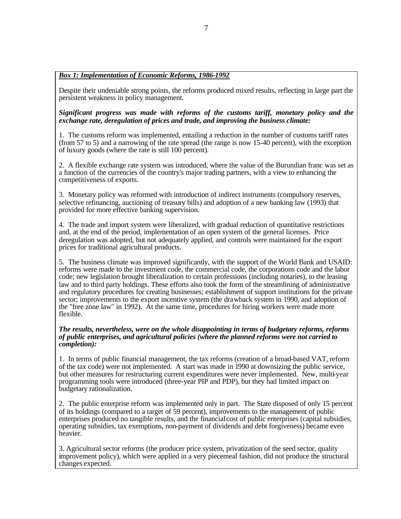#### *Box 1: Implementation of Economic Reforms, 1986-1992*

Despite their undeniable strong points, the reforms produced mixed results, reflecting in large part the persistent weakness in policy management.

*Significant progress was made with reforms of the customs tariff, monetary policy and the exchange rate, deregulation of prices and trade, and improving the business climate:*

1. The customs reform was implemented, entailing a reduction in the number of customs tariff rates (from 57 to 5) and a narrowing of the rate spread (the range is now 15-40 percent), with the exception of luxury goods (where the rate is still 100 percent).

2. A flexible exchange rate system was introduced, where the value of the Burundian franc was set as a function of the currencies of the country's major trading partners, with a view to enhancing the competitiveness of exports.

3. Monetary policy was reformed with introduction of indirect instruments (compulsory reserves, selective refinancing, auctioning of treasury bills) and adoption of a new banking law (1993) that provided for more effective banking supervision.

4. The trade and import system were liberalized, with gradual reduction of quantitative restrictions and, at the end of the period, implementation of an open system of the general licenses. Price deregulation was adopted, but not adequately applied, and controls were maintained for the export prices for traditional agricultural products.

5. The business climate was improved significantly, with the support of the World Bank and USAID: reforms were made to the investment code, the commercial code, the corporations code and the labor code; new legislation brought liberalization to certain professions (including notaries), to the leasing law and to third party holdings. These efforts also took the form of the streamlining of administrative and regulatory procedures for creating businesses; establishment of support institutions for the private sector; improvements to the export incentive system (the drawback system in 1990, and adoption of the "free zone law" in 1992). At the same time, procedures for hiring workers were made more flexible.

#### *The results, nevertheless, were on the whole disappointing in terms of budgetary reforms, reforms of public enterprises, and agricultural policies (where the planned reforms were not carried to completion):*

1. In terms of public financial management, the tax reforms (creation of a broad-based VAT, reform of the tax code) were not implemented. A start was made in 1990 at downsizing the public service, but other measures for restructuring current expenditures were never implemented. New, multi-year programming tools were introduced (three-year PIP and PDP), but they had limited impact on budgetary rationalization.

2. The public enterprise reform was implemented only in part. The State disposed of only 15 percent of its holdings (compared to a target of 59 percent), improvements to the management of public enterprises produced no tangible results, and the financial cost of public enterprises (capital subsidies, operating subsidies, tax exemptions, non-payment of dividends and debt forgiveness) became even heavier.

3. Agricultural sector reforms (the producer price system, privatization of the seed sector, quality improvement policy), which were applied in a very piecemeal fashion, did not produce the structural changes expected.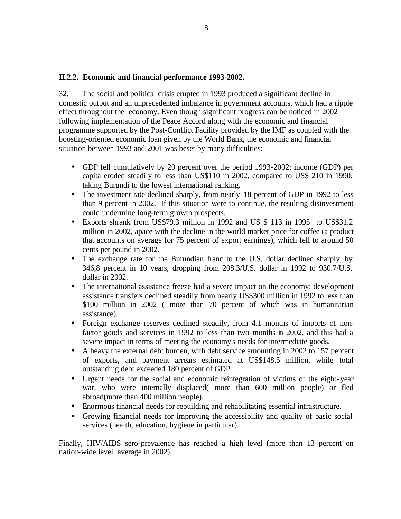#### **II.2.2. Economic and financial performance 1993-2002.**

32. The social and political crisis erupted in 1993 produced a significant decline in domestic output and an unprecedented imbalance in government accounts, which had a ripple effect throughout the economy. Even though significant progress can be noticed in 2002 following implementation of the Peace Accord along with the economic and financial programme supported by the Post-Conflict Facility provided by the IMF as coupled with the boosting-oriented economic loan given by the World Bank, the economic and financial situation between 1993 and 2001 was beset by many difficulties:

- GDP fell cumulatively by 20 percent over the period 1993-2002; income (GDP) per capita eroded steadily to less than US\$110 in 2002, compared to US\$ 210 in 1990, taking Burundi to the lowest international ranking.
- The investment rate declined sharply, from nearly 18 percent of GDP in 1992 to less than 9 percent in 2002. If this situation were to continue, the resulting disinvestment could undermine long-term growth prospects.
- Exports shrank from US\$79.3 million in 1992 and US \$ 113 in 1995 to US\$31.2 million in 2002, apace with the decline in the world market price for coffee (a product that accounts on average for 75 percent of export earnings), which fell to around 50 cents per pound in 2002.
- The exchange rate for the Burundian franc to the U.S. dollar declined sharply, by 346,8 percent in 10 years, dropping from 208.3/U.S. dollar in 1992 to 930.7/U.S. dollar in 2002.
- The international assistance freeze had a severe impact on the economy: development assistance transfers declined steadily from nearly US\$300 million in 1992 to less than \$100 million in 2002 ( more than 70 percent of which was in humanitarian assistance).
- Foreign exchange reserves declined steadily, from 4.1 months of imports of nonfactor goods and services in 1992 to less than two months in 2002, and this had a severe impact in terms of meeting the economy's needs for intermediate goods.
- A heavy the external debt burden, with debt service amounting in 2002 to 157 percent of exports, and payment arrears estimated at US\$148.5 million, while total outstanding debt exceeded 180 percent of GDP.
- Urgent needs for the social and economic reintegration of victims of the eight-year war, who were internally displaced( more than 600 million people) or fled abroad(more than 400 million people).
- Enormous financial needs for rebuilding and rehabilitating essential infrastructure.
- Growing financial needs for improving the accessibility and quality of basic social services (health, education, hygiene in particular).

Finally, HIV/AIDS sero-prevalence has reached a high level (more than 13 percent on nation-wide level average in 2002).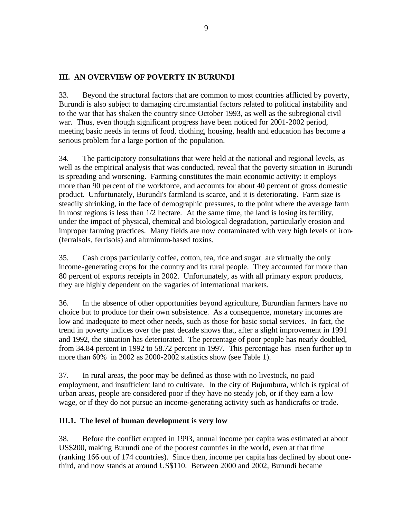### **III. AN OVERVIEW OF POVERTY IN BURUNDI**

33. Beyond the structural factors that are common to most countries afflicted by poverty, Burundi is also subject to damaging circumstantial factors related to political instability and to the war that has shaken the country since October 1993, as well as the subregional civil war. Thus, even though significant progress have been noticed for 2001-2002 period, meeting basic needs in terms of food, clothing, housing, health and education has become a serious problem for a large portion of the population.

34. The participatory consultations that were held at the national and regional levels, as well as the empirical analysis that was conducted, reveal that the poverty situation in Burundi is spreading and worsening. Farming constitutes the main economic activity: it employs more than 90 percent of the workforce, and accounts for about 40 percent of gross domestic product. Unfortunately, Burundi's farmland is scarce, and it is deteriorating. Farm size is steadily shrinking, in the face of demographic pressures, to the point where the average farm in most regions is less than 1/2 hectare. At the same time, the land is losing its fertility, under the impact of physical, chemical and biological degradation, particularly erosion and improper farming practices. Many fields are now contaminated with very high levels of iron- (ferralsols, ferrisols) and aluminum-based toxins.

35. Cash crops particularly coffee, cotton, tea, rice and sugar are virtually the only income-generating crops for the country and its rural people. They accounted for more than 80 percent of exports receipts in 2002. Unfortunately, as with all primary export products, they are highly dependent on the vagaries of international markets.

36. In the absence of other opportunities beyond agriculture, Burundian farmers have no choice but to produce for their own subsistence. As a consequence, monetary incomes are low and inadequate to meet other needs, such as those for basic social services. In fact, the trend in poverty indices over the past decade shows that, after a slight improvement in 1991 and 1992, the situation has deteriorated. The percentage of poor people has nearly doubled, from 34.84 percent in 1992 to 58.72 percent in 1997. This percentage has risen further up to more than 60% in 2002 as 2000-2002 statistics show (see Table 1).

37. In rural areas, the poor may be defined as those with no livestock, no paid employment, and insufficient land to cultivate. In the city of Bujumbura, which is typical of urban areas, people are considered poor if they have no steady job, or if they earn a low wage, or if they do not pursue an income-generating activity such as handicrafts or trade.

### **III.1. The level of human development is very low**

38. Before the conflict erupted in 1993, annual income per capita was estimated at about US\$200, making Burundi one of the poorest countries in the world, even at that time (ranking 166 out of 174 countries). Since then, income per capita has declined by about onethird, and now stands at around US\$110. Between 2000 and 2002, Burundi became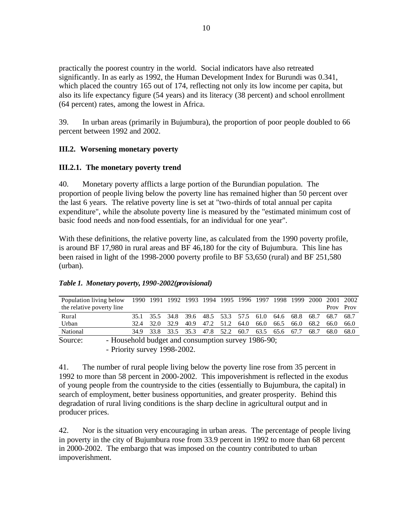practically the poorest country in the world. Social indicators have also retreated significantly. In as early as 1992, the Human Development Index for Burundi was 0.341, which placed the country 165 out of 174, reflecting not only its low income per capita, but also its life expectancy figure (54 years) and its literacy (38 percent) and school enrollment (64 percent) rates, among the lowest in Africa.

39. In urban areas (primarily in Bujumbura), the proportion of poor people doubled to 66 percent between 1992 and 2002.

### **III.2. Worsening monetary poverty**

#### **III.2.1. The monetary poverty trend**

40. Monetary poverty afflicts a large portion of the Burundian population. The proportion of people living below the poverty line has remained higher than 50 percent over the last 6 years. The relative poverty line is set at "two-thirds of total annual per capita expenditure", while the absolute poverty line is measured by the "estimated minimum cost of basic food needs and non-food essentials, for an individual for one year".

With these definitions, the relative poverty line, as calculated from the 1990 poverty profile, is around BF 17,980 in rural areas and BF 46,180 for the city of Bujumbura. This line has been raised in light of the 1998-2000 poverty profile to BF 53,650 (rural) and BF 251,580 (urban).

| Population living below 1990 1991 1992 1993 1994 1995 1996 1997 1998 1999 2000 2001 2002<br>the relative poverty line |      |      |                                                   |           |  |      |      |      |      |      |      | Prov      | Prov  |
|-----------------------------------------------------------------------------------------------------------------------|------|------|---------------------------------------------------|-----------|--|------|------|------|------|------|------|-----------|-------|
|                                                                                                                       |      |      |                                                   |           |  |      |      |      |      |      |      |           |       |
| Rural                                                                                                                 |      |      | 35.1 35.5 34.8 39.6 48.5 53.3 57.5 61.0 64.6 68.8 |           |  |      |      |      |      |      | 68.7 | 68.7 68.7 |       |
| Urban                                                                                                                 | 32.4 | 32.O | 32.9                                              | 40.9 47.2 |  | 51.2 | 64.0 | 66.0 | 66.5 | 66.0 | 68.2 | 66.0      | -66.0 |
| National                                                                                                              | 34.9 |      | 33.8 33.5 35.3 47.8 52.2 60.7 63.5 65.6 67.7      |           |  |      |      |      |      |      | 68.7 | 68.0      | 68.0  |
| Source:<br>- Household budget and consumption survey 1986-90;                                                         |      |      |                                                   |           |  |      |      |      |      |      |      |           |       |

#### *Table 1. Monetary poverty, 1990-2002(provisional)*

- Priority survey 1998-2002.

41. The number of rural people living below the poverty line rose from 35 percent in 1992 to more than 58 percent in 2000-2002. This impoverishment is reflected in the exodus of young people from the countryside to the cities (essentially to Bujumbura, the capital) in search of employment, better business opportunities, and greater prosperity. Behind this degradation of rural living conditions is the sharp decline in agricultural output and in producer prices.

42. Nor is the situation very encouraging in urban areas. The percentage of people living in poverty in the city of Bujumbura rose from 33.9 percent in 1992 to more than 68 percent in 2000-2002. The embargo that was imposed on the country contributed to urban impoverishment.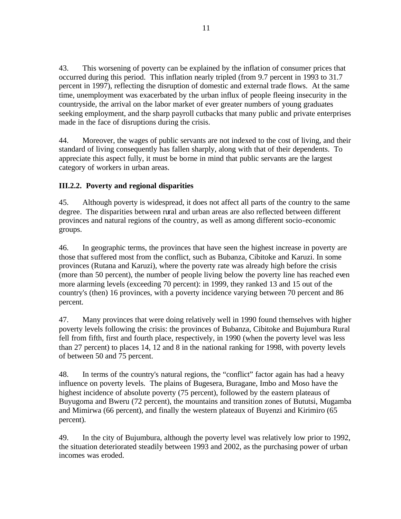43. This worsening of poverty can be explained by the inflation of consumer prices that occurred during this period. This inflation nearly tripled (from 9.7 percent in 1993 to 31.7 percent in 1997), reflecting the disruption of domestic and external trade flows. At the same time, unemployment was exacerbated by the urban influx of people fleeing insecurity in the countryside, the arrival on the labor market of ever greater numbers of young graduates seeking employment, and the sharp payroll cutbacks that many public and private enterprises made in the face of disruptions during the crisis.

44. Moreover, the wages of public servants are not indexed to the cost of living, and their standard of living consequently has fallen sharply, along with that of their dependents. To appreciate this aspect fully, it must be borne in mind that public servants are the largest category of workers in urban areas.

# **III.2.2. Poverty and regional disparities**

45. Although poverty is widespread, it does not affect all parts of the country to the same degree. The disparities between rural and urban areas are also reflected between different provinces and natural regions of the country, as well as among different socio-economic groups.

46. In geographic terms, the provinces that have seen the highest increase in poverty are those that suffered most from the conflict, such as Bubanza, Cibitoke and Karuzi. In some provinces (Rutana and Karuzi), where the poverty rate was already high before the crisis (more than 50 percent), the number of people living below the poverty line has reached even more alarming levels (exceeding 70 percent): in 1999, they ranked 13 and 15 out of the country's (then) 16 provinces, with a poverty incidence varying between 70 percent and 86 percent.

47. Many provinces that were doing relatively well in 1990 found themselves with higher poverty levels following the crisis: the provinces of Bubanza, Cibitoke and Bujumbura Rural fell from fifth, first and fourth place, respectively, in 1990 (when the poverty level was less than 27 percent) to places 14, 12 and 8 in the national ranking for 1998, with poverty levels of between 50 and 75 percent.

48. In terms of the country's natural regions, the "conflict" factor again has had a heavy influence on poverty levels. The plains of Bugesera, Buragane, Imbo and Moso have the highest incidence of absolute poverty (75 percent), followed by the eastern plateaus of Buyugoma and Bweru (72 percent), the mountains and transition zones of Bututsi, Mugamba and Mimirwa (66 percent), and finally the western plateaux of Buyenzi and Kirimiro (65 percent).

49. In the city of Bujumbura, although the poverty level was relatively low prior to 1992, the situation deteriorated steadily between 1993 and 2002, as the purchasing power of urban incomes was eroded.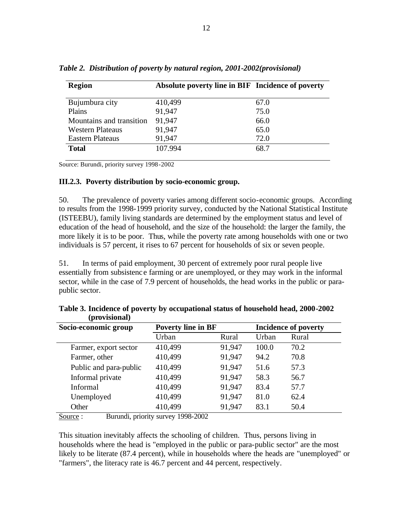| <b>Region</b>            | Absolute poverty line in BIF Incidence of poverty |      |
|--------------------------|---------------------------------------------------|------|
| Bujumbura city           | 410,499                                           | 67.0 |
| Plains                   | 91,947                                            | 75.0 |
| Mountains and transition | 91,947                                            | 66.0 |
| <b>Western Plateaus</b>  | 91,947                                            | 65.0 |
| <b>Eastern Plateaus</b>  | 91,947                                            | 72.0 |
| <b>Total</b>             | 107.994                                           | 68.7 |

*Table 2. Distribution of poverty by natural region, 2001-2002(provisional)*

Source: Burundi, priority survey 1998-2002

#### **III.2.3. Poverty distribution by socio-economic group.**

50. The prevalence of poverty varies among different socio-economic groups. According to results from the 1998-1999 priority survey, conducted by the National Statistical Institute (ISTEEBU), family living standards are determined by the employment status and level of education of the head of household, and the size of the household: the larger the family, the more likely it is to be poor. Thus, while the poverty rate among households with one or two individuals is 57 percent, it rises to 67 percent for households of six or seven people.

51. In terms of paid employment, 30 percent of extremely poor rural people live essentially from subsistenc e farming or are unemployed, or they may work in the informal sector, while in the case of 7.9 percent of households, the head works in the public or parapublic sector.

| <b>Provisional</b>     |                           |        |       |                             |
|------------------------|---------------------------|--------|-------|-----------------------------|
| Socio-economic group   | <b>Poverty line in BF</b> |        |       | <b>Incidence of poverty</b> |
|                        | Urban                     | Rural  | Urban | Rural                       |
| Farmer, export sector  | 410,499                   | 91,947 | 100.0 | 70.2                        |
| Farmer, other          | 410,499                   | 91,947 | 94.2  | 70.8                        |
| Public and para-public | 410,499                   | 91,947 | 51.6  | 57.3                        |
| Informal private       | 410,499                   | 91,947 | 58.3  | 56.7                        |
| Informal               | 410,499                   | 91,947 | 83.4  | 57.7                        |
| Unemployed             | 410,499                   | 91,947 | 81.0  | 62.4                        |
| Other                  | 410,499                   | 91,947 | 83.1  | 50.4                        |

**Table 3. Incidence of poverty by occupational status of household head, 2000-2002 (provisional)**

Source : Burundi, priority survey 1998-2002

This situation inevitably affects the schooling of children. Thus, persons living in households where the head is "employed in the public or para-public sector" are the most likely to be literate (87.4 percent), while in households where the heads are "unemployed" or "farmers", the literacy rate is 46.7 percent and 44 percent, respectively.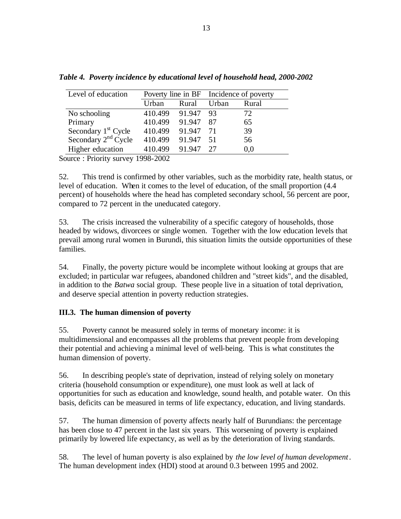| Level of education              |                |           | Poverty line in BF Incidence of poverty |       |  |
|---------------------------------|----------------|-----------|-----------------------------------------|-------|--|
|                                 | Urban<br>Rural |           | Urban                                   | Rural |  |
| No schooling                    | 410.499        | 91.947 93 |                                         | 72    |  |
| Primary                         | 410.499        | 91.947    | 87                                      | 65    |  |
| Secondary 1 <sup>st</sup> Cycle | 410.499        | 91.947    | -71                                     | 39    |  |
| Secondary 2 <sup>nd</sup> Cycle | 410.499        | 91.947    | 51                                      | 56    |  |
| Higher education                | 410.499        | 91.947    | 27                                      | 0,0   |  |

*Table 4. Poverty incidence by educational level of household head, 2000-2002*

Source : Priority survey 1998-2002

52. This trend is confirmed by other variables, such as the morbidity rate, health status, or level of education. When it comes to the level of education, of the small proportion (4.4 percent) of households where the head has completed secondary school, 56 percent are poor, compared to 72 percent in the uneducated category.

53. The crisis increased the vulnerability of a specific category of households, those headed by widows, divorcees or single women. Together with the low education levels that prevail among rural women in Burundi, this situation limits the outside opportunities of these families.

54. Finally, the poverty picture would be incomplete without looking at groups that are excluded; in particular war refugees, abandoned children and "street kids", and the disabled, in addition to the *Batwa* social group. These people live in a situation of total deprivation, and deserve special attention in poverty reduction strategies.

### **III.3. The human dimension of poverty**

55. Poverty cannot be measured solely in terms of monetary income: it is multidimensional and encompasses all the problems that prevent people from developing their potential and achieving a minimal level of well-being. This is what constitutes the human dimension of poverty.

56. In describing people's state of deprivation, instead of relying solely on monetary criteria (household consumption or expenditure), one must look as well at lack of opportunities for such as education and knowledge, sound health, and potable water. On this basis, deficits can be measured in terms of life expectancy, education, and living standards.

57. The human dimension of poverty affects nearly half of Burundians: the percentage has been close to 47 percent in the last six years. This worsening of poverty is explained primarily by lowered life expectancy, as well as by the deterioration of living standards.

58. The level of human poverty is also explained by *the low level of human development*. The human development index (HDI) stood at around 0.3 between 1995 and 2002.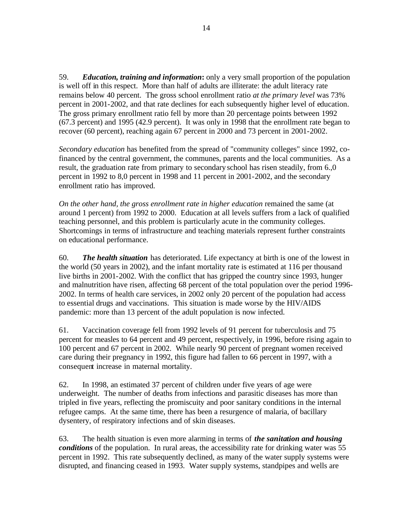59. *Education, training and information***:** only a very small proportion of the population is well off in this respect. More than half of adults are illiterate: the adult literacy rate remains below 40 percent. The gross school enrollment ratio *at the primary level* was 73% percent in 2001-2002, and that rate declines for each subsequently higher level of education. The gross primary enrollment ratio fell by more than 20 percentage points between 1992 (67.3 percent) and 1995 (42.9 percent). It was only in 1998 that the enrollment rate began to recover (60 percent), reaching again 67 percent in 2000 and 73 percent in 2001-2002.

*Secondary education* has benefited from the spread of "community colleges" since 1992, cofinanced by the central government, the communes, parents and the local communities. As a result, the graduation rate from primary to secondary school has risen steadily, from 6.,0 percent in 1992 to 8,0 percent in 1998 and 11 percent in 2001-2002, and the secondary enrollment ratio has improved.

*On the other hand, the gross enrollment rate in higher education* remained the same (at around 1 percent) from 1992 to 2000. Education at all levels suffers from a lack of qualified teaching personnel, and this problem is particularly acute in the community colleges. Shortcomings in terms of infrastructure and teaching materials represent further constraints on educational performance.

60. *The health situation* has deteriorated. Life expectancy at birth is one of the lowest in the world (50 years in 2002), and the infant mortality rate is estimated at 116 per thousand live births in 2001-2002. With the conflict that has gripped the country since 1993, hunger and malnutrition have risen, affecting 68 percent of the total population over the period 1996- 2002. In terms of health care services, in 2002 only 20 percent of the population had access to essential drugs and vaccinations. This situation is made worse by the HIV/AIDS pandemic: more than 13 percent of the adult population is now infected.

61. Vaccination coverage fell from 1992 levels of 91 percent for tuberculosis and 75 percent for measles to 64 percent and 49 percent, respectively, in 1996, before rising again to 100 percent and 67 percent in 2002. While nearly 90 percent of pregnant women received care during their pregnancy in 1992, this figure had fallen to 66 percent in 1997, with a consequent increase in maternal mortality.

62. In 1998, an estimated 37 percent of children under five years of age were underweight. The number of deaths from infections and parasitic diseases has more than tripled in five years, reflecting the promiscuity and poor sanitary conditions in the internal refugee camps. At the same time, there has been a resurgence of malaria, of bacillary dysentery, of respiratory infections and of skin diseases.

63. The health situation is even more alarming in terms of *the sanitation and housing conditions* of the population. In rural areas, the accessibility rate for drinking water was 55 percent in 1992. This rate subsequently declined, as many of the water supply systems were disrupted, and financing ceased in 1993. Water supply systems, standpipes and wells are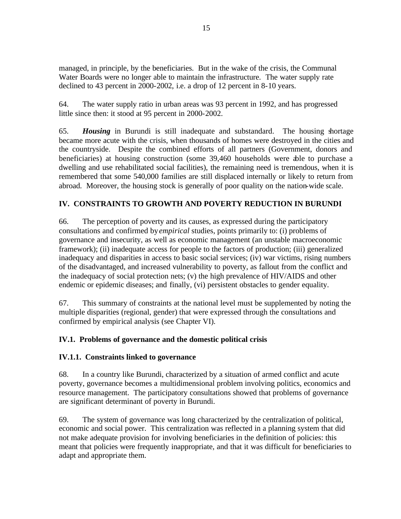managed, in principle, by the beneficiaries. But in the wake of the crisis, the Communal Water Boards were no longer able to maintain the infrastructure. The water supply rate declined to 43 percent in 2000-2002, i.e. a drop of 12 percent in 8-10 years.

64. The water supply ratio in urban areas was 93 percent in 1992, and has progressed little since then: it stood at 95 percent in 2000-2002.

65. *Housing* in Burundi is still inadequate and substandard. The housing shortage became more acute with the crisis, when thousands of homes were destroyed in the cities and the countryside. Despite the combined efforts of all partners (Government, donors and beneficiaries) at housing construction (some 39,460 households were able to purchase a dwelling and use rehabilitated social facilities), the remaining need is tremendous, when it is remembered that some 540,000 families are still displaced internally or likely to return from abroad. Moreover, the housing stock is generally of poor quality on the nation-wide scale.

# **IV. CONSTRAINTS TO GROWTH AND POVERTY REDUCTION IN BURUNDI**

66. The perception of poverty and its causes, as expressed during the participatory consultations and confirmed by *empirical* studies, points primarily to: (i) problems of governance and insecurity, as well as economic management (an unstable macroeconomic framework); (ii) inadequate access for people to the factors of production; (iii) generalized inadequacy and disparities in access to basic social services; (iv) war victims, rising numbers of the disadvantaged, and increased vulnerability to poverty, as fallout from the conflict and the inadequacy of social protection nets; (v) the high prevalence of HIV/AIDS and other endemic or epidemic diseases; and finally, (vi) persistent obstacles to gender equality.

67. This summary of constraints at the national level must be supplemented by noting the multiple disparities (regional, gender) that were expressed through the consultations and confirmed by empirical analysis (see Chapter VI).

### **IV.1. Problems of governance and the domestic political crisis**

### **IV.1.1. Constraints linked to governance**

68. In a country like Burundi, characterized by a situation of armed conflict and acute poverty, governance becomes a multidimensional problem involving politics, economics and resource management. The participatory consultations showed that problems of governance are significant determinant of poverty in Burundi.

69. The system of governance was long characterized by the centralization of political, economic and social power. This centralization was reflected in a planning system that did not make adequate provision for involving beneficiaries in the definition of policies: this meant that policies were frequently inappropriate, and that it was difficult for beneficiaries to adapt and appropriate them.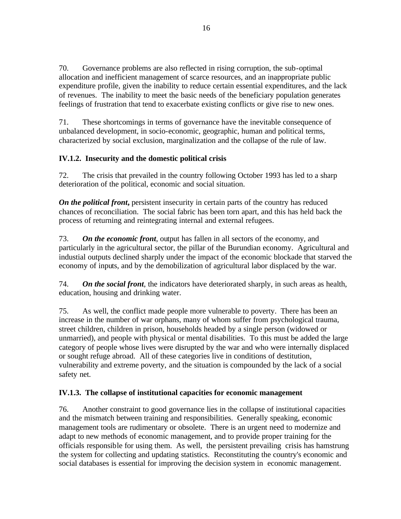70. Governance problems are also reflected in rising corruption, the sub-optimal allocation and inefficient management of scarce resources, and an inappropriate public expenditure profile, given the inability to reduce certain essential expenditures, and the lack of revenues. The inability to meet the basic needs of the beneficiary population generates feelings of frustration that tend to exacerbate existing conflicts or give rise to new ones.

71. These shortcomings in terms of governance have the inevitable consequence of unbalanced development, in socio-economic, geographic, human and political terms, characterized by social exclusion, marginalization and the collapse of the rule of law.

# **IV.1.2. Insecurity and the domestic political crisis**

72. The crisis that prevailed in the country following October 1993 has led to a sharp deterioration of the political, economic and social situation.

*On the political front***,** persistent insecurity in certain parts of the country has reduced chances of reconciliation. The social fabric has been torn apart, and this has held back the process of returning and reintegrating internal and external refugees.

73. *On the economic front*, output has fallen in all sectors of the economy, and particularly in the agricultural sector, the pillar of the Burundian economy. Agricultural and industial outputs declined sharply under the impact of the economic blockade that starved the economy of inputs, and by the demobilization of agricultural labor displaced by the war.

74. *On the social front*, the indicators have deteriorated sharply, in such areas as health, education, housing and drinking water.

75. As well, the conflict made people more vulnerable to poverty. There has been an increase in the number of war orphans, many of whom suffer from psychological trauma, street children, children in prison, households headed by a single person (widowed or unmarried), and people with physical or mental disabilities. To this must be added the large category of people whose lives were disrupted by the war and who were internally displaced or sought refuge abroad. All of these categories live in conditions of destitution, vulnerability and extreme poverty, and the situation is compounded by the lack of a social safety net.

# **IV.1.3. The collapse of institutional capacities for economic management**

76. Another constraint to good governance lies in the collapse of institutional capacities and the mismatch between training and responsibilities. Generally speaking, economic management tools are rudimentary or obsolete. There is an urgent need to modernize and adapt to new methods of economic management, and to provide proper training for the officials responsible for using them. As well, the persistent prevailing crisis has hamstrung the system for collecting and updating statistics. Reconstituting the country's economic and social databases is essential for improving the decision system in economic management.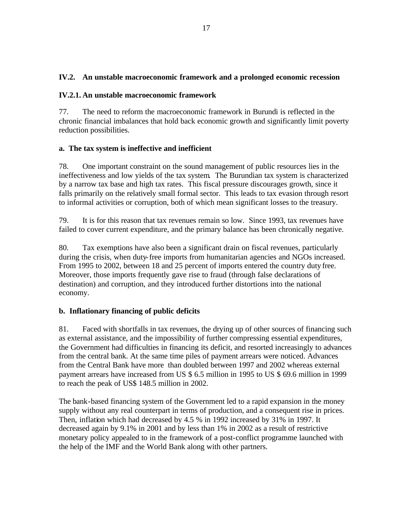### **IV.2. An unstable macroeconomic framework and a prolonged economic recession**

#### **IV.2.1. An unstable macroeconomic framework**

77. The need to reform the macroeconomic framework in Burundi is reflected in the chronic financial imbalances that hold back economic growth and significantly limit poverty reduction possibilities.

### **a. The tax system is ineffective and inefficient**

78. One important constraint on the sound management of public resources lies in the ineffectiveness and low yields of the tax system. The Burundian tax system is characterized by a narrow tax base and high tax rates. This fiscal pressure discourages growth, since it falls primarily on the relatively small formal sector. This leads to tax evasion through resort to informal activities or corruption, both of which mean significant losses to the treasury.

79. It is for this reason that tax revenues remain so low. Since 1993, tax revenues have failed to cover current expenditure, and the primary balance has been chronically negative.

80. Tax exemptions have also been a significant drain on fiscal revenues, particularly during the crisis, when duty-free imports from humanitarian agencies and NGOs increased. From 1995 to 2002, between 18 and 25 percent of imports entered the country duty free. Moreover, those imports frequently gave rise to fraud (through false declarations of destination) and corruption, and they introduced further distortions into the national economy.

### **b. Inflationary financing of public deficits**

81. Faced with shortfalls in tax revenues, the drying up of other sources of financing such as external assistance, and the impossibility of further compressing essential expenditures, the Government had difficulties in financing its deficit, and resorted increasingly to advances from the central bank. At the same time piles of payment arrears were noticed. Advances from the Central Bank have more than doubled between 1997 and 2002 whereas external payment arrears have increased from US \$ 6.5 million in 1995 to US \$ 69.6 million in 1999 to reach the peak of US\$ 148.5 million in 2002.

The bank-based financing system of the Government led to a rapid expansion in the money supply without any real counterpart in terms of production, and a consequent rise in prices. Then, inflation which had decreased by 4.5 % in 1992 increased by 31% in 1997. It decreased again by 9.1% in 2001 and by less than 1% in 2002 as a result of restrictive monetary policy appealed to in the framework of a post-conflict programme launched with the help of the IMF and the World Bank along with other partners.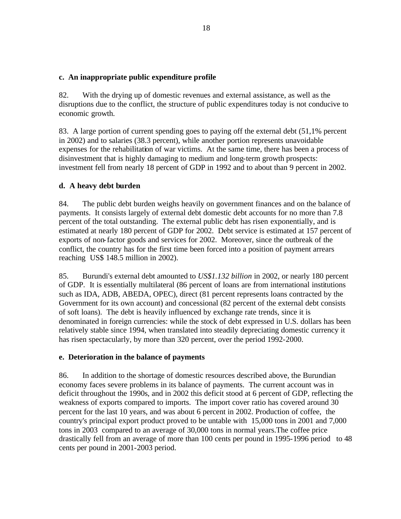#### **c. An inappropriate public expenditure profile**

82. With the drying up of domestic revenues and external assistance, as well as the disruptions due to the conflict, the structure of public expenditures today is not conducive to economic growth.

83. A large portion of current spending goes to paying off the external debt (51,1% percent in 2002) and to salaries (38.3 percent), while another portion represents unavoidable expenses for the rehabilitation of war victims. At the same time, there has been a process of disinvestment that is highly damaging to medium and long-term growth prospects: investment fell from nearly 18 percent of GDP in 1992 and to about than 9 percent in 2002.

### **d. A heavy debt burden**

84. The public debt burden weighs heavily on government finances and on the balance of payments. It consists largely of external debt domestic debt accounts for no more than 7.8 percent of the total outstanding. The external public debt has risen exponentially, and is estimated at nearly 180 percent of GDP for 2002. Debt service is estimated at 157 percent of exports of non-factor goods and services for 2002. Moreover, since the outbreak of the conflict, the country has for the first time been forced into a position of payment arrears reaching US\$ 148.5 million in 2002).

85. Burundi's external debt amounted to *US\$1.132 billion* in 2002, or nearly 180 percent of GDP. It is essentially multilateral (86 percent of loans are from international institutions such as IDA, ADB, ABEDA, OPEC), direct (81 percent represents loans contracted by the Government for its own account) and concessional (82 percent of the external debt consists of soft loans). The debt is heavily influenced by exchange rate trends, since it is denominated in foreign currencies: while the stock of debt expressed in U.S. dollars has been relatively stable since 1994, when translated into steadily depreciating domestic currency it has risen spectacularly, by more than 320 percent, over the period 1992-2000.

#### **e. Deterioration in the balance of payments**

86. In addition to the shortage of domestic resources described above, the Burundian economy faces severe problems in its balance of payments. The current account was in deficit throughout the 1990s, and in 2002 this deficit stood at 6 percent of GDP, reflecting the weakness of exports compared to imports. The import cover ratio has covered around 30 percent for the last 10 years, and was about 6 percent in 2002. Production of coffee, the country's principal export product proved to be untable with 15,000 tons in 2001 and 7,000 tons in 2003 compared to an average of 30,000 tons in normal years.The coffee price drastically fell from an average of more than 100 cents per pound in 1995-1996 period to 48 cents per pound in 2001-2003 period.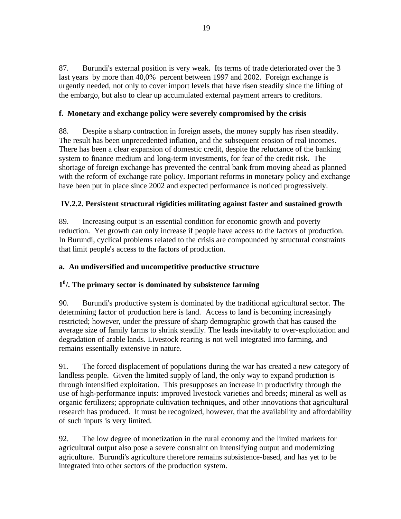87. Burundi's external position is very weak. Its terms of trade deteriorated over the 3 last years by more than 40,0% percent between 1997 and 2002. Foreign exchange is urgently needed, not only to cover import levels that have risen steadily since the lifting of the embargo, but also to clear up accumulated external payment arrears to creditors.

## **f. Monetary and exchange policy were severely compromised by the crisis**

88. Despite a sharp contraction in foreign assets, the money supply has risen steadily. The result has been unprecedented inflation, and the subsequent erosion of real incomes. There has been a clear expansion of domestic credit, despite the reluctance of the banking system to finance medium and long-term investments, for fear of the credit risk. The shortage of foreign exchange has prevented the central bank from moving ahead as planned with the reform of exchange rate policy. Important reforms in monetary policy and exchange have been put in place since 2002 and expected performance is noticed progressively.

### **IV.2.2. Persistent structural rigidities militating against faster and sustained growth**

89. Increasing output is an essential condition for economic growth and poverty reduction. Yet growth can only increase if people have access to the factors of production. In Burundi, cyclical problems related to the crisis are compounded by structural constraints that limit people's access to the factors of production.

### **a. An undiversified and uncompetitive productive structure**

# **1 0 /. The primary sector is dominated by subsistence farming**

90. Burundi's productive system is dominated by the traditional agricultural sector. The determining factor of production here is land. Access to land is becoming increasingly restricted; however, under the pressure of sharp demographic growth that has caused the average size of family farms to shrink steadily. The leads inevitably to over-exploitation and degradation of arable lands. Livestock rearing is not well integrated into farming, and remains essentially extensive in nature.

91. The forced displacement of populations during the war has created a new category of landless people. Given the limited supply of land, the only way to expand production is through intensified exploitation. This presupposes an increase in productivity through the use of high-performance inputs: improved livestock varieties and breeds; mineral as well as organic fertilizers; appropriate cultivation techniques, and other innovations that agricultural research has produced. It must be recognized, however, that the availability and affordability of such inputs is very limited.

92. The low degree of monetization in the rural economy and the limited markets for agricultural output also pose a severe constraint on intensifying output and modernizing agriculture. Burundi's agriculture therefore remains subsistence-based, and has yet to be integrated into other sectors of the production system.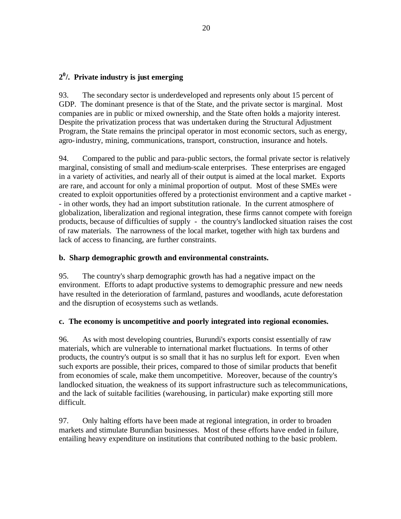# **2 0 /. Private industry is just emerging**

93. The secondary sector is underdeveloped and represents only about 15 percent of GDP. The dominant presence is that of the State, and the private sector is marginal. Most companies are in public or mixed ownership, and the State often holds a majority interest. Despite the privatization process that was undertaken during the Structural Adjustment Program, the State remains the principal operator in most economic sectors, such as energy, agro-industry, mining, communications, transport, construction, insurance and hotels.

94. Compared to the public and para-public sectors, the formal private sector is relatively marginal, consisting of small and medium-scale enterprises. These enterprises are engaged in a variety of activities, and nearly all of their output is aimed at the local market. Exports are rare, and account for only a minimal proportion of output. Most of these SMEs were created to exploit opportunities offered by a protectionist environment and a captive market - - in other words, they had an import substitution rationale. In the current atmosphere of globalization, liberalization and regional integration, these firms cannot compete with foreign products, because of difficulties of supply - the country's landlocked situation raises the cost of raw materials. The narrowness of the local market, together with high tax burdens and lack of access to financing, are further constraints.

#### **b. Sharp demographic growth and environmental constraints.**

95. The country's sharp demographic growth has had a negative impact on the environment. Efforts to adapt productive systems to demographic pressure and new needs have resulted in the deterioration of farmland, pastures and woodlands, acute deforestation and the disruption of ecosystems such as wetlands.

#### **c. The economy is uncompetitive and poorly integrated into regional economies.**

96. As with most developing countries, Burundi's exports consist essentially of raw materials, which are vulnerable to international market fluctuations. In terms of other products, the country's output is so small that it has no surplus left for export. Even when such exports are possible, their prices, compared to those of similar products that benefit from economies of scale, make them uncompetitive. Moreover, because of the country's landlocked situation, the weakness of its support infrastructure such as telecommunications, and the lack of suitable facilities (warehousing, in particular) make exporting still more difficult.

97. Only halting efforts have been made at regional integration, in order to broaden markets and stimulate Burundian businesses. Most of these efforts have ended in failure, entailing heavy expenditure on institutions that contributed nothing to the basic problem.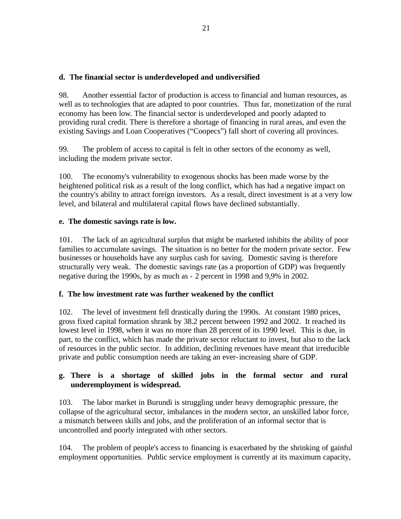### **d. The financial sector is underdeveloped and undiversified**

98. Another essential factor of production is access to financial and human resources, as well as to technologies that are adapted to poor countries. Thus far, monetization of the rural economy has been low. The financial sector is underdeveloped and poorly adapted to providing rural credit. There is therefore a shortage of financing in rural areas, and even the existing Savings and Loan Cooperatives ("Coopecs") fall short of covering all provinces.

99. The problem of access to capital is felt in other sectors of the economy as well, including the modern private sector.

100. The economy's vulnerability to exogenous shocks has been made worse by the heightened political risk as a result of the long conflict, which has had a negative impact on the country's ability to attract foreign investors. As a result, direct investment is at a very low level, and bilateral and multilateral capital flows have declined substantially.

### **e. The domestic savings rate is low.**

101. The lack of an agricultural surplus that might be marketed inhibits the ability of poor families to accumulate savings. The situation is no better for the modern private sector. Few businesses or households have any surplus cash for saving. Domestic saving is therefore structurally very weak. The domestic savings rate (as a proportion of GDP) was frequently negative during the 1990s, by as much as - 2 percent in 1998 and 9,9% in 2002.

### **f. The low investment rate was further weakened by the conflict**

102. The level of investment fell drastically during the 1990s. At constant 1980 prices, gross fixed capital formation shrank by 38.2 percent between 1992 and 2002. It reached its lowest level in 1998, when it was no more than 28 percent of its 1990 level. This is due, in part, to the conflict, which has made the private sector reluctant to invest, but also to the lack of resources in the public sector. In addition, declining revenues have meant that irreducible private and public consumption needs are taking an ever-increasing share of GDP.

### **g. There is a shortage of skilled jobs in the formal sector and rural underemployment is widespread.**

103. The labor market in Burundi is struggling under heavy demographic pressure, the collapse of the agricultural sector, imbalances in the modern sector, an unskilled labor force, a mismatch between skills and jobs, and the proliferation of an informal sector that is uncontrolled and poorly integrated with other sectors.

104. The problem of people's access to financing is exacerbated by the shrinking of gainful employment opportunities. Public service employment is currently at its maximum capacity,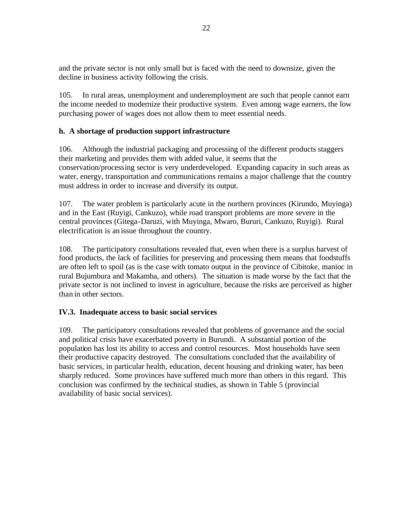and the private sector is not only small but is faced with the need to downsize, given the decline in business activity following the crisis.

105. In rural areas, unemployment and underemployment are such that people cannot earn the income needed to modernize their productive system. Even among wage earners, the low purchasing power of wages does not allow them to meet essential needs.

### **h. A shortage of production support infrastructure**

106. Although the industrial packaging and processing of the different products staggers their marketing and provides them with added value, it seems that the conservation/processing sector is very underdeveloped. Expanding capacity in such areas as water, energy, transportation and communications remains a major challenge that the country must address in order to increase and diversify its output.

107. The water problem is particularly acute in the northern provinces (Kirundo, Muyinga) and in the East (Ruyigi, Cankuzo), while road transport problems are more severe in the central provinces (Gitega-Daruzi, with Muyinga, Mwaro, Bururi, Cankuzo, Ruyigi). Rural electrification is an issue throughout the country.

108. The participatory consultations revealed that, even when there is a surplus harvest of food products, the lack of facilities for preserving and processing them means that foodstuffs are often left to spoil (as is the case with tomato output in the province of Cibitoke, manioc in rural Bujumbura and Makamba, and others). The situation is made worse by the fact that the private sector is not inclined to invest in agriculture, because the risks are perceived as higher than in other sectors.

### **IV.3. Inadequate access to basic social services**

109. The participatory consultations revealed that problems of governance and the social and political crisis have exacerbated poverty in Burundi. A substantial portion of the population has lost its ability to access and control resources. Most households have seen their productive capacity destroyed. The consultations concluded that the availability of basic services, in particular health, education, decent housing and drinking water, has been sharply reduced. Some provinces have suffered much more than others in this regard. This conclusion was confirmed by the technical studies, as shown in Table 5 (provincial availability of basic social services).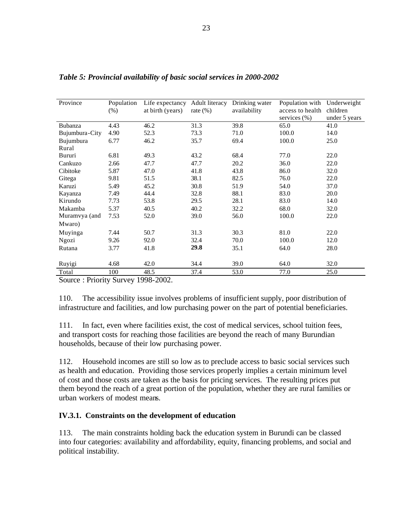| Province                                                             | Population<br>(% ) | Life expectancy<br>at birth (years) | Adult literacy<br>rate $(\%)$ | Drinking water<br>availability | Population with<br>access to health<br>services $(\%)$ | Underweight<br>children<br>under 5 years |  |  |  |
|----------------------------------------------------------------------|--------------------|-------------------------------------|-------------------------------|--------------------------------|--------------------------------------------------------|------------------------------------------|--|--|--|
| Bubanza                                                              | 4.43               | 46.2                                | 31.3                          | 39.8                           | 65.0                                                   | 41.0                                     |  |  |  |
| Bujumbura-City                                                       | 4.90               | 52.3                                | 73.3                          | 71.0                           | 100.0                                                  | 14.0                                     |  |  |  |
| Bujumbura                                                            | 6.77               | 46.2                                | 35.7                          | 69.4                           | 100.0                                                  | 25.0                                     |  |  |  |
| Rural                                                                |                    |                                     |                               |                                |                                                        |                                          |  |  |  |
| Bururi                                                               | 6.81               | 49.3                                | 43.2                          | 68.4                           | 77.0                                                   | 22.0                                     |  |  |  |
| Cankuzo                                                              | 2.66               | 47.7                                | 47.7                          | 20.2                           | 36.0                                                   | 22.0                                     |  |  |  |
| Cibitoke                                                             | 5.87               | 47.0                                | 41.8                          | 43.8                           | 86.0                                                   | 32.0                                     |  |  |  |
| Gitega                                                               | 9.81               | 51.5                                | 38.1                          | 82.5                           | 76.0                                                   | 22.0                                     |  |  |  |
| Karuzi                                                               | 5.49               | 45.2                                | 30.8                          | 51.9                           | 54.0                                                   | 37.0                                     |  |  |  |
| Kayanza                                                              | 7.49               | 44.4                                | 32.8                          | 88.1                           | 83.0                                                   | 20.0                                     |  |  |  |
| Kirundo                                                              | 7.73               | 53.8                                | 29.5                          | 28.1                           | 83.0                                                   | 14.0                                     |  |  |  |
| Makamba                                                              | 5.37               | 40.5                                | 40.2                          | 32.2                           | 68.0                                                   | 32.0                                     |  |  |  |
| Muramvya (and                                                        | 7.53               | 52.0                                | 39.0                          | 56.0                           | 100.0                                                  | 22.0                                     |  |  |  |
| Mwaro)                                                               |                    |                                     |                               |                                |                                                        |                                          |  |  |  |
| Muyinga                                                              | 7.44               | 50.7                                | 31.3                          | 30.3                           | 81.0                                                   | 22.0                                     |  |  |  |
| Ngozi                                                                | 9.26               | 92.0                                | 32.4                          | 70.0                           | 100.0                                                  | 12.0                                     |  |  |  |
| Rutana                                                               | 3.77               | 41.8                                | 29.8                          | 35.1                           | 64.0                                                   | 28.0                                     |  |  |  |
|                                                                      |                    |                                     |                               |                                |                                                        |                                          |  |  |  |
| Ruyigi                                                               | 4.68               | 42.0                                | 34.4                          | 39.0                           | 64.0                                                   | 32.0                                     |  |  |  |
| Total                                                                | 100                | 48.5                                | 37.4                          | 53.0                           | 77.0                                                   | 25.0                                     |  |  |  |
| $\gamma_{\text{ourea}}$ · Priority $\gamma_{\text{unway}}$ 1008-2002 |                    |                                     |                               |                                |                                                        |                                          |  |  |  |

*Table 5: Provincial availability of basic social services in 2000-2002*

Source : Priority Survey 1998-2002.

110. The accessibility issue involves problems of insufficient supply, poor distribution of infrastructure and facilities, and low purchasing power on the part of potential beneficiaries.

111. In fact, even where facilities exist, the cost of medical services, school tuition fees, and transport costs for reaching those facilities are beyond the reach of many Burundian households, because of their low purchasing power.

112. Household incomes are still so low as to preclude access to basic social services such as health and education. Providing those services properly implies a certain minimum level of cost and those costs are taken as the basis for pricing services. The resulting prices put them beyond the reach of a great portion of the population, whether they are rural families or urban workers of modest means.

#### **IV.3.1. Constraints on the development of education**

113. The main constraints holding back the education system in Burundi can be classed into four categories: availability and affordability, equity, financing problems, and social and political instability.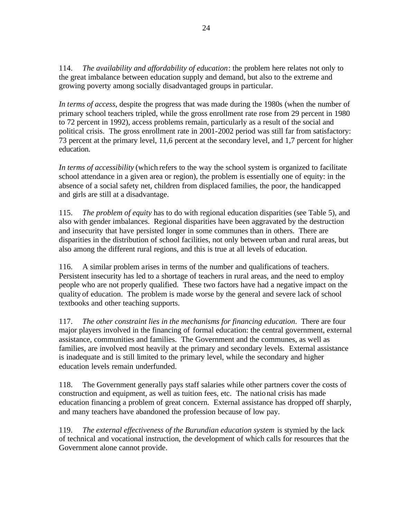114. *The availability and affordability of education*: the problem here relates not only to the great imbalance between education supply and demand, but also to the extreme and growing poverty among socially disadvantaged groups in particular.

*In terms of access*, despite the progress that was made during the 1980s (when the number of primary school teachers tripled, while the gross enrollment rate rose from 29 percent in 1980 to 72 percent in 1992), access problems remain, particularly as a result of the social and political crisis. The gross enrollment rate in 2001-2002 period was still far from satisfactory: 73 percent at the primary level, 11,6 percent at the secondary level, and 1,7 percent for higher education.

*In terms of accessibility* (which refers to the way the school system is organized to facilitate school attendance in a given area or region), the problem is essentially one of equity: in the absence of a social safety net, children from displaced families, the poor, the handicapped and girls are still at a disadvantage.

115. *The problem of equity* has to do with regional education disparities (see Table 5), and also with gender imbalances. Regional disparities have been aggravated by the destruction and insecurity that have persisted longer in some communes than in others. There are disparities in the distribution of school facilities, not only between urban and rural areas, but also among the different rural regions, and this is true at all levels of education.

116. A similar problem arises in terms of the number and qualifications of teachers. Persistent insecurity has led to a shortage of teachers in rural areas, and the need to employ people who are not properly qualified. These two factors have had a negative impact on the quality of education. The problem is made worse by the general and severe lack of school textbooks and other teaching supports.

117. *The other constraint lies in the mechanisms for financing education*. There are four major players involved in the financing of formal education: the central government, external assistance, communities and families. The Government and the communes, as well as families, are involved most heavily at the primary and secondary levels. External assistance is inadequate and is still limited to the primary level, while the secondary and higher education levels remain underfunded.

118. The Government generally pays staff salaries while other partners cover the costs of construction and equipment, as well as tuition fees, etc. The national crisis has made education financing a problem of great concern. External assistance has dropped off sharply, and many teachers have abandoned the profession because of low pay.

119. *The external effectiveness of the Burundian education system* is stymied by the lack of technical and vocational instruction, the development of which calls for resources that the Government alone cannot provide.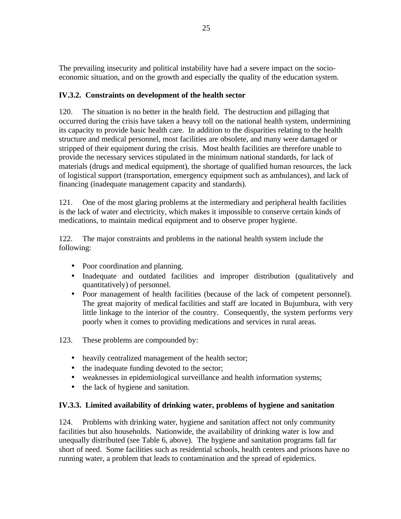The prevailing insecurity and political instability have had a severe impact on the socioeconomic situation, and on the growth and especially the quality of the education system.

## **IV.3.2. Constraints on development of the health sector**

120. The situation is no better in the health field. The destruction and pillaging that occurred during the crisis have taken a heavy toll on the national health system, undermining its capacity to provide basic health care. In addition to the disparities relating to the health structure and medical personnel, most facilities are obsolete, and many were damaged or stripped of their equipment during the crisis. Most health facilities are therefore unable to provide the necessary services stipulated in the minimum national standards, for lack of materials (drugs and medical equipment), the shortage of qualified human resources, the lack of logistical support (transportation, emergency equipment such as ambulances), and lack of financing (inadequate management capacity and standards).

121. One of the most glaring problems at the intermediary and peripheral health facilities is the lack of water and electricity, which makes it impossible to conserve certain kinds of medications, to maintain medical equipment and to observe proper hygiene.

122. The major constraints and problems in the national health system include the following:

- Poor coordination and planning.
- Inadequate and outdated facilities and improper distribution (qualitatively and quantitatively) of personnel.
- Poor management of health facilities (because of the lack of competent personnel). The great majority of medical facilities and staff are located in Bujumbura, with very little linkage to the interior of the country. Consequently, the system performs very poorly when it comes to providing medications and services in rural areas.
- 123. These problems are compounded by:
	- heavily centralized management of the health sector;
	- the inadequate funding devoted to the sector;
	- weaknesses in epidemiological surveillance and health information systems;
	- the lack of hygiene and sanitation.

#### **IV.3.3. Limited availability of drinking water, problems of hygiene and sanitation**

124. Problems with drinking water, hygiene and sanitation affect not only community facilities but also households. Nationwide, the availability of drinking water is low and unequally distributed (see Table 6, above). The hygiene and sanitation programs fall far short of need. Some facilities such as residential schools, health centers and prisons have no running water, a problem that leads to contamination and the spread of epidemics.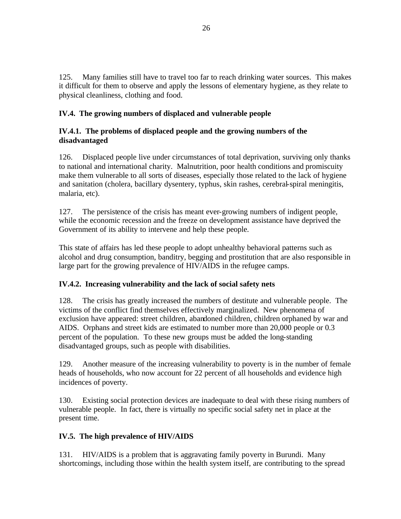125. Many families still have to travel too far to reach drinking water sources. This makes it difficult for them to observe and apply the lessons of elementary hygiene, as they relate to physical cleanliness, clothing and food.

### **IV.4. The growing numbers of displaced and vulnerable people**

### **IV.4.1. The problems of displaced people and the growing numbers of the disadvantaged**

126. Displaced people live under circumstances of total deprivation, surviving only thanks to national and international charity. Malnutrition, poor health conditions and promiscuity make them vulnerable to all sorts of diseases, especially those related to the lack of hygiene and sanitation (cholera, bacillary dysentery, typhus, skin rashes, cerebral-spiral meningitis, malaria, etc).

127. The persistence of the crisis has meant ever-growing numbers of indigent people, while the economic recession and the freeze on development assistance have deprived the Government of its ability to intervene and help these people.

This state of affairs has led these people to adopt unhealthy behavioral patterns such as alcohol and drug consumption, banditry, begging and prostitution that are also responsible in large part for the growing prevalence of HIV/AIDS in the refugee camps.

### **IV.4.2. Increasing vulnerability and the lack of social safety nets**

128. The crisis has greatly increased the numbers of destitute and vulnerable people. The victims of the conflict find themselves effectively marginalized. New phenomena of exclusion have appeared: street children, abandoned children, children orphaned by war and AIDS. Orphans and street kids are estimated to number more than 20,000 people or 0.3 percent of the population. To these new groups must be added the long-standing disadvantaged groups, such as people with disabilities.

129. Another measure of the increasing vulnerability to poverty is in the number of female heads of households, who now account for 22 percent of all households and evidence high incidences of poverty.

130. Existing social protection devices are inadequate to deal with these rising numbers of vulnerable people. In fact, there is virtually no specific social safety net in place at the present time.

### **IV.5. The high prevalence of HIV/AIDS**

131. HIV/AIDS is a problem that is aggravating family poverty in Burundi. Many shortcomings, including those within the health system itself, are contributing to the spread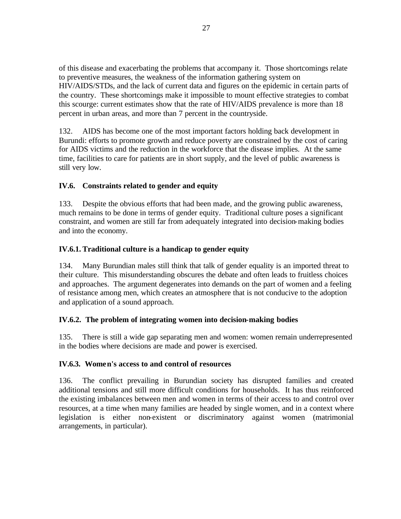of this disease and exacerbating the problems that accompany it. Those shortcomings relate to preventive measures, the weakness of the information gathering system on HIV/AIDS/STDs, and the lack of current data and figures on the epidemic in certain parts of the country. These shortcomings make it impossible to mount effective strategies to combat this scourge: current estimates show that the rate of HIV/AIDS prevalence is more than 18 percent in urban areas, and more than 7 percent in the countryside.

132. AIDS has become one of the most important factors holding back development in Burundi: efforts to promote growth and reduce poverty are constrained by the cost of caring for AIDS victims and the reduction in the workforce that the disease implies. At the same time, facilities to care for patients are in short supply, and the level of public awareness is still very low.

# **IV.6. Constraints related to gender and equity**

133. Despite the obvious efforts that had been made, and the growing public awareness, much remains to be done in terms of gender equity. Traditional culture poses a significant constraint, and women are still far from adequately integrated into decision-making bodies and into the economy.

#### **IV.6.1. Traditional culture is a handicap to gender equity**

134. Many Burundian males still think that talk of gender equality is an imported threat to their culture. This misunderstanding obscures the debate and often leads to fruitless choices and approaches. The argument degenerates into demands on the part of women and a feeling of resistance among men, which creates an atmosphere that is not conducive to the adoption and application of a sound approach.

#### **IV.6.2. The problem of integrating women into decision-making bodies**

135. There is still a wide gap separating men and women: women remain underrepresented in the bodies where decisions are made and power is exercised.

#### **IV.6.3. Women's access to and control of resources**

136. The conflict prevailing in Burundian society has disrupted families and created additional tensions and still more difficult conditions for households. It has thus reinforced the existing imbalances between men and women in terms of their access to and control over resources, at a time when many families are headed by single women, and in a context where legislation is either non-existent or discriminatory against women (matrimonial arrangements, in particular).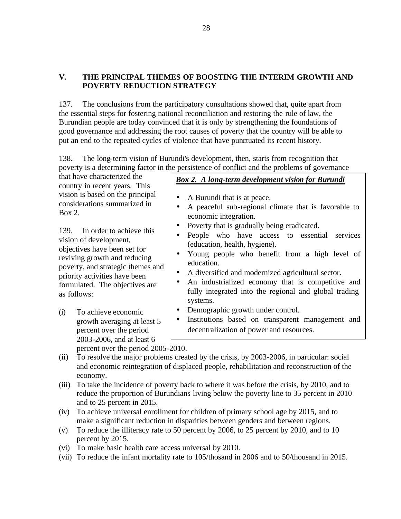# **V. THE PRINCIPAL THEMES OF BOOSTING THE INTERIM GROWTH AND POVERTY REDUCTION STRATEGY**

137. The conclusions from the participatory consultations showed that, quite apart from the essential steps for fostering national reconciliation and restoring the rule of law, the Burundian people are today convinced that it is only by strengthening the foundations of good governance and addressing the root causes of poverty that the country will be able to put an end to the repeated cycles of violence that have punctuated its recent history.

138. The long-term vision of Burundi's development, then, starts from recognition that poverty is a determining factor in the persistence of conflict and the problems of governance

that have characterized the country in recent years. This vision is based on the principal considerations summarized in Box 2.

139. In order to achieve this vision of development, objectives have been set for reviving growth and reducing poverty, and strategic themes and priority activities have been formulated. The objectives are as follows:

(i) To achieve economic growth averaging at least 5 percent over the period 2003-2006, and at least 6 percent over the period 2005-2010.

# *Box 2. A long-term development vision for Burundi*

- A Burundi that is at peace.
- A peaceful sub-regional climate that is favorable to economic integration.
- Poverty that is gradually being eradicated.
- People who have access to essential services (education, health, hygiene).
- Young people who benefit from a high level of education.
- A diversified and modernized agricultural sector.
- An industrialized economy that is competitive and fully integrated into the regional and global trading systems.
- Demographic growth under control.
- Institutions based on transparent management and decentralization of power and resources.
- (ii) To resolve the major problems created by the crisis, by 2003-2006, in particular: social and economic reintegration of displaced people, rehabilitation and reconstruction of the economy.
- (iii) To take the incidence of poverty back to where it was before the crisis, by 2010, and to reduce the proportion of Burundians living below the poverty line to 35 percent in 2010 and to 25 percent in 2015.
- (iv) To achieve universal enrollment for children of primary school age by 2015, and to make a significant reduction in disparities between genders and between regions.
- (v) To reduce the illiteracy rate to 50 percent by 2006, to 25 percent by 2010, and to 10 percent by 2015.
- (vi) To make basic health care access universal by 2010.
- (vii) To reduce the infant mortality rate to 105/thosand in 2006 and to 50/thousand in 2015.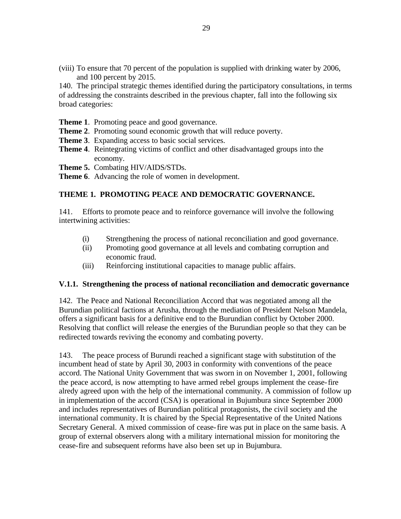(viii) To ensure that 70 percent of the population is supplied with drinking water by 2006, and 100 percent by 2015.

140. The principal strategic themes identified during the participatory consultations, in terms of addressing the constraints described in the previous chapter, fall into the following six broad categories:

- **Theme 1**. Promoting peace and good governance.
- **Theme 2**. Promoting sound economic growth that will reduce poverty.
- **Theme 3**. Expanding access to basic social services.
- **Theme 4**. Reintegrating victims of conflict and other disadvantaged groups into the economy.
- **Theme 5.** Combating HIV/AIDS/STDs.
- **Theme 6**. Advancing the role of women in development.

#### **THEME 1. PROMOTING PEACE AND DEMOCRATIC GOVERNANCE.**

141. Efforts to promote peace and to reinforce governance will involve the following intertwining activities:

- (i) Strengthening the process of national reconciliation and good governance.
- (ii) Promoting good governance at all levels and combating corruption and economic fraud.
- (iii) Reinforcing institutional capacities to manage public affairs.

#### **V.1.1. Strengthening the process of national reconciliation and democratic governance**

142. The Peace and National Reconciliation Accord that was negotiated among all the Burundian political factions at Arusha, through the mediation of President Nelson Mandela, offers a significant basis for a definitive end to the Burundian conflict by October 2000. Resolving that conflict will release the energies of the Burundian people so that they can be redirected towards reviving the economy and combating poverty.

143. The peace process of Burundi reached a significant stage with substitution of the incumbent head of state by April 30, 2003 in conformity with conventions of the peace accord. The National Unity Government that was sworn in on November 1, 2001, following the peace accord, is now attempting to have armed rebel groups implement the cease-fire alredy agreed upon with the help of the international community. A commission of follow up in implementation of the accord (CSA) is operational in Bujumbura since September 2000 and includes representatives of Burundian political protagonists, the civil society and the international community. It is chaired by the Special Representative of the United Nations Secretary General. A mixed commission of cease-fire was put in place on the same basis. A group of external observers along with a military international mission for monitoring the cease-fire and subsequent reforms have also been set up in Bujumbura.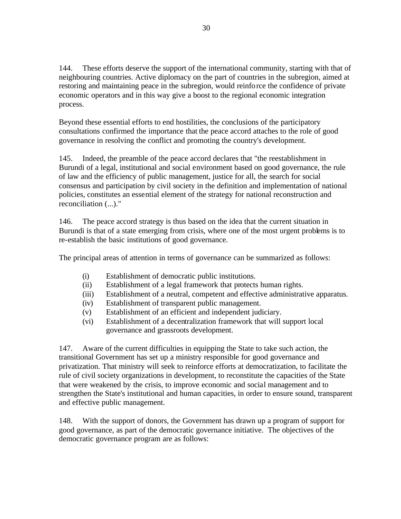144. These efforts deserve the support of the international community, starting with that of neighbouring countries. Active diplomacy on the part of countries in the subregion, aimed at restoring and maintaining peace in the subregion, would reinforce the confidence of private economic operators and in this way give a boost to the regional economic integration process.

Beyond these essential efforts to end hostilities, the conclusions of the participatory consultations confirmed the importance that the peace accord attaches to the role of good governance in resolving the conflict and promoting the country's development.

145. Indeed, the preamble of the peace accord declares that "the reestablishment in Burundi of a legal, institutional and social environment based on good governance, the rule of law and the efficiency of public management, justice for all, the search for social consensus and participation by civil society in the definition and implementation of national policies, constitutes an essential element of the strategy for national reconstruction and reconciliation (...)."

146. The peace accord strategy is thus based on the idea that the current situation in Burundi is that of a state emerging from crisis, where one of the most urgent problems is to re-establish the basic institutions of good governance.

The principal areas of attention in terms of governance can be summarized as follows:

- (i) Establishment of democratic public institutions.
- (ii) Establishment of a legal framework that protects human rights.
- (iii) Establishment of a neutral, competent and effective administrative apparatus.
- (iv) Establishment of transparent public management.
- (v) Establishment of an efficient and independent judiciary.
- (vi) Establishment of a decentralization framework that will support local governance and grassroots development.

147. Aware of the current difficulties in equipping the State to take such action, the transitional Government has set up a ministry responsible for good governance and privatization. That ministry will seek to reinforce efforts at democratization, to facilitate the rule of civil society organizations in development, to reconstitute the capacities of the State that were weakened by the crisis, to improve economic and social management and to strengthen the State's institutional and human capacities, in order to ensure sound, transparent and effective public management.

148. With the support of donors, the Government has drawn up a program of support for good governance, as part of the democratic governance initiative. The objectives of the democratic governance program are as follows: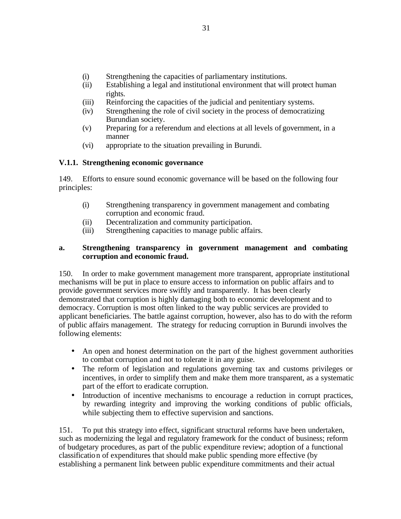- (i) Strengthening the capacities of parliamentary institutions.
- (ii) Establishing a legal and institutional environment that will protect human rights.
- (iii) Reinforcing the capacities of the judicial and penitentiary systems.
- (iv) Strengthening the role of civil society in the process of democratizing Burundian society.
- (v) Preparing for a referendum and elections at all levels of government, in a manner
- (vi) appropriate to the situation prevailing in Burundi.

#### **V.1.1. Strengthening economic governance**

149. Efforts to ensure sound economic governance will be based on the following four principles:

- (i) Strengthening transparency in government management and combating corruption and economic fraud.
- (ii) Decentralization and community participation.
- (iii) Strengthening capacities to manage public affairs.

#### **a. Strengthening transparency in government management and combating corruption and economic fraud.**

150. In order to make government management more transparent, appropriate institutional mechanisms will be put in place to ensure access to information on public affairs and to provide government services more swiftly and transparently. It has been clearly demonstrated that corruption is highly damaging both to economic development and to democracy. Corruption is most often linked to the way public services are provided to applicant beneficiaries. The battle against corruption, however, also has to do with the reform of public affairs management. The strategy for reducing corruption in Burundi involves the following elements:

- An open and honest determination on the part of the highest government authorities to combat corruption and not to tolerate it in any guise.
- The reform of legislation and regulations governing tax and customs privileges or incentives, in order to simplify them and make them more transparent, as a systematic part of the effort to eradicate corruption.
- Introduction of incentive mechanisms to encourage a reduction in corrupt practices, by rewarding integrity and improving the working conditions of public officials, while subjecting them to effective supervision and sanctions.

151. To put this strategy into effect, significant structural reforms have been undertaken, such as modernizing the legal and regulatory framework for the conduct of business; reform of budgetary procedures, as part of the public expenditure review; adoption of a functional classification of expenditures that should make public spending more effective (by establishing a permanent link between public expenditure commitments and their actual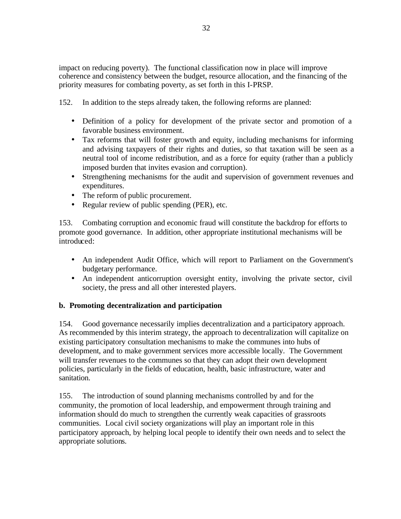impact on reducing poverty). The functional classification now in place will improve coherence and consistency between the budget, resource allocation, and the financing of the priority measures for combating poverty, as set forth in this I-PRSP.

152. In addition to the steps already taken, the following reforms are planned:

- Definition of a policy for development of the private sector and promotion of a favorable business environment.
- Tax reforms that will foster growth and equity, including mechanisms for informing and advising taxpayers of their rights and duties, so that taxation will be seen as a neutral tool of income redistribution, and as a force for equity (rather than a publicly imposed burden that invites evasion and corruption).
- Strengthening mechanisms for the audit and supervision of government revenues and expenditures.
- The reform of public procurement.
- Regular review of public spending (PER), etc.

153. Combating corruption and economic fraud will constitute the backdrop for efforts to promote good governance. In addition, other appropriate institutional mechanisms will be introduced:

- An independent Audit Office, which will report to Parliament on the Government's budgetary performance.
- An independent anticorruption oversight entity, involving the private sector, civil society, the press and all other interested players.

#### **b. Promoting decentralization and participation**

154. Good governance necessarily implies decentralization and a participatory approach. As recommended by this interim strategy, the approach to decentralization will capitalize on existing participatory consultation mechanisms to make the communes into hubs of development, and to make government services more accessible locally. The Government will transfer revenues to the communes so that they can adopt their own development policies, particularly in the fields of education, health, basic infrastructure, water and sanitation.

155. The introduction of sound planning mechanisms controlled by and for the community, the promotion of local leadership, and empowerment through training and information should do much to strengthen the currently weak capacities of grassroots communities. Local civil society organizations will play an important role in this participatory approach, by helping local people to identify their own needs and to select the appropriate solutions.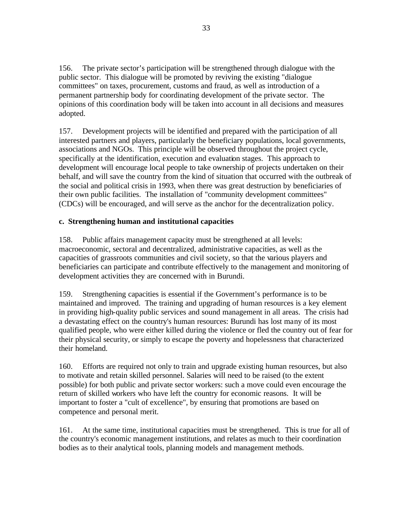156. The private sector's participation will be strengthened through dialogue with the public sector. This dialogue will be promoted by reviving the existing "dialogue committees" on taxes, procurement, customs and fraud, as well as introduction of a permanent partnership body for coordinating development of the private sector. The opinions of this coordination body will be taken into account in all decisions and measures adopted.

157. Development projects will be identified and prepared with the participation of all interested partners and players, particularly the beneficiary populations, local governments, associations and NGOs. This principle will be observed throughout the project cycle, specifically at the identification, execution and evaluation stages. This approach to development will encourage local people to take ownership of projects undertaken on their behalf, and will save the country from the kind of situation that occurred with the outbreak of the social and political crisis in 1993, when there was great destruction by beneficiaries of their own public facilities. The installation of "community development committees" (CDCs) will be encouraged, and will serve as the anchor for the decentralization policy.

# **c. Strengthening human and institutional capacities**

158. Public affairs management capacity must be strengthened at all levels: macroeconomic, sectoral and decentralized, administrative capacities, as well as the capacities of grassroots communities and civil society, so that the various players and beneficiaries can participate and contribute effectively to the management and monitoring of development activities they are concerned with in Burundi.

159. Strengthening capacities is essential if the Government's performance is to be maintained and improved. The training and upgrading of human resources is a key element in providing high-quality public services and sound management in all areas. The crisis had a devastating effect on the country's human resources: Burundi has lost many of its most qualified people, who were either killed during the violence or fled the country out of fear for their physical security, or simply to escape the poverty and hopelessness that characterized their homeland.

160. Efforts are required not only to train and upgrade existing human resources, but also to motivate and retain skilled personnel. Salaries will need to be raised (to the extent possible) for both public and private sector workers: such a move could even encourage the return of skilled workers who have left the country for economic reasons. It will be important to foster a "cult of excellence", by ensuring that promotions are based on competence and personal merit.

161. At the same time, institutional capacities must be strengthened. This is true for all of the country's economic management institutions, and relates as much to their coordination bodies as to their analytical tools, planning models and management methods.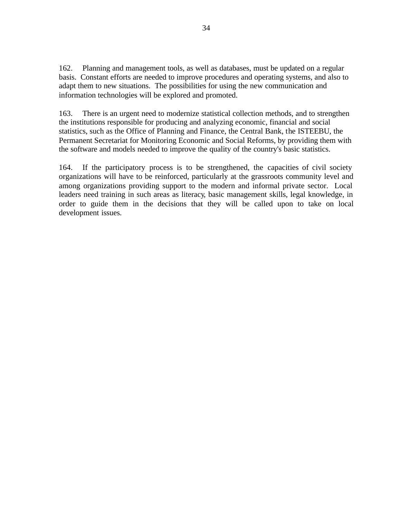162. Planning and management tools, as well as databases, must be updated on a regular basis. Constant efforts are needed to improve procedures and operating systems, and also to adapt them to new situations. The possibilities for using the new communication and information technologies will be explored and promoted.

163. There is an urgent need to modernize statistical collection methods, and to strengthen the institutions responsible for producing and analyzing economic, financial and social statistics, such as the Office of Planning and Finance, the Central Bank, the ISTEEBU, the Permanent Secretariat for Monitoring Economic and Social Reforms, by providing them with the software and models needed to improve the quality of the country's basic statistics.

164. If the participatory process is to be strengthened, the capacities of civil society organizations will have to be reinforced, particularly at the grassroots community level and among organizations providing support to the modern and informal private sector. Local leaders need training in such areas as literacy, basic management skills, legal knowledge, in order to guide them in the decisions that they will be called upon to take on local development issues.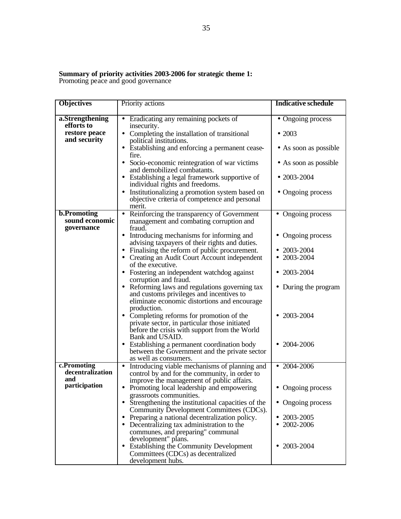#### **Summary of priority activities 2003-2006 for strategic theme 1:** Promoting peace and good governance

**Objectives** Priority actions **Indicative schedule a.Strengthening efforts to restore peace and security** • Eradicating any remaining pockets of insecurity. • Completing the installation of transitional political institutions. • Establishing and enforcing a permanent ceasefire. • Socio-economic reintegration of war victims and demobilized combatants. • Establishing a legal framework supportive of individual rights and freedoms. • Institutionalizing a promotion system based on objective criteria of competence and personal merit. • Ongoing process • 2003 • As soon as possible • As soon as possible • 2003-2004 • Ongoing process **b.Promoting sound economic governance** • Reinforcing the transparency of Government management and combating corruption and fraud. • Introducing mechanisms for informing and advising taxpayers of their rights and duties. • Finalising the reform of public procurement. • Creating an Audit Court Account independent of the executive. • Fostering an independent watchdog against corruption and fraud. • Reforming laws and regulations governing tax and customs privileges and incentives to eliminate economic distortions and encourage production. • Completing reforms for promotion of the private sector, in particular those initiated before the crisis with support from the World Bank and USAID. • Establishing a permanent coordination body between the Government and the private sector as well as consumers. • Ongoing process • Ongoing process • 2003-2004 • 2003-2004 • 2003-2004 • During the program • 2003-2004 • 2004-2006 **c.Promoting decentralization and participation** • Introducing viable mechanisms of planning and control by and for the community, in order to improve the management of public affairs. • Promoting local leadership and empowering grassroots communities. • Strengthening the institutional capacities of the Community Development Committees (CDCs). • 2004-2006 • Ongoing process • Ongoing process

> • Decentralizing tax administration to the communes, and preparing" communal

• Establishing the Community Development Committees (CDCs) as decentralized

development" plans.

development hubs.

• Preparing a national decentralization policy. • 2003-2005 • 2002-2006

• 2003-2004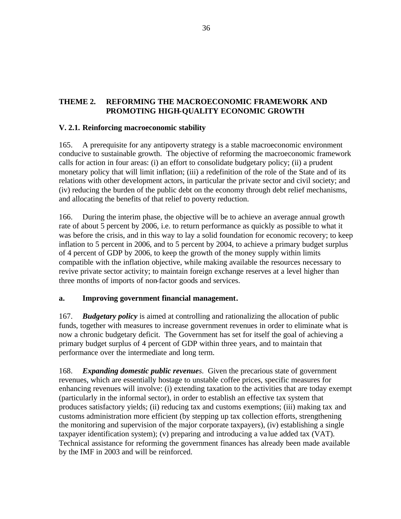# **THEME 2. REFORMING THE MACROECONOMIC FRAMEWORK AND PROMOTING HIGH-QUALITY ECONOMIC GROWTH**

#### **V. 2.1. Reinforcing macroeconomic stability**

165. A prerequisite for any antipoverty strategy is a stable macroeconomic environment conducive to sustainable growth. The objective of reforming the macroeconomic framework calls for action in four areas: (i) an effort to consolidate budgetary policy; (ii) a prudent monetary policy that will limit inflation; (iii) a redefinition of the role of the State and of its relations with other development actors, in particular the private sector and civil society; and (iv) reducing the burden of the public debt on the economy through debt relief mechanisms, and allocating the benefits of that relief to poverty reduction.

166. During the interim phase, the objective will be to achieve an average annual growth rate of about 5 percent by 2006, i.e. to return performance as quickly as possible to what it was before the crisis, and in this way to lay a solid foundation for economic recovery; to keep inflation to 5 percent in 2006, and to 5 percent by 2004, to achieve a primary budget surplus of 4 percent of GDP by 2006, to keep the growth of the money supply within limits compatible with the inflation objective, while making available the resources necessary to revive private sector activity; to maintain foreign exchange reserves at a level higher than three months of imports of non-factor goods and services.

#### **a. Improving government financial management.**

167. *Budgetary policy* is aimed at controlling and rationalizing the allocation of public funds, together with measures to increase government revenues in order to eliminate what is now a chronic budgetary deficit. The Government has set for itself the goal of achieving a primary budget surplus of 4 percent of GDP within three years, and to maintain that performance over the intermediate and long term.

168. *Expanding domestic public revenues*. Given the precarious state of government revenues, which are essentially hostage to unstable coffee prices, specific measures for enhancing revenues will involve: (i) extending taxation to the activities that are today exempt (particularly in the informal sector), in order to establish an effective tax system that produces satisfactory yields; (ii) reducing tax and customs exemptions; (iii) making tax and customs administration more efficient (by stepping up tax collection efforts, strengthening the monitoring and supervision of the major corporate taxpayers), (iv) establishing a single taxpayer identification system); (v) preparing and introducing a va lue added tax (VAT). Technical assistance for reforming the government finances has already been made available by the IMF in 2003 and will be reinforced.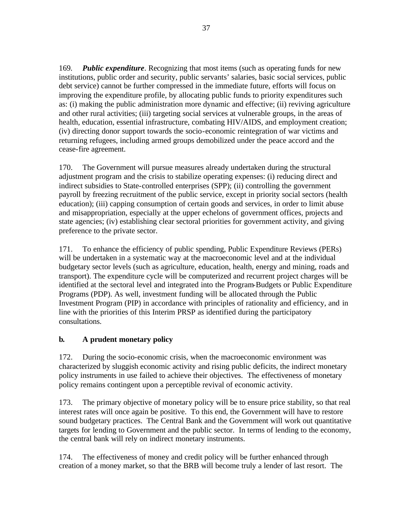169*. Public expenditure*. Recognizing that most items (such as operating funds for new institutions, public order and security, public servants' salaries, basic social services, public debt service) cannot be further compressed in the immediate future, efforts will focus on improving the expenditure profile, by allocating public funds to priority expenditures such as: (i) making the public administration more dynamic and effective; (ii) reviving agriculture and other rural activities; (iii) targeting social services at vulnerable groups, in the areas of health, education, essential infrastructure, combating HIV/AIDS, and employment creation; (iv) directing donor support towards the socio-economic reintegration of war victims and returning refugees, including armed groups demobilized under the peace accord and the cease-fire agreement.

170. The Government will pursue measures already undertaken during the structural adjustment program and the crisis to stabilize operating expenses: (i) reducing direct and indirect subsidies to State-controlled enterprises (SPP); (ii) controlling the government payroll by freezing recruitment of the public service, except in priority social sectors (health education); (iii) capping consumption of certain goods and services, in order to limit abuse and misappropriation, especially at the upper echelons of government offices, projects and state agencies; (iv) establishing clear sectoral priorities for government activity, and giving preference to the private sector.

171. To enhance the efficiency of public spending, Public Expenditure Reviews (PERs) will be undertaken in a systematic way at the macroeconomic level and at the individual budgetary sector levels (such as agriculture, education, health, energy and mining, roads and transport). The expenditure cycle will be computerized and recurrent project charges will be identified at the sectoral level and integrated into the Program-Budgets or Public Expenditure Programs (PDP). As well, investment funding will be allocated through the Public Investment Program (PIP) in accordance with principles of rationality and efficiency, and in line with the priorities of this Interim PRSP as identified during the participatory consultations.

# **b. A prudent monetary policy**

172. During the socio-economic crisis, when the macroeconomic environment was characterized by sluggish economic activity and rising public deficits, the indirect monetary policy instruments in use failed to achieve their objectives. The effectiveness of monetary policy remains contingent upon a perceptible revival of economic activity.

173. The primary objective of monetary policy will be to ensure price stability, so that real interest rates will once again be positive. To this end, the Government will have to restore sound budgetary practices. The Central Bank and the Government will work out quantitative targets for lending to Government and the public sector. In terms of lending to the economy, the central bank will rely on indirect monetary instruments.

174. The effectiveness of money and credit policy will be further enhanced through creation of a money market, so that the BRB will become truly a lender of last resort. The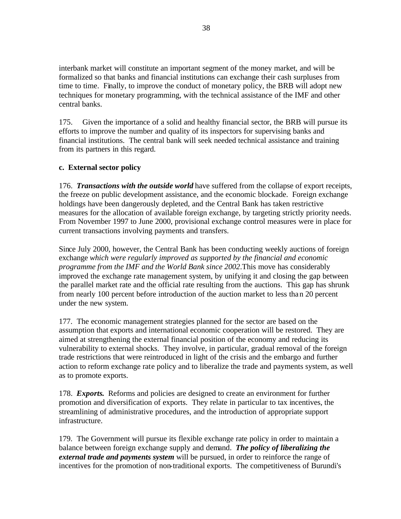interbank market will constitute an important segment of the money market, and will be formalized so that banks and financial institutions can exchange their cash surpluses from time to time. Finally, to improve the conduct of monetary policy, the BRB will adopt new techniques for monetary programming, with the technical assistance of the IMF and other central banks.

175. Given the importance of a solid and healthy financial sector, the BRB will pursue its efforts to improve the number and quality of its inspectors for supervising banks and financial institutions. The central bank will seek needed technical assistance and training from its partners in this regard.

#### **c. External sector policy**

176. *Transactions with the outside world* have suffered from the collapse of export receipts, the freeze on public development assistance, and the economic blockade. Foreign exchange holdings have been dangerously depleted, and the Central Bank has taken restrictive measures for the allocation of available foreign exchange, by targeting strictly priority needs. From November 1997 to June 2000, provisional exchange control measures were in place for current transactions involving payments and transfers.

Since July 2000, however, the Central Bank has been conducting weekly auctions of foreign exchange *which were regularly improved as supported by the financial and economic programme from the IMF and the World Bank since 2002*.This move has considerably improved the exchange rate management system, by unifying it and closing the gap between the parallel market rate and the official rate resulting from the auctions. This gap has shrunk from nearly 100 percent before introduction of the auction market to less than 20 percent under the new system.

177. The economic management strategies planned for the sector are based on the assumption that exports and international economic cooperation will be restored. They are aimed at strengthening the external financial position of the economy and reducing its vulnerability to external shocks. They involve, in particular, gradual removal of the foreign trade restrictions that were reintroduced in light of the crisis and the embargo and further action to reform exchange rate policy and to liberalize the trade and payments system, as well as to promote exports.

178. *Exports***.** Reforms and policies are designed to create an environment for further promotion and diversification of exports. They relate in particular to tax incentives, the streamlining of administrative procedures, and the introduction of appropriate support infrastructure.

179. The Government will pursue its flexible exchange rate policy in order to maintain a balance between foreign exchange supply and demand. *The policy of liberalizing the external trade and payments system* will be pursued, in order to reinforce the range of incentives for the promotion of non-traditional exports. The competitiveness of Burundi's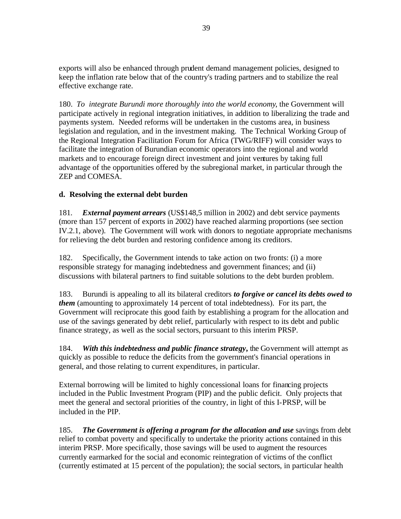exports will also be enhanced through prudent demand management policies, designed to keep the inflation rate below that of the country's trading partners and to stabilize the real effective exchange rate.

180. *To integrate Burundi more thoroughly into the world economy*, the Government will participate actively in regional integration initiatives, in addition to liberalizing the trade and payments system. Needed reforms will be undertaken in the customs area, in business legislation and regulation, and in the investment making. The Technical Working Group of the Regional Integration Facilitation Forum for Africa (TWG/RIFF) will consider ways to facilitate the integration of Burundian economic operators into the regional and world markets and to encourage foreign direct investment and joint ventures by taking full advantage of the opportunities offered by the subregional market, in particular through the ZEP and COMESA.

#### **d. Resolving the external debt burden**

181*. External payment arrears* (US\$148,5 million in 2002) and debt service payments (more than 157 percent of exports in 2002) have reached alarming proportions (see section IV.2.1, above). The Government will work with donors to negotiate appropriate mechanisms for relieving the debt burden and restoring confidence among its creditors.

182. Specifically, the Government intends to take action on two fronts: (i) a more responsible strategy for managing indebtedness and government finances; and (ii) discussions with bilateral partners to find suitable solutions to the debt burden problem.

183. Burundi is appealing to all its bilateral creditors *to forgive or cancel its debts owed to them* (amounting to approximately 14 percent of total indebtedness). For its part, the Government will reciprocate this good faith by establishing a program for the allocation and use of the savings generated by debt relief, particularly with respect to its debt and public finance strategy, as well as the social sectors, pursuant to this interim PRSP.

184. *With this indebtedness and public finance strategy***,** the Government will attempt as quickly as possible to reduce the deficits from the government's financial operations in general, and those relating to current expenditures, in particular.

External borrowing will be limited to highly concessional loans for financing projects included in the Public Investment Program (PIP) and the public deficit. Only projects that meet the general and sectoral priorities of the country, in light of this I-PRSP, will be included in the PIP.

185. *The Government is offering a program for the allocation and use* savings from debt relief to combat poverty and specifically to undertake the priority actions contained in this interim PRSP. More specifically, those savings will be used to augment the resources currently earmarked for the social and economic reintegration of victims of the conflict (currently estimated at 15 percent of the population); the social sectors, in particular health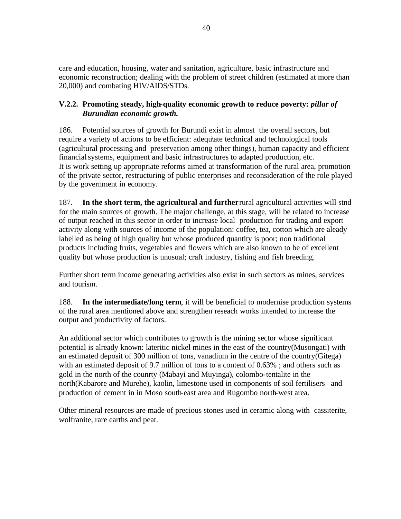care and education, housing, water and sanitation, agriculture, basic infrastructure and economic reconstruction; dealing with the problem of street children (estimated at more than 20,000) and combating HIV/AIDS/STDs.

#### **V.2.2. Promoting steady, high-quality economic growth to reduce poverty:** *pillar of Burundian economic growth.*

186. Potential sources of growth for Burundi exist in almost the overall sectors, but require a variety of actions to be efficient: adequ\ate technical and technological tools (agricultural processing and preservation among other things), human capacity and efficient financial systems, equipment and basic infrastructures to adapted production, etc. It is work setting up appropriate reforms aimed at transformation of the rural area, promotion of the private sector, restructuring of public enterprises and reconsideration of the role played by the government in economy.

187. **In the short term, the agricultural and further** rural agricultural activities will stnd for the main sources of growth. The major challenge, at this stage, will be related to increase of output reached in this sector in order to increase local production for trading and export activity along with sources of income of the population: coffee, tea, cotton which are aleady labelled as being of high quality but whose produced quantity is poor; non traditional products including fruits, vegetables and flowers which are also known to be of excellent quality but whose production is unusual; craft industry, fishing and fish breeding.

Further short term income generating activities also exist in such sectors as mines, services and tourism.

188. **In the intermediate/long term**, it will be beneficial to modernise production systems of the rural area mentioned above and strengthen reseach works intended to increase the output and productivity of factors.

An additional sector which contributes to growth is the mining sector whose significant potential is already known: lateritic nickel mines in the east of the country(Musongati) with an estimated deposit of 300 million of tons, vanadium in the centre of the country(Gitega) with an estimated deposit of 9.7 million of tons to a content of 0.63% ; and others such as gold in the north of the counrty (Mabayi and Muyinga), colombo-tentalite in the north(Kabarore and Murehe), kaolin, limestone used in components of soil fertilisers and production of cement in in Moso south-east area and Rugombo north-west area.

Other mineral resources are made of precious stones used in ceramic along with cassiterite, wolfranite, rare earths and peat.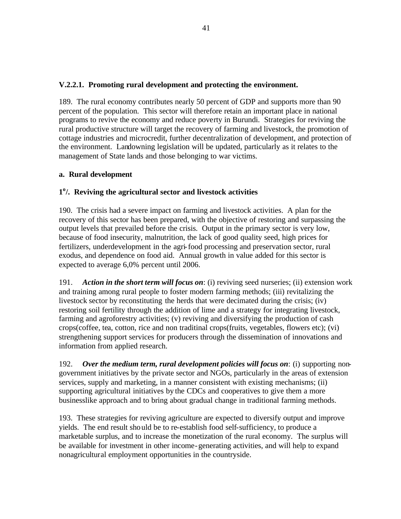#### **V.2.2.1. Promoting rural development and protecting the environment.**

189. The rural economy contributes nearly 50 percent of GDP and supports more than 90 percent of the population. This sector will therefore retain an important place in national programs to revive the economy and reduce poverty in Burundi. Strategies for reviving the rural productive structure will target the recovery of farming and livestock, the promotion of cottage industries and microcredit, further decentralization of development, and protection of the environment. Landowning legislation will be updated, particularly as it relates to the management of State lands and those belonging to war victims.

#### **a. Rural development**

# **1 o /. Reviving the agricultural sector and livestock activities**

190. The crisis had a severe impact on farming and livestock activities. A plan for the recovery of this sector has been prepared, with the objective of restoring and surpassing the output levels that prevailed before the crisis. Output in the primary sector is very low, because of food insecurity, malnutrition, the lack of good quality seed, high prices for fertilizers, underdevelopment in the agri-food processing and preservation sector, rural exodus, and dependence on food aid. Annual growth in value added for this sector is expected to average 6,0% percent until 2006.

191. *Action in the short term will focus on*: (i) reviving seed nurseries; (ii) extension work and training among rural people to foster modern farming methods; (iii) revitalizing the livestock sector by reconstituting the herds that were decimated during the crisis; (iv) restoring soil fertility through the addition of lime and a strategy for integrating livestock, farming and agroforestry activities; (v) reviving and diversifying the production of cash crops(coffee, tea, cotton, rice and non traditinal crops(fruits, vegetables, flowers etc); (vi) strengthening support services for producers through the dissemination of innovations and information from applied research.

192. *Over the medium term, rural development policies will focus on*: (i) supporting nongovernment initiatives by the private sector and NGOs, particularly in the areas of extension services, supply and marketing, in a manner consistent with existing mechanisms; (ii) supporting agricultural initiatives by the CDCs and cooperatives to give them a more businesslike approach and to bring about gradual change in traditional farming methods.

193. These strategies for reviving agriculture are expected to diversify output and improve yields. The end result should be to re-establish food self-sufficiency, to produce a marketable surplus, and to increase the monetization of the rural economy. The surplus will be available for investment in other income-generating activities, and will help to expand nonagricultural employment opportunities in the countryside.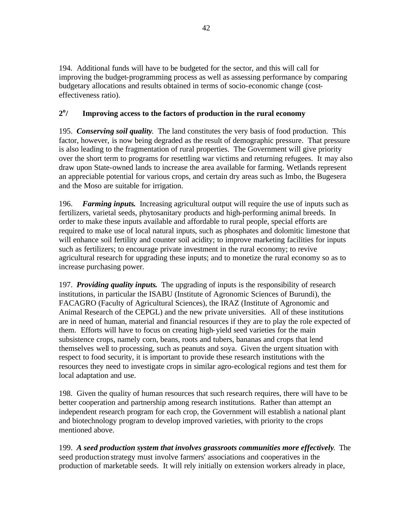194. Additional funds will have to be budgeted for the sector, and this will call for improving the budget-programming process as well as assessing performance by comparing budgetary allocations and results obtained in terms of socio-economic change (costeffectiveness ratio).

#### **2 o / Improving access to the factors of production in the rural economy**

195. *Conserving soil quality*. The land constitutes the very basis of food production. This factor, however, is now being degraded as the result of demographic pressure. That pressure is also leading to the fragmentation of rural properties. The Government will give priority over the short term to programs for resettling war victims and returning refugees. It may also draw upon State-owned lands to increase the area available for farming. Wetlands represent an appreciable potential for various crops, and certain dry areas such as Imbo, the Bugesera and the Moso are suitable for irrigation.

196. *Farming inputs***.** Increasing agricultural output will require the use of inputs such as fertilizers, varietal seeds, phytosanitary products and high-performing animal breeds. In order to make these inputs available and affordable to rural people, special efforts are required to make use of local natural inputs, such as phosphates and dolomitic limestone that will enhance soil fertility and counter soil acidity; to improve marketing facilities for inputs such as fertilizers; to encourage private investment in the rural economy; to revive agricultural research for upgrading these inputs; and to monetize the rural economy so as to increase purchasing power.

197. *Providing quality inputs***.** The upgrading of inputs is the responsibility of research institutions, in particular the ISABU (Institute of Agronomic Sciences of Burundi), the FACAGRO (Faculty of Agricultural Sciences), the IRAZ (Institute of Agronomic and Animal Research of the CEPGL) and the new private universities. All of these institutions are in need of human, material and financial resources if they are to play the role expected of them. Efforts will have to focus on creating high-yield seed varieties for the main subsistence crops, namely corn, beans, roots and tubers, bananas and crops that lend themselves well to processing, such as peanuts and soya. Given the urgent situation with respect to food security, it is important to provide these research institutions with the resources they need to investigate crops in similar agro-ecological regions and test them for local adaptation and use.

198. Given the quality of human resources that such research requires, there will have to be better cooperation and partnership among research institutions. Rather than attempt an independent research program for each crop, the Government will establish a national plant and biotechnology program to develop improved varieties, with priority to the crops mentioned above.

199. *A seed production system that involves grassroots communities more effectively*. The seed production strategy must involve farmers' associations and cooperatives in the production of marketable seeds. It will rely initially on extension workers already in place,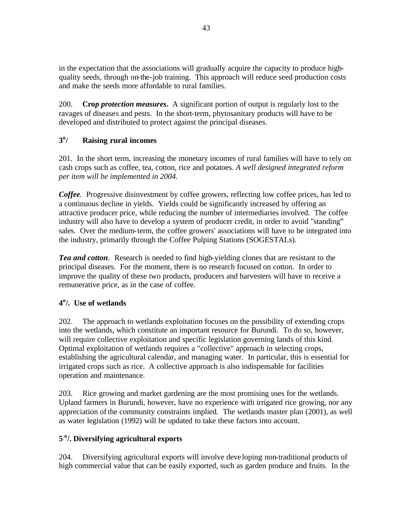in the expectation that the associations will gradually acquire the capacity to produce highquality seeds, through on-the-job training. This approach will reduce seed production costs and make the seeds more affordable to rural families.

200. **Cro***p protection measures***.** A significant portion of output is regularly lost to the ravages of diseases and pests. In the short-term, phytosanitary products will have to be developed and distributed to protect against the principal diseases.

#### **3 o / Raising rural incomes**

201. In the short term, increasing the monetary incomes of rural families will have to rely on cash crops such as coffee, tea, cotton, rice and potatoes*. A well designed integrated reform per item will be implemented in 2004.* 

*Coffee.* Progressive disinvestment by coffee growers, reflecting low coffee prices, has led to a continuous decline in yields. Yields could be significantly increased by offering an attractive producer price, while reducing the number of intermediaries involved. The coffee industry will also have to develop a system of producer credit, in order to avoid "standing" sales. Over the medium-term, the coffee growers' associations will have to be integrated into the industry, primarily through the Coffee Pulping Stations (SOGESTALs).

*Tea and cotton*. Research is needed to find high-yielding clones that are resistant to the principal diseases. For the moment, there is no research focused on cotton. In order to improve the quality of these two products, producers and harvesters will have to receive a remunerative price, as in the case of coffee.

# **4 o /. Use of wetlands**

202. The approach to wetlands exploitation focuses on the possibility of extending crops into the wetlands, which constitute an important resource for Burundi. To do so, however, will require collective exploitation and specific legislation governing lands of this kind. Optimal exploitation of wetlands requires a "collective" approach in selecting crops, establishing the agricultural calendar, and managing water. In particular, this is essential for irrigated crops such as rice. A collective approach is also indispensable for facilities operation and maintenance.

203. Rice growing and market gardening are the most promising uses for the wetlands. Upland farmers in Burundi, however, have no experience with irrigated rice growing, nor any appreciation of the community constraints implied. The wetlands master plan (2001), as well as water legislation (1992) will be updated to take these factors into account.

# **5 <sup>o</sup>/. Diversifying agricultural exports**

204. Diversifying agricultural exports will involve deve loping non-traditional products of high commercial value that can be easily exported, such as garden produce and fruits. In the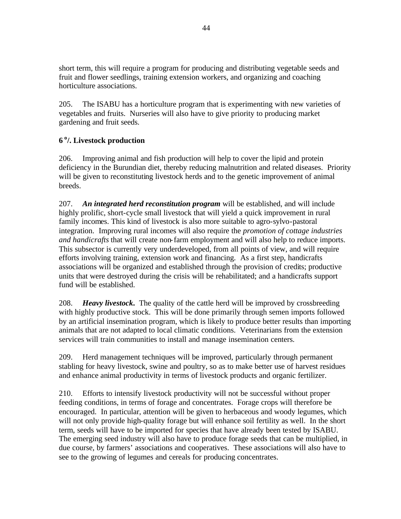short term, this will require a program for producing and distributing vegetable seeds and fruit and flower seedlings, training extension workers, and organizing and coaching horticulture associations.

205. The ISABU has a horticulture program that is experimenting with new varieties of vegetables and fruits. Nurseries will also have to give priority to producing market gardening and fruit seeds.

# **6 <sup>o</sup>/. Livestock production**

206. Improving animal and fish production will help to cover the lipid and protein deficiency in the Burundian diet, thereby reducing malnutrition and related diseases. Priority will be given to reconstituting livestock herds and to the genetic improvement of animal breeds.

207. *An integrated herd reconstitution program* will be established, and will include highly prolific, short-cycle small livestock that will yield a quick improvement in rural family incomes. This kind of livestock is also more suitable to agro-sylvo-pastoral integration. Improving rural incomes will also require the *promotion of cottage industries and handicrafts* that will create non-farm employment and will also help to reduce imports. This subsector is currently very underdeveloped, from all points of view, and will require efforts involving training, extension work and financing. As a first step, handicrafts associations will be organized and established through the provision of credits; productive units that were destroyed during the crisis will be rehabilitated; and a handicrafts support fund will be established.

208. *Heavy livestock***.** The quality of the cattle herd will be improved by crossbreeding with highly productive stock. This will be done primarily through semen imports followed by an artificial insemination program, which is likely to produce better results than importing animals that are not adapted to local climatic conditions. Veterinarians from the extension services will train communities to install and manage insemination centers.

209. Herd management techniques will be improved, particularly through permanent stabling for heavy livestock, swine and poultry, so as to make better use of harvest residues and enhance animal productivity in terms of livestock products and organic fertilizer.

210. Efforts to intensify livestock productivity will not be successful without proper feeding conditions, in terms of forage and concentrates. Forage crops will therefore be encouraged. In particular, attention will be given to herbaceous and woody legumes, which will not only provide high-quality forage but will enhance soil fertility as well. In the short term, seeds will have to be imported for species that have already been tested by ISABU. The emerging seed industry will also have to produce forage seeds that can be multiplied, in due course, by farmers' associations and cooperatives. These associations will also have to see to the growing of legumes and cereals for producing concentrates.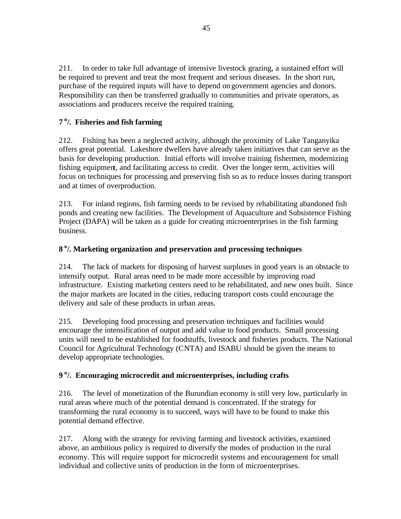211. In order to take full advantage of intensive livestock grazing, a sustained effort will be required to prevent and treat the most frequent and serious diseases. In the short run, purchase of the required inputs will have to depend on government agencies and donors. Responsibility can then be transferred gradually to communities and private operators, as associations and producers receive the required training.

# **7 <sup>o</sup>/. Fisheries and fish farming**

212. Fishing has been a neglected activity, although the proximity of Lake Tanganyika offers great potential. Lakeshore dwellers have already taken initiatives that can serve as the basis for developing production. Initial efforts will involve training fishermen, modernizing fishing equipment, and facilitating access to credit. Over the longer term, activities will focus on techniques for processing and preserving fish so as to reduce losses during transport and at times of overproduction.

213. For inland regions, fish farming needs to be revised by rehabilitating abandoned fish ponds and creating new facilities. The Development of Aquaculture and Subsistence Fishing Project (DAPA) will be taken as a guide for creating microenterprises in the fish farming business.

# **8 <sup>o</sup>/. Marketing organization and preservation and processing techniques**

214. The lack of markets for disposing of harvest surpluses in good years is an obstacle to intensify output. Rural areas need to be made more accessible by improving road infrastructure. Existing marketing centers need to be rehabilitated, and new ones built. Since the major markets are located in the cities, reducing transport costs could encourage the delivery and sale of these products in urban areas.

215. Developing food processing and preservation techniques and facilities would encourage the intensification of output and add value to food products. Small processing units will need to be established for foodstuffs, livestock and fisheries products. The National Council for Agricultural Technology (CNTA) and ISABU should be given the means to develop appropriate technologies.

# **9 <sup>o</sup>/. Encouraging microcredit and microenterprises, including crafts**

216. The level of monetization of the Burundian economy is still very low, particularly in rural areas where much of the potential demand is concentrated. If the strategy for transforming the rural economy is to succeed, ways will have to be found to make this potential demand effective.

217. Along with the strategy for reviving farming and livestock activities, examined above, an ambitious policy is required to diversify the modes of production in the rural economy. This will require support for microcredit systems and encouragement for small individual and collective units of production in the form of microenterprises.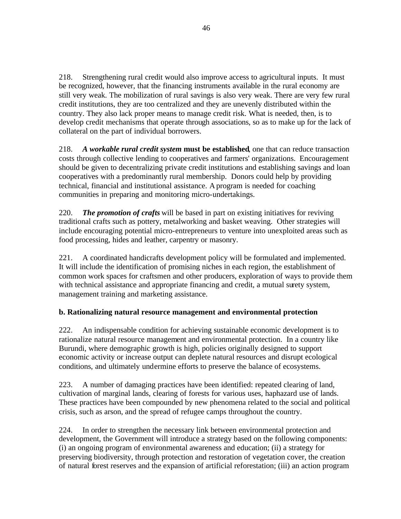218. Strengthening rural credit would also improve access to agricultural inputs. It must be recognized, however, that the financing instruments available in the rural economy are still very weak. The mobilization of rural savings is also very weak. There are very few rural credit institutions, they are too centralized and they are unevenly distributed within the country. They also lack proper means to manage credit risk. What is needed, then, is to develop credit mechanisms that operate through associations, so as to make up for the lack of collateral on the part of individual borrowers.

218. *A workable rural credit system* **must be established**, one that can reduce transaction costs through collective lending to cooperatives and farmers' organizations. Encouragement should be given to decentralizing private credit institutions and establishing savings and loan cooperatives with a predominantly rural membership. Donors could help by providing technical, financial and institutional assistance. A program is needed for coaching communities in preparing and monitoring micro-undertakings.

220. *The promotion of crafts* will be based in part on existing initiatives for reviving traditional crafts such as pottery, metalworking and basket weaving. Other strategies will include encouraging potential micro-entrepreneurs to venture into unexploited areas such as food processing, hides and leather, carpentry or masonry.

221. A coordinated handicrafts development policy will be formulated and implemented. It will include the identification of promising niches in each region, the establishment of common work spaces for craftsmen and other producers, exploration of ways to provide them with technical assistance and appropriate financing and credit, a mutual surety system, management training and marketing assistance.

# **b. Rationalizing natural resource management and environmental protection**

222. An indispensable condition for achieving sustainable economic development is to rationalize natural resource management and environmental protection. In a country like Burundi, where demographic growth is high, policies originally designed to support economic activity or increase output can deplete natural resources and disrupt ecological conditions, and ultimately undermine efforts to preserve the balance of ecosystems.

223. A number of damaging practices have been identified: repeated clearing of land, cultivation of marginal lands, clearing of forests for various uses, haphazard use of lands. These practices have been compounded by new phenomena related to the social and political crisis, such as arson, and the spread of refugee camps throughout the country.

224. In order to strengthen the necessary link between environmental protection and development, the Government will introduce a strategy based on the following components: (i) an ongoing program of environmental awareness and education; (ii) a strategy for preserving biodiversity, through protection and restoration of vegetation cover, the creation of natural forest reserves and the expansion of artificial reforestation; (iii) an action program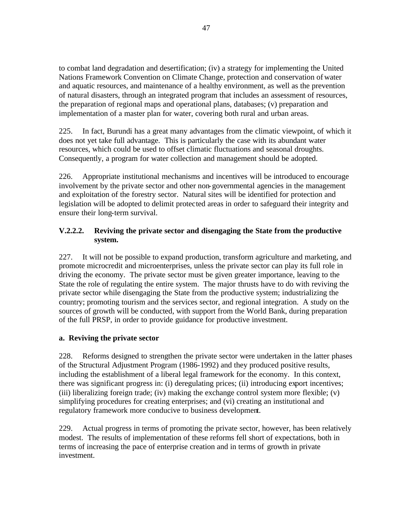to combat land degradation and desertification; (iv) a strategy for implementing the United Nations Framework Convention on Climate Change, protection and conservation of water and aquatic resources, and maintenance of a healthy environment, as well as the prevention of natural disasters, through an integrated program that includes an assessment of resources, the preparation of regional maps and operational plans, databases; (v) preparation and implementation of a master plan for water, covering both rural and urban areas.

225. In fact, Burundi has a great many advantages from the climatic viewpoint, of which it does not yet take full advantage. This is particularly the case with its abundant water resources, which could be used to offset climatic fluctuations and seasonal droughts. Consequently, a program for water collection and management should be adopted.

226. Appropriate institutional mechanisms and incentives will be introduced to encourage involvement by the private sector and other non-governmental agencies in the management and exploitation of the forestry sector. Natural sites will be identified for protection and legislation will be adopted to delimit protected areas in order to safeguard their integrity and ensure their long-term survival.

# **V.2.2.2. Reviving the private sector and disengaging the State from the productive system.**

227. It will not be possible to expand production, transform agriculture and marketing, and promote microcredit and microenterprises, unless the private sector can play its full role in driving the economy. The private sector must be given greater importance, leaving to the State the role of regulating the entire system. The major thrusts have to do with reviving the private sector while disengaging the State from the productive system; industrializing the country; promoting tourism and the services sector, and regional integration. A study on the sources of growth will be conducted, with support from the World Bank, during preparation of the full PRSP, in order to provide guidance for productive investment.

#### **a. Reviving the private sector**

228. Reforms designed to strengthen the private sector were undertaken in the latter phases of the Structural Adjustment Program (1986-1992) and they produced positive results, including the establishment of a liberal legal framework for the economy. In this context, there was significant progress in: (i) deregulating prices; (ii) introducing export incentives; (iii) liberalizing foreign trade; (iv) making the exchange control system more flexible; (v) simplifying procedures for creating enterprises; and (vi) creating an institutional and regulatory framework more conducive to business development.

229. Actual progress in terms of promoting the private sector, however, has been relatively modest. The results of implementation of these reforms fell short of expectations, both in terms of increasing the pace of enterprise creation and in terms of growth in private investment.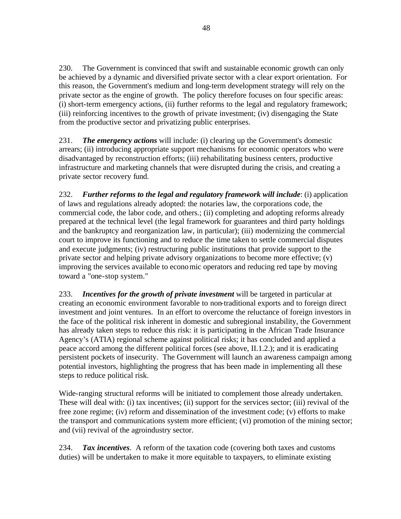230. The Government is convinced that swift and sustainable economic growth can only be achieved by a dynamic and diversified private sector with a clear export orientation. For this reason, the Government's medium and long-term development strategy will rely on the private sector as the engine of growth. The policy therefore focuses on four specific areas: (i) short-term emergency actions, (ii) further reforms to the legal and regulatory framework; (iii) reinforcing incentives to the growth of private investment; (iv) disengaging the State from the productive sector and privatizing public enterprises.

231. *The emergency actions* will include: (i) clearing up the Government's domestic arrears; (ii) introducing appropriate support mechanisms for economic operators who were disadvantaged by reconstruction efforts; (iii) rehabilitating business centers, productive infrastructure and marketing channels that were disrupted during the crisis, and creating a private sector recovery fund.

232. *Further reforms to the legal and regulatory framework will include*: (i) application of laws and regulations already adopted: the notaries law, the corporations code, the commercial code, the labor code, and others.; (ii) completing and adopting reforms already prepared at the technical level (the legal framework for guarantees and third party holdings and the bankruptcy and reorganization law, in particular); (iii) modernizing the commercial court to improve its functioning and to reduce the time taken to settle commercial disputes and execute judgments; (iv) restructuring public institutions that provide support to the private sector and helping private advisory organizations to become more effective; (v) improving the services available to economic operators and reducing red tape by moving toward a "one-stop system."

233. *Incentives for the growth of private investment* will be targeted in particular at creating an economic environment favorable to non-traditional exports and to foreign direct investment and joint ventures. In an effort to overcome the reluctance of foreign investors in the face of the political risk inherent in domestic and subregional instability, the Government has already taken steps to reduce this risk: it is participating in the African Trade Insurance Agency's (ATIA) regional scheme against political risks; it has concluded and applied a peace accord among the different political forces (see above, II.1.2.); and it is eradicating persistent pockets of insecurity. The Government will launch an awareness campaign among potential investors, highlighting the progress that has been made in implementing all these steps to reduce political risk.

Wide-ranging structural reforms will be initiated to complement those already undertaken. These will deal with: (i) tax incentives; (ii) support for the services sector; (iii) revival of the free zone regime; (iv) reform and dissemination of the investment code; (v) efforts to make the transport and communications system more efficient; (vi) promotion of the mining sector; and (vii) revival of the agroindustry sector.

234. *Tax incentives*. A reform of the taxation code (covering both taxes and customs duties) will be undertaken to make it more equitable to taxpayers, to eliminate existing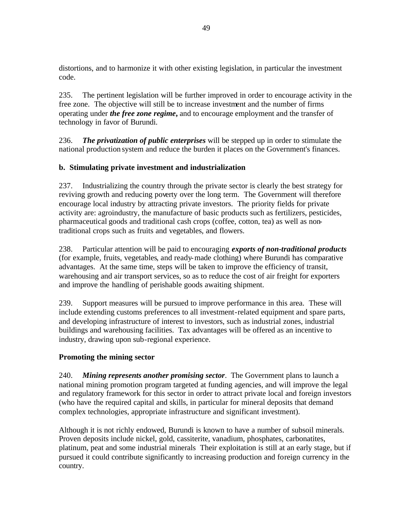distortions, and to harmonize it with other existing legislation, in particular the investment code.

235. The pertinent legislation will be further improved in order to encourage activity in the free zone. The objective will still be to increase investment and the number of firms operating under *the free zone regime***,** and to encourage employment and the transfer of technology in favor of Burundi.

236. *The privatization of public enterprises* will be stepped up in order to stimulate the national production system and reduce the burden it places on the Government's finances.

#### **b. Stimulating private investment and industrialization**

237. Industrializing the country through the private sector is clearly the best strategy for reviving growth and reducing poverty over the long term. The Government will therefore encourage local industry by attracting private investors. The priority fields for private activity are: agroindustry, the manufacture of basic products such as fertilizers, pesticides, pharmaceutical goods and traditional cash crops (coffee, cotton, tea) as well as nontraditional crops such as fruits and vegetables, and flowers.

238. Particular attention will be paid to encouraging *exports of non-traditional products* (for example, fruits, vegetables, and ready-made clothing) where Burundi has comparative advantages. At the same time, steps will be taken to improve the efficiency of transit, warehousing and air transport services, so as to reduce the cost of air freight for exporters and improve the handling of perishable goods awaiting shipment.

239. Support measures will be pursued to improve performance in this area. These will include extending customs preferences to all investment-related equipment and spare parts, and developing infrastructure of interest to investors, such as industrial zones, industrial buildings and warehousing facilities. Tax advantages will be offered as an incentive to industry, drawing upon sub-regional experience.

#### **Promoting the mining sector**

240. *Mining represents another promising sector*. The Government plans to launch a national mining promotion program targeted at funding agencies, and will improve the legal and regulatory framework for this sector in order to attract private local and foreign investors (who have the required capital and skills, in particular for mineral deposits that demand complex technologies, appropriate infrastructure and significant investment).

Although it is not richly endowed, Burundi is known to have a number of subsoil minerals. Proven deposits include nickel, gold, cassiterite, vanadium, phosphates, carbonatites, platinum, peat and some industrial minerals Their exploitation is still at an early stage, but if pursued it could contribute significantly to increasing production and foreign currency in the country.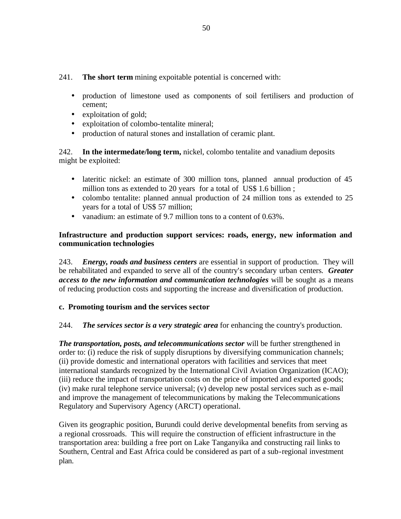241. **The short term** mining expoitable potential is concerned with:

- production of limestone used as components of soil fertilisers and production of cement;
- exploitation of gold;
- exploitation of colombo-tentalite mineral;
- production of natural stones and installation of ceramic plant.

242. **In the intermedate/long term,** nickel, colombo tentalite and vanadium deposits might be exploited:

- lateritic nickel: an estimate of 300 million tons, planned annual production of 45 million tons as extended to 20 years for a total of US\$ 1.6 billion ;
- colombo tentalite: planned annual production of 24 million tons as extended to 25 years for a total of US\$ 57 million;
- vanadium: an estimate of 9.7 million tons to a content of 0.63%.

## **Infrastructure and production support services: roads, energy, new information and communication technologies**

243. *Energy, roads and business centers* are essential in support of production. They will be rehabilitated and expanded to serve all of the country's secondary urban centers*. Greater access to the new information and communication technologies* will be sought as a means of reducing production costs and supporting the increase and diversification of production.

#### **c. Promoting tourism and the services sector**

# 244. *The services sector is a very strategic area* for enhancing the country's production.

*The transportation, posts, and telecommunications sector* will be further strengthened in order to: (i) reduce the risk of supply disruptions by diversifying communication channels; (ii) provide domestic and international operators with facilities and services that meet international standards recognized by the International Civil Aviation Organization (ICAO); (iii) reduce the impact of transportation costs on the price of imported and exported goods; (iv) make rural telephone service universal; (v) develop new postal services such as e-mail and improve the management of telecommunications by making the Telecommunications Regulatory and Supervisory Agency (ARCT) operational.

Given its geographic position, Burundi could derive developmental benefits from serving as a regional crossroads. This will require the construction of efficient infrastructure in the transportation area: building a free port on Lake Tanganyika and constructing rail links to Southern, Central and East Africa could be considered as part of a sub-regional investment plan.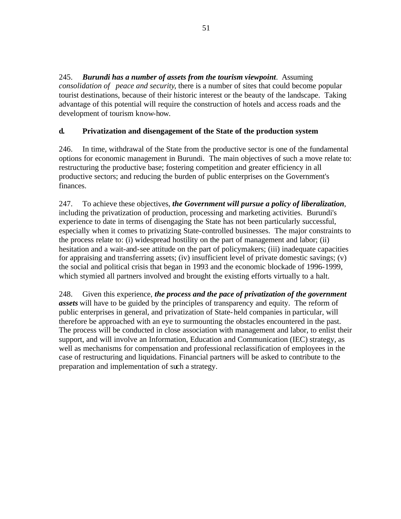245. *Burundi has a number of assets from the tourism viewpoint*. Assuming *consolidation of peace and security*, there is a number of sites that could become popular tourist destinations, because of their historic interest or the beauty of the landscape. Taking advantage of this potential will require the construction of hotels and access roads and the development of tourism know-how.

#### **d. Privatization and disengagement of the State of the production system**

246. In time, withdrawal of the State from the productive sector is one of the fundamental options for economic management in Burundi. The main objectives of such a move relate to: restructuring the productive base; fostering competition and greater efficiency in all productive sectors; and reducing the burden of public enterprises on the Government's finances.

247. To achieve these objectives, *the Government will pursue a policy of liberalization*, including the privatization of production, processing and marketing activities. Burundi's experience to date in terms of disengaging the State has not been particularly successful, especially when it comes to privatizing State-controlled businesses. The major constraints to the process relate to: (i) widespread hostility on the part of management and labor; (ii) hesitation and a wait-and-see attitude on the part of policymakers; (iii) inadequate capacities for appraising and transferring assets; (iv) insufficient level of private domestic savings; (v) the social and political crisis that began in 1993 and the economic blockade of 1996-1999, which stymied all partners involved and brought the existing efforts virtually to a halt.

248. Given this experience, *the process and the pace of privatization of the government assets* will have to be guided by the principles of transparency and equity. The reform of public enterprises in general, and privatization of State-held companies in particular, will therefore be approached with an eye to surmounting the obstacles encountered in the past. The process will be conducted in close association with management and labor, to enlist their support, and will involve an Information, Education and Communication (IEC) strategy, as well as mechanisms for compensation and professional reclassification of employees in the case of restructuring and liquidations. Financial partners will be asked to contribute to the preparation and implementation of such a strategy.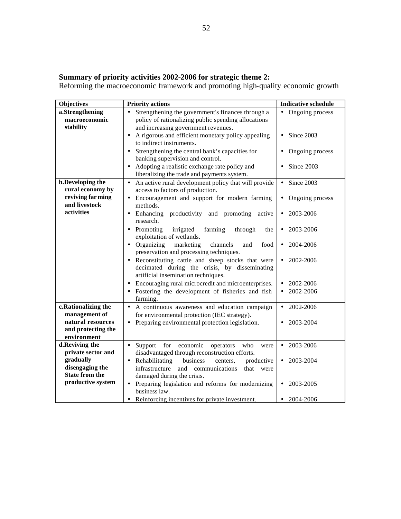#### **Summary of priority activities 2002-2006 for strategic theme 2:**

Reforming the macroeconomic framework and promoting high-quality economic growth

| <b>Objectives</b>                                      | <b>Priority actions</b>                                                                                                                         | <b>Indicative schedule</b>   |
|--------------------------------------------------------|-------------------------------------------------------------------------------------------------------------------------------------------------|------------------------------|
| a.Strengthening<br>macroeconomic<br>stability          | Strengthening the government's finances through a<br>policy of rationalizing public spending allocations<br>and increasing government revenues. | • Ongoing process            |
|                                                        | A rigorous and efficient monetary policy appealing<br>to indirect instruments.                                                                  | Since 2003<br>$\bullet$      |
|                                                        | Strengthening the central bank's capacities for<br>banking supervision and control.                                                             | Ongoing process<br>$\bullet$ |
|                                                        | Adopting a realistic exchange rate policy and<br>liberalizing the trade and payments system.                                                    | Since 2003<br>$\bullet$      |
| <b>b.Developing the</b><br>rural economy by            | An active rural development policy that will provide<br>$\bullet$<br>access to factors of production.                                           | Since 2003<br>$\bullet$      |
| reviving far ming<br>and livestock                     | Encouragement and support for modern farming<br>$\bullet$<br>methods.                                                                           | Ongoing process<br>$\bullet$ |
| activities                                             | • Enhancing productivity<br>and promoting<br>active<br>research.                                                                                | 2003-2006<br>$\bullet$       |
|                                                        | Promoting<br>irrigated<br>farming<br>through<br>the<br>exploitation of wetlands.                                                                | 2003-2006<br>$\bullet$       |
|                                                        | • Organizing<br>marketing<br>channels<br>and<br>food<br>preservation and processing techniques.                                                 | 2004-2006<br>$\bullet$       |
|                                                        | Reconstituting cattle and sheep stocks that were<br>decimated during the crisis, by disseminating<br>artificial insemination techniques.        | 2002-2006<br>$\bullet$       |
|                                                        | Encouraging rural microcredit and microenterprises.                                                                                             | 2002-2006<br>$\bullet$       |
|                                                        | Fostering the development of fisheries and fish<br>farming.                                                                                     | 2002-2006<br>$\bullet$       |
| c.Rationalizing the<br>management of                   | A continuous awareness and education campaign<br>$\bullet$<br>for environmental protection (IEC strategy).                                      | 2002-2006<br>$\bullet$       |
| natural resources<br>and protecting the<br>environment | Preparing environmental protection legislation.                                                                                                 | 2003-2004<br>$\bullet$       |
| d.Reviving the                                         | Support<br>for<br>economic<br>who<br>$\bullet$<br>operators<br>were                                                                             | 2003-2006<br>$\bullet$       |
| private sector and                                     | disadvantaged through reconstruction efforts.                                                                                                   |                              |
| gradually<br>disengaging the                           | Rehabilitating<br>business<br>centers,<br>productive<br>$\bullet$<br>infrastructure<br>communications                                           | 2003-2004<br>$\bullet$       |
| <b>State from the</b>                                  | and<br>that<br>were<br>damaged during the crisis.                                                                                               |                              |
| productive system                                      | • Preparing legislation and reforms for modernizing<br>business law.                                                                            | 2003-2005<br>$\bullet$       |
|                                                        | Reinforcing incentives for private investment.<br>$\bullet$                                                                                     | 2004-2006<br>$\bullet$       |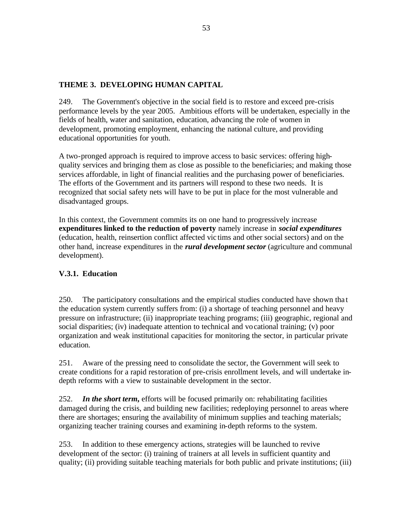## **THEME 3. DEVELOPING HUMAN CAPITAL**

249. The Government's objective in the social field is to restore and exceed pre-crisis performance levels by the year 2005. Ambitious efforts will be undertaken, especially in the fields of health, water and sanitation, education, advancing the role of women in development, promoting employment, enhancing the national culture, and providing educational opportunities for youth.

A two-pronged approach is required to improve access to basic services: offering highquality services and bringing them as close as possible to the beneficiaries; and making those services affordable, in light of financial realities and the purchasing power of beneficiaries. The efforts of the Government and its partners will respond to these two needs. It is recognized that social safety nets will have to be put in place for the most vulnerable and disadvantaged groups.

In this context, the Government commits its on one hand to progressively increase **expenditures linked to the reduction of poverty** namely increase in *social expenditures* (education, health, reinsertion conflict affected vic tims and other social sectors) and on the other hand, increase expenditures in the *rural development sector* (agriculture and communal development).

#### **V.3.1. Education**

250. The participatory consultations and the empirical studies conducted have shown tha t the education system currently suffers from: (i) a shortage of teaching personnel and heavy pressure on infrastructure; (ii) inappropriate teaching programs; (iii) geographic, regional and social disparities; (iv) inadequate attention to technical and vocational training; (v) poor organization and weak institutional capacities for monitoring the sector, in particular private education.

251. Aware of the pressing need to consolidate the sector, the Government will seek to create conditions for a rapid restoration of pre-crisis enrollment levels, and will undertake indepth reforms with a view to sustainable development in the sector.

252. *In the short term***,** efforts will be focused primarily on: rehabilitating facilities damaged during the crisis, and building new facilities; redeploying personnel to areas where there are shortages; ensuring the availability of minimum supplies and teaching materials; organizing teacher training courses and examining in-depth reforms to the system.

253. In addition to these emergency actions, strategies will be launched to revive development of the sector: (i) training of trainers at all levels in sufficient quantity and quality; (ii) providing suitable teaching materials for both public and private institutions; (iii)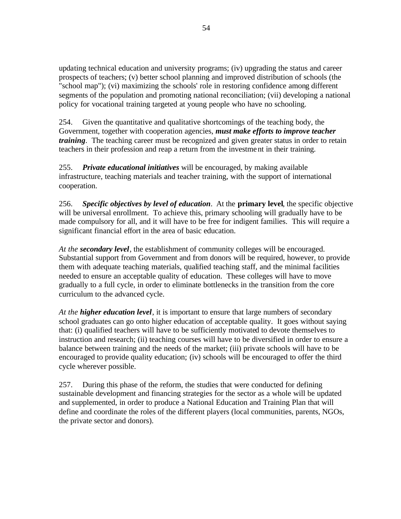updating technical education and university programs; (iv) upgrading the status and career prospects of teachers; (v) better school planning and improved distribution of schools (the "school map"); (vi) maximizing the schools' role in restoring confidence among different segments of the population and promoting national reconciliation; (vii) developing a national policy for vocational training targeted at young people who have no schooling.

254. Given the quantitative and qualitative shortcomings of the teaching body, the Government, together with cooperation agencies, *must make efforts to improve teacher training*. The teaching career must be recognized and given greater status in order to retain teachers in their profession and reap a return from the investment in their training.

255. *Private educational initiatives* will be encouraged, by making available infrastructure, teaching materials and teacher training, with the support of international cooperation.

256. *Specific objectives by level of education*. At the **primary level**, the specific objective will be universal enrollment. To achieve this, primary schooling will gradually have to be made compulsory for all, and it will have to be free for indigent families. This will require a significant financial effort in the area of basic education.

*At the secondary level*, the establishment of community colleges will be encouraged. Substantial support from Government and from donors will be required, however, to provide them with adequate teaching materials, qualified teaching staff, and the minimal facilities needed to ensure an acceptable quality of education. These colleges will have to move gradually to a full cycle, in order to eliminate bottlenecks in the transition from the core curriculum to the advanced cycle.

*At the higher education level*, it is important to ensure that large numbers of secondary school graduates can go onto higher education of acceptable quality. It goes without saying that: (i) qualified teachers will have to be sufficiently motivated to devote themselves to instruction and research; (ii) teaching courses will have to be diversified in order to ensure a balance between training and the needs of the market; (iii) private schools will have to be encouraged to provide quality education; (iv) schools will be encouraged to offer the third cycle wherever possible.

257. During this phase of the reform, the studies that were conducted for defining sustainable development and financing strategies for the sector as a whole will be updated and supplemented, in order to produce a National Education and Training Plan that will define and coordinate the roles of the different players (local communities, parents, NGOs, the private sector and donors).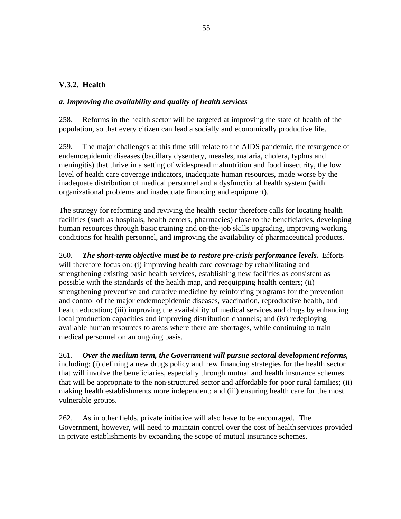#### **V.3.2. Health**

#### *a. Improving the availability and quality of health services*

258. Reforms in the health sector will be targeted at improving the state of health of the population, so that every citizen can lead a socially and economically productive life.

259. The major challenges at this time still relate to the AIDS pandemic, the resurgence of endemoepidemic diseases (bacillary dysentery, measles, malaria, cholera, typhus and meningitis) that thrive in a setting of widespread malnutrition and food insecurity, the low level of health care coverage indicators, inadequate human resources, made worse by the inadequate distribution of medical personnel and a dysfunctional health system (with organizational problems and inadequate financing and equipment).

The strategy for reforming and reviving the health sector therefore calls for locating health facilities (such as hospitals, health centers, pharmacies) close to the beneficiaries, developing human resources through basic training and on-the-job skills upgrading, improving working conditions for health personnel, and improving the availability of pharmaceutical products.

260. *The short-term objective must be to restore pre-crisis performance levels***.** Efforts will therefore focus on: (i) improving health care coverage by rehabilitating and strengthening existing basic health services, establishing new facilities as consistent as possible with the standards of the health map, and reequipping health centers; (ii) strengthening preventive and curative medicine by reinforcing programs for the prevention and control of the major endemoepidemic diseases, vaccination, reproductive health, and health education; (iii) improving the availability of medical services and drugs by enhancing local production capacities and improving distribution channels; and (iv) redeploying available human resources to areas where there are shortages, while continuing to train medical personnel on an ongoing basis.

261. *Over the medium term, the Government will pursue sectoral development reforms,* including: (i) defining a new drugs policy and new financing strategies for the health sector that will involve the beneficiaries, especially through mutual and health insurance schemes that will be appropriate to the non-structured sector and affordable for poor rural families; (ii) making health establishments more independent; and (iii) ensuring health care for the most vulnerable groups.

262. As in other fields, private initiative will also have to be encouraged. The Government, however, will need to maintain control over the cost of health services provided in private establishments by expanding the scope of mutual insurance schemes.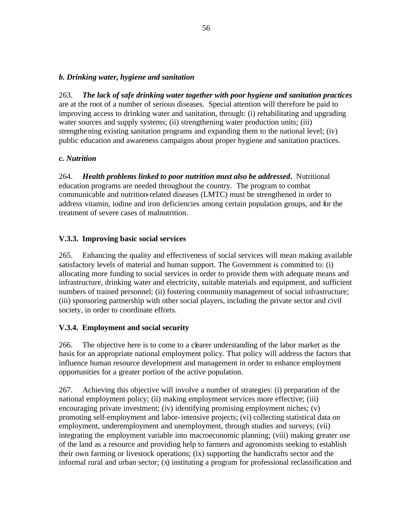#### *b. Drinking water, hygiene and sanitation*

263. *The lack of safe drinking water together with poor hygiene and sanitation practices* are at the root of a number of serious diseases. Special attention will therefore be paid to improving access to drinking water and sanitation, through: (i) rehabilitating and upgrading water sources and supply systems; (ii) strengthening water production units; (iii) strengthening existing sanitation programs and expanding them to the national level; (iv) public education and awareness campaigns about proper hygiene and sanitation practices.

#### *c. Nutrition*

264. *Health problems linked to poor nutrition must also be addressed***.** Nutritional education programs are needed throughout the country. The program to combat communicable and nutrition-related diseases (LMTC) must be strengthened in order to address vitamin, iodine and iron deficiencies among certain population groups, and for the treatment of severe cases of malnutrition.

# **V.3.3. Improving basic social services**

265. Enhancing the quality and effectiveness of social services will mean making available satisfactory levels of material and human support. The Government is committed to: (i) allocating more funding to social services in order to provide them with adequate means and infrastructure, drinking water and electricity, suitable materials and equipment, and sufficient numbers of trained personnel; (ii) fostering community management of social infrastructure; (iii) sponsoring partnership with other social players, including the private sector and civil society, in order to coordinate efforts.

#### **V.3.4. Employment and social security**

266. The objective here is to come to a clearer understanding of the labor market as the basis for an appropriate national employment policy. That policy will address the factors that influence human resource development and management in order to enhance employment opportunities for a greater portion of the active population.

267. Achieving this objective will involve a number of strategies: (i) preparation of the national employment policy; (ii) making employment services more effective; (iii) encouraging private investment; (iv) identifying promising employment niches; (v) promoting self-employment and labor-intensive projects; (vi) collecting statistical data on employment, underemployment and unemployment, through studies and surveys; (vii) integrating the employment variable into macroeconomic planning; (viii) making greater use of the land as a resource and providing help to farmers and agronomists seeking to establish their own farming or livestock operations; (ix) supporting the handicrafts sector and the informal rural and urban sector; (x) instituting a program for professional reclassification and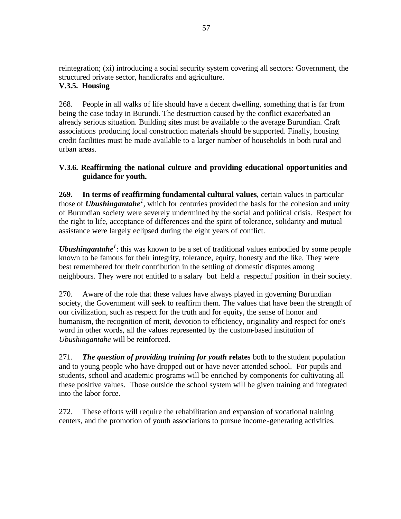reintegration; (xi) introducing a social security system covering all sectors: Government, the structured private sector, handicrafts and agriculture. **V.3.5. Housing**

268. People in all walks of life should have a decent dwelling, something that is far from being the case today in Burundi. The destruction caused by the conflict exacerbated an already serious situation. Building sites must be available to the average Burundian. Craft associations producing local construction materials should be supported. Finally, housing credit facilities must be made available to a larger number of households in both rural and urban areas.

#### **V.3.6. Reaffirming the national culture and providing educational opportunities and guidance for youth.**

**269. In terms of reaffirming fundamental cultural values**, certain values in particular those of *Ubushingantahe<sup>1</sup>*, which for centuries provided the basis for the cohesion and unity of Burundian society were severely undermined by the social and political crisis. Respect for the right to life, acceptance of differences and the spirit of tolerance, solidarity and mutual assistance were largely eclipsed during the eight years of conflict.

*Ubushingantahe<sup>1</sup>* : this was known to be a set of traditional values embodied by some people known to be famous for their integrity, tolerance, equity, honesty and the like. They were best remembered for their contribution in the settling of domestic disputes among neighbours. They were not entitled to a salary but held a respectuf position in their society.

270. Aware of the role that these values have always played in governing Burundian society, the Government will seek to reaffirm them. The values that have been the strength of our civilization, such as respect for the truth and for equity, the sense of honor and humanism, the recognition of merit, devotion to efficiency, originality and respect for one's word in other words, all the values represented by the custom-based institution of *Ubushingantahe* will be reinforced.

271. *The question of providing training for youth* **relates** both to the student population and to young people who have dropped out or have never attended school. For pupils and students, school and academic programs will be enriched by components for cultivating all these positive values. Those outside the school system will be given training and integrated into the labor force.

272. These efforts will require the rehabilitation and expansion of vocational training centers, and the promotion of youth associations to pursue income-generating activities.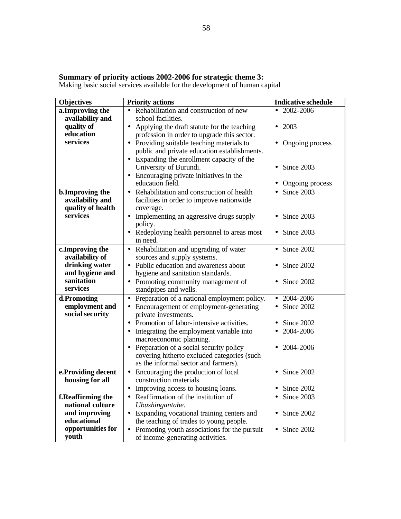#### **Summary of priority actions 2002-2006 for strategic theme 3:**

Making basic social services available for the development of human capital

| <b>Objectives</b>                  | <b>Priority actions</b>                                               | <b>Indicative schedule</b> |
|------------------------------------|-----------------------------------------------------------------------|----------------------------|
| a.Improving the                    | Rehabilitation and construction of new                                | 2002-2006<br>$\bullet$     |
| availability and                   | school facilities.                                                    |                            |
| quality of                         | • Applying the draft statute for the teaching                         | 2003<br>$\bullet$          |
| education                          | profession in order to upgrade this sector.                           |                            |
| services                           | Providing suitable teaching materials to<br>$\bullet$                 | Ongoing process            |
|                                    | public and private education establishments.                          |                            |
|                                    | Expanding the enrollment capacity of the<br>$\bullet$                 |                            |
|                                    | University of Burundi.                                                | Since 2003                 |
|                                    | Encouraging private initiatives in the                                |                            |
|                                    | education field.                                                      | Ongoing process            |
| b.Improving the                    | Rehabilitation and construction of health<br>$\bullet$                | Since 2003<br>$\bullet$    |
| availability and                   | facilities in order to improve nationwide                             |                            |
| quality of health                  | coverage.                                                             |                            |
| services                           | Implementing an aggressive drugs supply<br>$\bullet$                  | Since 2003                 |
|                                    | policy.                                                               |                            |
|                                    | Redeploying health personnel to areas most<br>$\bullet$               | Since 2003                 |
|                                    | in need.                                                              |                            |
| c.Improving the<br>availability of | Rehabilitation and upgrading of water<br>$\bullet$                    | Since 2002<br>$\bullet$    |
| drinking water                     | sources and supply systems.<br>• Public education and awareness about | Since 2002<br>$\bullet$    |
| and hygiene and                    | hygiene and sanitation standards.                                     |                            |
| sanitation                         | • Promoting community management of                                   | Since 2002                 |
| services                           | standpipes and wells.                                                 |                            |
| d.Promoting                        | Preparation of a national employment policy.<br>$\bullet$             | 2004-2006<br>$\bullet$     |
| employment and                     | Encouragement of employment-generating<br>$\bullet$                   | Since 2002<br>$\bullet$    |
| social security                    | private investments.                                                  |                            |
|                                    | Promotion of labor-intensive activities.                              | Since 2002                 |
|                                    | Integrating the employment variable into<br>$\bullet$                 | 2004-2006<br>$\bullet$     |
|                                    | macroeconomic planning.                                               |                            |
|                                    | Preparation of a social security policy<br>$\bullet$                  | 2004-2006                  |
|                                    | covering hitherto excluded categories (such                           |                            |
|                                    | as the informal sector and farmers).                                  |                            |
| e.Providing decent                 | • Encouraging the production of local                                 | Since 2002<br>$\bullet$    |
| housing for all                    | construction materials.                                               |                            |
|                                    | Improving access to housing loans.<br>$\bullet$                       | Since 2002<br>$\bullet$    |
| f.Reaffirming the                  | Reaffirmation of the institution of<br>$\bullet$                      | Since 2003<br>$\bullet$    |
| national culture                   | Ubushingantahe.                                                       |                            |
| and improving                      | • Expanding vocational training centers and                           | Since 2002<br>$\bullet$    |
| educational                        | the teaching of trades to young people.                               |                            |
| opportunities for                  | Promoting youth associations for the pursuit<br>$\bullet$             | Since 2002<br>$\bullet$    |
| youth                              | of income-generating activities.                                      |                            |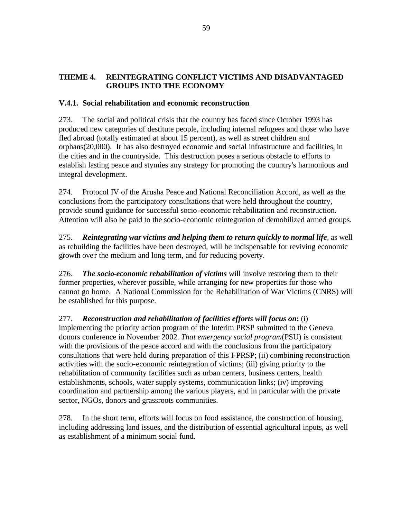#### **THEME 4. REINTEGRATING CONFLICT VICTIMS AND DISADVANTAGED GROUPS INTO THE ECONOMY**

#### **V.4.1. Social rehabilitation and economic reconstruction**

273. The social and political crisis that the country has faced since October 1993 has produced new categories of destitute people, including internal refugees and those who have fled abroad (totally estimated at about 15 percent), as well as street children and orphans(20,000). It has also destroyed economic and social infrastructure and facilities, in the cities and in the countryside. This destruction poses a serious obstacle to efforts to establish lasting peace and stymies any strategy for promoting the country's harmonious and integral development.

274. Protocol IV of the Arusha Peace and National Reconciliation Accord, as well as the conclusions from the participatory consultations that were held throughout the country, provide sound guidance for successful socio-economic rehabilitation and reconstruction. Attention will also be paid to the socio-economic reintegration of demobilized armed groups.

275. *Reintegrating war victims and helping them to return quickly to normal life*, as well as rebuilding the facilities have been destroyed, will be indispensable for reviving economic growth over the medium and long term, and for reducing poverty.

276. *The socio-economic rehabilitation of victims* will involve restoring them to their former properties, wherever possible, while arranging for new properties for those who cannot go home. A National Commission for the Rehabilitation of War Victims (CNRS) will be established for this purpose.

277. *Reconstruction and rehabilitation of facilities efforts will focus on***:** (i) implementing the priority action program of the Interim PRSP submitted to the Geneva donors conference in November 2002. *That emergency social program*(PSU) is consistent with the provisions of the peace accord and with the conclusions from the participatory consultations that were held during preparation of this I-PRSP; (ii) combining reconstruction activities with the socio-economic reintegration of victims; (iii) giving priority to the rehabilitation of community facilities such as urban centers, business centers, health establishments, schools, water supply systems, communication links; (iv) improving coordination and partnership among the various players, and in particular with the private sector, NGOs, donors and grassroots communities.

278. In the short term, efforts will focus on food assistance, the construction of housing, including addressing land issues, and the distribution of essential agricultural inputs, as well as establishment of a minimum social fund.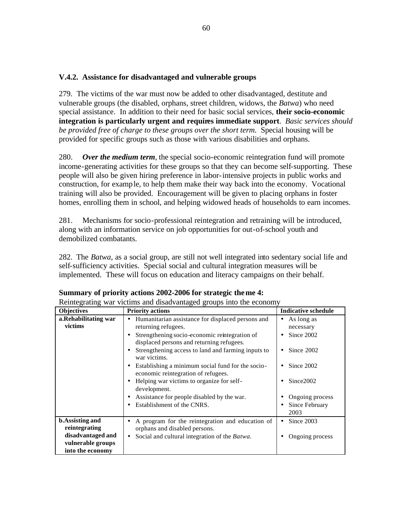#### **V.4.2. Assistance for disadvantaged and vulnerable groups**

279. The victims of the war must now be added to other disadvantaged, destitute and vulnerable groups (the disabled, orphans, street children, widows, the *Batwa*) who need special assistance. In addition to their need for basic social services, **their socio-economic integration is particularly urgent and requires immediate support**. *Basic services should be provided free of charge to these groups over the short term.* Special housing will be provided for specific groups such as those with various disabilities and orphans.

280. *Over the medium term*, the special socio-economic reintegration fund will promote income-generating activities for these groups so that they can become self-supporting. These people will also be given hiring preference in labor-intensive projects in public works and construction, for example, to help them make their way back into the economy. Vocational training will also be provided. Encouragement will be given to placing orphans in foster homes, enrolling them in school, and helping widowed heads of households to earn incomes.

281. Mechanisms for socio-professional reintegration and retraining will be introduced, along with an information service on job opportunities for out-of-school youth and demobilized combatants.

282. The *Batwa*, as a social group, are still not well integrated into sedentary social life and self-sufficiency activities. Special social and cultural integration measures will be implemented. These will focus on education and literacy campaigns on their behalf.

| <b>Objectives</b>                        | <b>Priority actions</b>                                                                    | <b>Indicative schedule</b>   |
|------------------------------------------|--------------------------------------------------------------------------------------------|------------------------------|
| a.Rehabilitating war<br>victims          | Humanitarian assistance for displaced persons and<br>returning refugees.                   | As long as<br>٠<br>necessary |
|                                          | Strengthening socio-economic reintegration of<br>displaced persons and returning refugees. | Since 2002<br>$\bullet$      |
|                                          | Strengthening access to land and farming inputs to<br>war victims.                         | Since 2002                   |
|                                          | Establishing a minimum social fund for the socio-<br>economic reintegration of refugees.   | Since 2002                   |
|                                          | Helping war victims to organize for self-<br>development.                                  | Since 2002                   |
|                                          | Assistance for people disabled by the war.                                                 | Ongoing process              |
|                                          | Establishment of the CNRS.                                                                 | Since February<br>2003       |
| <b>b.</b> Assisting and<br>reintegrating | A program for the reintegration and education of<br>orphans and disabled persons.          | Since 2003<br>٠              |
| disadvantaged and<br>vulnerable groups   | Social and cultural integration of the Batwa.                                              | Ongoing process              |
| into the economy                         |                                                                                            |                              |

Reintegrating war victims and disadvantaged groups into the economy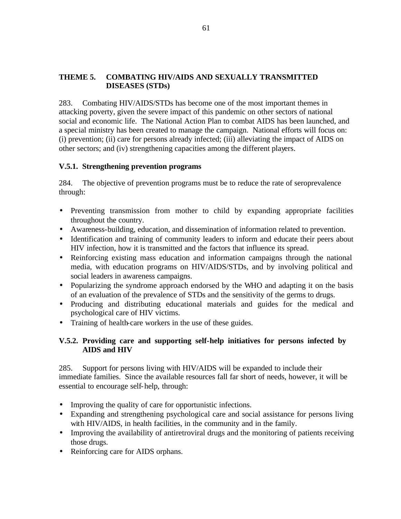#### **THEME 5. COMBATING HIV/AIDS AND SEXUALLY TRANSMITTED DISEASES (STDs)**

283. Combating HIV/AIDS/STDs has become one of the most important themes in attacking poverty, given the severe impact of this pandemic on other sectors of national social and economic life. The National Action Plan to combat AIDS has been launched, and a special ministry has been created to manage the campaign. National efforts will focus on: (i) prevention; (ii) care for persons already infected; (iii) alleviating the impact of AIDS on other sectors; and (iv) strengthening capacities among the different players.

#### **V.5.1. Strengthening prevention programs**

284. The objective of prevention programs must be to reduce the rate of seroprevalence through:

- Preventing transmission from mother to child by expanding appropriate facilities throughout the country.
- Awareness-building, education, and dissemination of information related to prevention.
- Identification and training of community leaders to inform and educate their peers about HIV infection, how it is transmitted and the factors that influence its spread.
- Reinforcing existing mass education and information campaigns through the national media, with education programs on HIV/AIDS/STDs, and by involving political and social leaders in awareness campaigns.
- Popularizing the syndrome approach endorsed by the WHO and adapting it on the basis of an evaluation of the prevalence of STDs and the sensitivity of the germs to drugs.
- Producing and distributing educational materials and guides for the medical and psychological care of HIV victims.
- Training of health-care workers in the use of these guides.

# **V.5.2. Providing care and supporting self-help initiatives for persons infected by AIDS and HIV**

285. Support for persons living with HIV/AIDS will be expanded to include their immediate families. Since the available resources fall far short of needs, however, it will be essential to encourage self-help, through:

- Improving the quality of care for opportunistic infections.
- Expanding and strengthening psychological care and social assistance for persons living with HIV/AIDS, in health facilities, in the community and in the family.
- Improving the availability of antiretroviral drugs and the monitoring of patients receiving those drugs.
- Reinforcing care for AIDS orphans.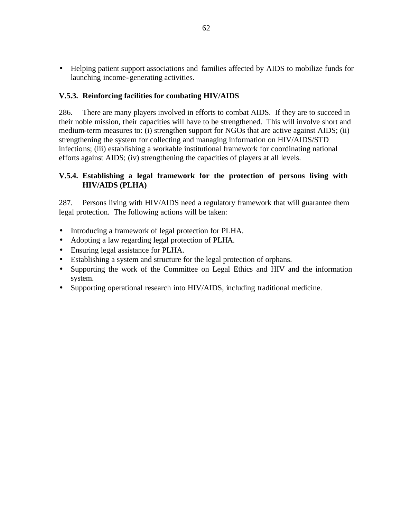• Helping patient support associations and families affected by AIDS to mobilize funds for launching income-generating activities.

#### **V.5.3. Reinforcing facilities for combating HIV/AIDS**

286. There are many players involved in efforts to combat AIDS. If they are to succeed in their noble mission, their capacities will have to be strengthened. This will involve short and medium-term measures to: (i) strengthen support for NGOs that are active against AIDS; (ii) strengthening the system for collecting and managing information on HIV/AIDS/STD infections; (iii) establishing a workable institutional framework for coordinating national efforts against AIDS; (iv) strengthening the capacities of players at all levels.

#### **V.5.4. Establishing a legal framework for the protection of persons living with HIV/AIDS (PLHA)**

287. Persons living with HIV/AIDS need a regulatory framework that will guarantee them legal protection. The following actions will be taken:

- Introducing a framework of legal protection for PLHA.
- Adopting a law regarding legal protection of PLHA.
- Ensuring legal assistance for PLHA.
- Establishing a system and structure for the legal protection of orphans.
- Supporting the work of the Committee on Legal Ethics and HIV and the information system.
- Supporting operational research into HIV/AIDS, including traditional medicine.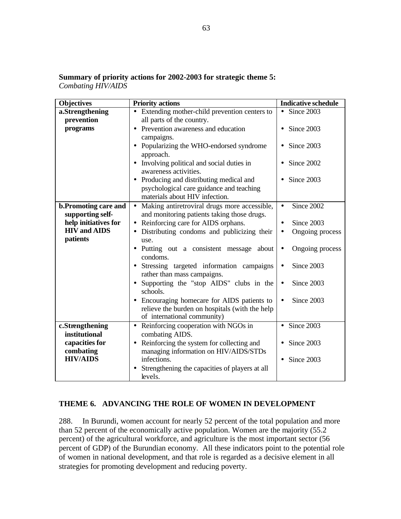| <b>Objectives</b>                           | <b>Priority actions</b>                                                              | <b>Indicative schedule</b>      |
|---------------------------------------------|--------------------------------------------------------------------------------------|---------------------------------|
| a.Strengthening                             | • Extending mother-child prevention centers to                                       | $\overline{\bullet}$ Since 2003 |
| prevention                                  | all parts of the country.                                                            |                                 |
| programs                                    | Prevention awareness and education<br>$\bullet$                                      | Since 2003<br>$\bullet$         |
|                                             | campaigns.                                                                           |                                 |
|                                             | Popularizing the WHO-endorsed syndrome<br>$\bullet$                                  | Since 2003<br>$\bullet$         |
|                                             | approach.                                                                            |                                 |
|                                             | Involving political and social duties in<br>$\bullet$                                | Since 2002                      |
|                                             | awareness activities.                                                                |                                 |
|                                             | Producing and distributing medical and<br>$\bullet$                                  | Since 2003<br>$\bullet$         |
|                                             | psychological care guidance and teaching                                             |                                 |
|                                             | materials about HIV infection.                                                       |                                 |
| <b>b.Promoting care and</b>                 | Making antiretroviral drugs more accessible,<br>$\bullet$                            | Since $2002$<br>$\bullet$       |
| supporting self-                            | and monitoring patients taking those drugs.                                          |                                 |
| help initiatives for<br><b>HIV</b> and AIDS | Reinforcing care for AIDS orphans.<br>$\bullet$                                      | Since 2003<br>$\bullet$         |
| patients                                    | Distributing condoms and publicizing their<br>$\bullet$                              | Ongoing process<br>$\bullet$    |
|                                             | use.                                                                                 |                                 |
|                                             | Putting out a consistent message about<br>$\bullet$<br>condoms.                      | Ongoing process<br>$\bullet$    |
|                                             |                                                                                      | Since 2003<br>$\bullet$         |
|                                             | Stressing targeted information campaigns<br>$\bullet$<br>rather than mass campaigns. |                                 |
|                                             | Supporting the "stop AIDS" clubs in the<br>$\bullet$                                 | Since 2003<br>$\bullet$         |
|                                             | schools.                                                                             |                                 |
|                                             | Encouraging homecare for AIDS patients to                                            | Since 2003<br>$\bullet$         |
|                                             | relieve the burden on hospitals (with the help                                       |                                 |
|                                             | of international community)                                                          |                                 |
| c.Strengthening                             | Reinforcing cooperation with NGOs in<br>$\bullet$                                    | Since 2003<br>$\bullet$         |
| institutional                               | combating AIDS.                                                                      |                                 |
| capacities for                              | Reinforcing the system for collecting and<br>$\bullet$                               | Since 2003                      |
| combating                                   | managing information on HIV/AIDS/STDs                                                |                                 |
| <b>HIV/AIDS</b>                             | infections.                                                                          | Since 2003<br>$\bullet$         |
|                                             | Strengthening the capacities of players at all                                       |                                 |
|                                             | levels.                                                                              |                                 |

**Summary of priority actions for 2002-2003 for strategic theme 5:** *Combating HIV/AIDS*

# **THEME 6. ADVANCING THE ROLE OF WOMEN IN DEVELOPMENT**

288. In Burundi, women account for nearly 52 percent of the total population and more than 52 percent of the economically active population. Women are the majority (55.2 percent) of the agricultural workforce, and agriculture is the most important sector (56 percent of GDP) of the Burundian economy. All these indicators point to the potential role of women in national development, and that role is regarded as a decisive element in all strategies for promoting development and reducing poverty.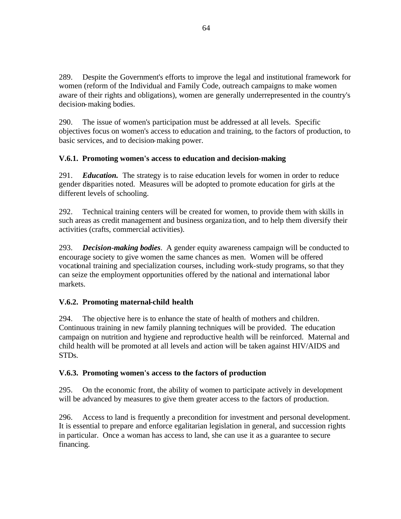289. Despite the Government's efforts to improve the legal and institutional framework for women (reform of the Individual and Family Code, outreach campaigns to make women aware of their rights and obligations), women are generally underrepresented in the country's decision-making bodies.

290. The issue of women's participation must be addressed at all levels. Specific objectives focus on women's access to education and training, to the factors of production, to basic services, and to decision-making power.

# **V.6.1. Promoting women's access to education and decision-making**

291. *Education.* The strategy is to raise education levels for women in order to reduce gender disparities noted. Measures will be adopted to promote education for girls at the different levels of schooling.

292. Technical training centers will be created for women, to provide them with skills in such areas as credit management and business organiza tion, and to help them diversify their activities (crafts, commercial activities).

293. *Decision-making bodies*. A gender equity awareness campaign will be conducted to encourage society to give women the same chances as men. Women will be offered vocational training and specialization courses, including work-study programs, so that they can seize the employment opportunities offered by the national and international labor markets.

# **V.6.2. Promoting maternal-child health**

294. The objective here is to enhance the state of health of mothers and children. Continuous training in new family planning techniques will be provided. The education campaign on nutrition and hygiene and reproductive health will be reinforced. Maternal and child health will be promoted at all levels and action will be taken against HIV/AIDS and STDs.

# **V.6.3. Promoting women's access to the factors of production**

295. On the economic front, the ability of women to participate actively in development will be advanced by measures to give them greater access to the factors of production.

296. Access to land is frequently a precondition for investment and personal development. It is essential to prepare and enforce egalitarian legislation in general, and succession rights in particular. Once a woman has access to land, she can use it as a guarantee to secure financing.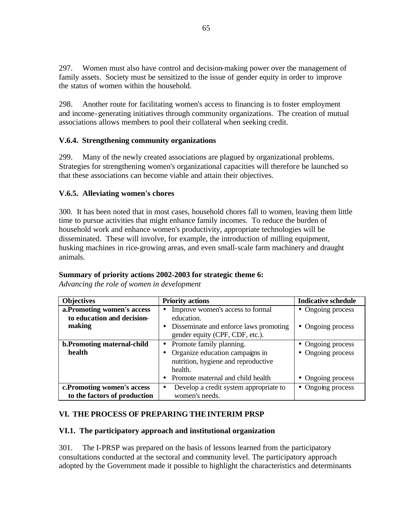297. Women must also have control and decision-making power over the management of family assets. Society must be sensitized to the issue of gender equity in order to improve the status of women within the household.

298. Another route for facilitating women's access to financing is to foster employment and income-generating initiatives through community organizations. The creation of mutual associations allows members to pool their collateral when seeking credit.

# **V.6.4. Strengthening community organizations**

299. Many of the newly created associations are plagued by organizational problems. Strategies for strengthening women's organizational capacities will therefore be launched so that these associations can become viable and attain their objectives.

# **V.6.5. Alleviating women's chores**

300. It has been noted that in most cases, household chores fall to women, leaving them little time to pursue activities that might enhance family incomes. To reduce the burden of household work and enhance women's productivity, appropriate technologies will be disseminated. These will involve, for example, the introduction of milling equipment, husking machines in rice-growing areas, and even small-scale farm machinery and draught animals.

# **Summary of priority actions 2002-2003 for strategic theme 6:**

*Advancing the role of women in development*

| <b>Objectives</b>                                                   | <b>Priority actions</b>                                                                                                                              | <b>Indicative schedule</b>                                  |
|---------------------------------------------------------------------|------------------------------------------------------------------------------------------------------------------------------------------------------|-------------------------------------------------------------|
| a. Promoting women's access<br>to education and decision-<br>making | Improve women's access to formal<br>education.<br>• Disseminate and enforce laws promoting<br>gender equity (CPF, CDF, etc.).                        | • Ongoing process<br>• Ongoing process                      |
| b. Promoting maternal-child<br>health                               | • Promote family planning.<br>Organize education campaigns in<br>nutrition, hygiene and reproductive<br>health.<br>Promote maternal and child health | • Ongoing process<br>• Ongoing process<br>• Ongoing process |
| c.Promoting women's access<br>to the factors of production          | Develop a credit system appropriate to<br>$\bullet$<br>women's needs.                                                                                | • Ongoing process                                           |

# **VI. THE PROCESS OF PREPARING THEINTERIM PRSP**

# **VI.1. The participatory approach and institutional organization**

301. The I-PRSP was prepared on the basis of lessons learned from the participatory consultations conducted at the sectoral and community level. The participatory approach adopted by the Government made it possible to highlight the characteristics and determinants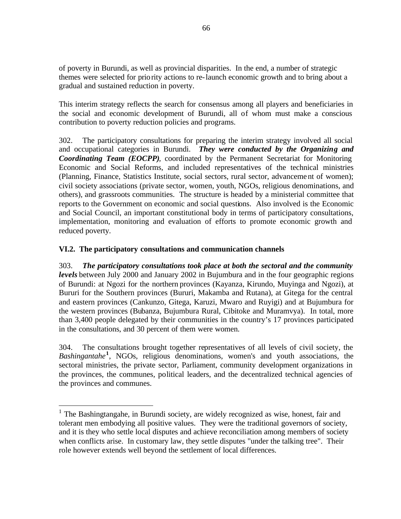of poverty in Burundi, as well as provincial disparities. In the end, a number of strategic themes were selected for priority actions to re-launch economic growth and to bring about a gradual and sustained reduction in poverty.

This interim strategy reflects the search for consensus among all players and beneficiaries in the social and economic development of Burundi, all of whom must make a conscious contribution to poverty reduction policies and programs.

302. The participatory consultations for preparing the interim strategy involved all social and occupational categories in Burundi. *They were conducted by the Organizing and Coordinating Team (EOCPP),* coordinated by the Permanent Secretariat for Monitoring Economic and Social Reforms, and included representatives of the technical ministries (Planning, Finance, Statistics Institute, social sectors, rural sector, advancement of women); civil society associations (private sector, women, youth, NGOs, religious denominations, and others), and grassroots communities. The structure is headed by a ministerial committee that reports to the Government on economic and social questions. Also involved is the Economic and Social Council, an important constitutional body in terms of participatory consultations, implementation, monitoring and evaluation of efforts to promote economic growth and reduced poverty.

# **VI.2. The participatory consultations and communication channels**

 $\overline{a}$ 

303. *The participatory consultations took place at both the sectoral and the community levels* between July 2000 and January 2002 in Bujumbura and in the four geographic regions of Burundi: at Ngozi for the northern provinces (Kayanza, Kirundo, Muyinga and Ngozi), at Bururi for the Southern provinces (Bururi, Makamba and Rutana), at Gitega for the central and eastern provinces (Cankunzo, Gitega, Karuzi, Mwaro and Ruyigi) and at Bujumbura for the western provinces (Bubanza, Bujumbura Rural, Cibitoke and Muramvya). In total, more than 3,400 people delegated by their communities in the country's 17 provinces participated in the consultations, and 30 percent of them were women.

304. The consultations brought together representatives of all levels of civil society, the *Bashingantahe***<sup>1</sup>** , NGOs, religious denominations, women's and youth associations, the sectoral ministries, the private sector, Parliament, community development organizations in the provinces, the communes, political leaders, and the decentralized technical agencies of the provinces and communes.

<sup>&</sup>lt;sup>1</sup> The Bashingtangahe, in Burundi society, are widely recognized as wise, honest, fair and tolerant men embodying all positive values. They were the traditional governors of society, and it is they who settle local disputes and achieve reconciliation among members of society when conflicts arise. In customary law, they settle disputes "under the talking tree". Their role however extends well beyond the settlement of local differences.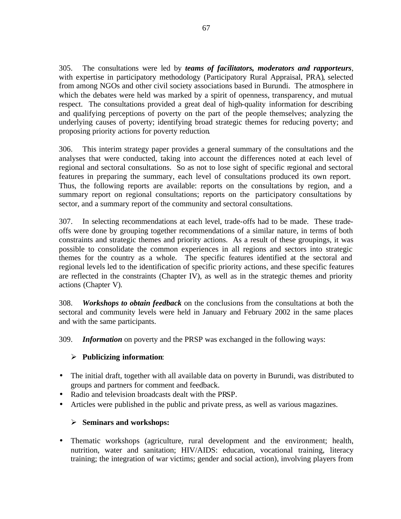305. The consultations were led by *teams of facilitators, moderators and rapporteurs*, with expertise in participatory methodology (Participatory Rural Appraisal, PRA), selected from among NGOs and other civil society associations based in Burundi. The atmosphere in which the debates were held was marked by a spirit of openness, transparency, and mutual respect. The consultations provided a great deal of high-quality information for describing and qualifying perceptions of poverty on the part of the people themselves; analyzing the underlying causes of poverty; identifying broad strategic themes for reducing poverty; and proposing priority actions for poverty reduction.

306. This interim strategy paper provides a general summary of the consultations and the analyses that were conducted, taking into account the differences noted at each level of regional and sectoral consultations. So as not to lose sight of specific regional and sectoral features in preparing the summary, each level of consultations produced its own report. Thus, the following reports are available: reports on the consultations by region, and a summary report on regional consultations; reports on the participatory consultations by sector, and a summary report of the community and sectoral consultations.

307. In selecting recommendations at each level, trade-offs had to be made. These tradeoffs were done by grouping together recommendations of a similar nature, in terms of both constraints and strategic themes and priority actions. As a result of these groupings, it was possible to consolidate the common experiences in all regions and sectors into strategic themes for the country as a whole. The specific features identified at the sectoral and regional levels led to the identification of specific priority actions, and these specific features are reflected in the constraints (Chapter IV), as well as in the strategic themes and priority actions (Chapter V).

308. *Workshops to obtain feedback* on the conclusions from the consultations at both the sectoral and community levels were held in January and February 2002 in the same places and with the same participants.

309. *Information* on poverty and the PRSP was exchanged in the following ways:

# ÿ **Publicizing information**:

- The initial draft, together with all available data on poverty in Burundi, was distributed to groups and partners for comment and feedback.
- Radio and television broadcasts dealt with the PRSP.
- Articles were published in the public and private press, as well as various magazines.

# ÿ **Seminars and workshops:**

• Thematic workshops (agriculture, rural development and the environment; health, nutrition, water and sanitation; HIV/AIDS: education, vocational training, literacy training; the integration of war victims; gender and social action), involving players from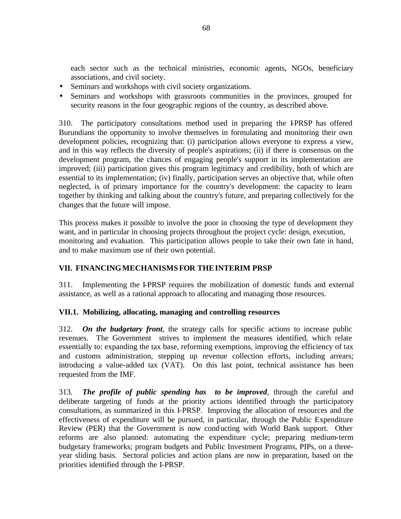each sector such as the technical ministries, economic agents, NGOs, beneficiary associations, and civil society.

- Seminars and workshops with civil society organizations.
- Seminars and workshops with grassroots communities in the provinces, grouped for security reasons in the four geographic regions of the country, as described above.

310. The participatory consultations method used in preparing the I-PRSP has offered Burundians the opportunity to involve themselves in formulating and monitoring their own development policies, recognizing that: (i) participation allows everyone to express a view, and in this way reflects the diversity of people's aspirations; (ii) if there is consensus on the development program, the chances of engaging people's support in its implementation are improved; (iii) participation gives this program legitimacy and credibility, both of which are essential to its implementation; (iv) finally, participation serves an objective that, while often neglected, is of primary importance for the country's development: the capacity to learn together by thinking and talking about the country's future, and preparing collectively for the changes that the future will impose.

This process makes it possible to involve the poor in choosing the type of development they want, and in particular in choosing projects throughout the project cycle: design, execution, monitoring and evaluation. This participation allows people to take their own fate in hand, and to make maximum use of their own potential.

# **VII. FINANCINGMECHANISMSFOR THEINTERIM PRSP**

311. Implementing the I-PRSP requires the mobilization of domestic funds and external assistance, as well as a rational approach to allocating and managing those resources.

### **VII.1. Mobilizing, allocating, managing and controlling resources**

312. *On the budgetary front*, the strategy calls for specific actions to increase public revenues. The Government strives to implement the measures identified, which relate essentially to: expanding the tax base, reforming exemptions, improving the efficiency of tax and customs administration, stepping up revenue collection efforts, including arrears; introducing a value-added tax (VAT). On this last point, technical assistance has been requested from the IMF.

313*. The profile of public spending has to be improved*, through the careful and deliberate targeting of funds at the priority actions identified through the participatory consultations, as summarized in this I-PRSP. Improving the allocation of resources and the effectiveness of expenditure will be pursued, in particular, through the Public Expenditure Review (PER) that the Government is now conducting with World Bank support. Other reforms are also planned: automating the expenditure cycle; preparing medium-term budgetary frameworks; program budgets and Public Investment Programs, PIPs, on a threeyear sliding basis. Sectoral policies and action plans are now in preparation, based on the priorities identified through the I-PRSP.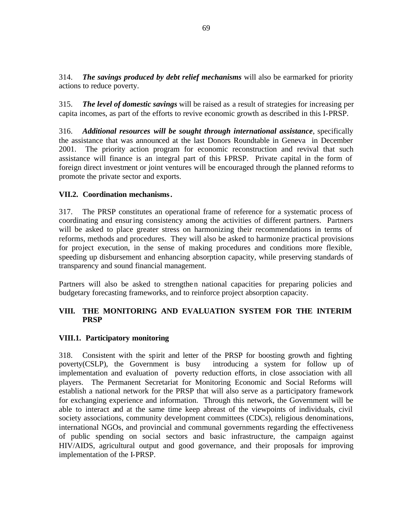314. *The savings produced by debt relief mechanisms* will also be earmarked for priority actions to reduce poverty.

315. *The level of domestic savings* will be raised as a result of strategies for increasing per capita incomes, as part of the efforts to revive economic growth as described in this I-PRSP.

316. *Additional resources will be sought through international assistance*, specifically the assistance that was announced at the last Donors Roundtable in Geneva in December 2001. The priority action program for economic reconstruction and revival that such assistance will finance is an integral part of this I-PRSP. Private capital in the form of foreign direct investment or joint ventures will be encouraged through the planned reforms to promote the private sector and exports.

# **VII.2. Coordination mechanisms.**

317. The PRSP constitutes an operational frame of reference for a systematic process of coordinating and ensuring consistency among the activities of different partners. Partners will be asked to place greater stress on harmonizing their recommendations in terms of reforms, methods and procedures. They will also be asked to harmonize practical provisions for project execution, in the sense of making procedures and conditions more flexible, speeding up disbursement and enhancing absorption capacity, while preserving standards of transparency and sound financial management.

Partners will also be asked to strengthen national capacities for preparing policies and budgetary forecasting frameworks, and to reinforce project absorption capacity.

### **VIII. THE MONITORING AND EVALUATION SYSTEM FOR THE INTERIM PRSP**

### **VIII.1. Participatory monitoring**

318. Consistent with the spirit and letter of the PRSP for boosting growth and fighting poverty(CSLP), the Government is busy introducing a system for follow up of implementation and evaluation of poverty reduction efforts, in close association with all players. The Permanent Secretariat for Monitoring Economic and Social Reforms will establish a national network for the PRSP that will also serve as a participatory framework for exchanging experience and information. Through this network, the Government will be able to interact and at the same time keep abreast of the viewpoints of individuals, civil society associations, community development committees (CDCs), religious denominations, international NGOs, and provincial and communal governments regarding the effectiveness of public spending on social sectors and basic infrastructure, the campaign against HIV/AIDS, agricultural output and good governance, and their proposals for improving implementation of the I-PRSP.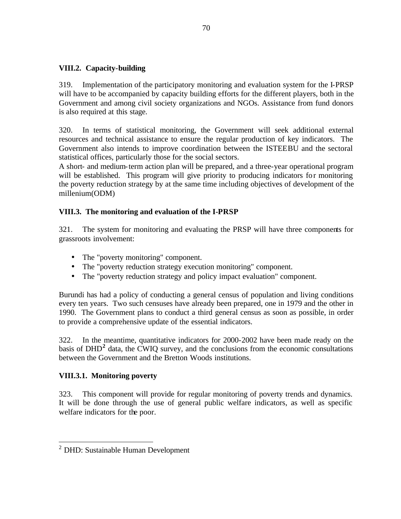# **VIII.2. Capacity-building**

319. Implementation of the participatory monitoring and evaluation system for the I-PRSP will have to be accompanied by capacity building efforts for the different players, both in the Government and among civil society organizations and NGOs. Assistance from fund donors is also required at this stage.

320. In terms of statistical monitoring, the Government will seek additional external resources and technical assistance to ensure the regular production of key indicators. The Government also intends to improve coordination between the ISTEEBU and the sectoral statistical offices, particularly those for the social sectors.

A short- and medium-term action plan will be prepared, and a three-year operational program will be established. This program will give priority to producing indicators for monitoring the poverty reduction strategy by at the same time including objectives of development of the millenium(ODM)

# **VIII.3. The monitoring and evaluation of the I-PRSP**

321. The system for monitoring and evaluating the PRSP will have three components for grassroots involvement:

- The "poverty monitoring" component.
- The "poverty reduction strategy execution monitoring" component.
- The "poverty reduction strategy and policy impact evaluation" component.

Burundi has had a policy of conducting a general census of population and living conditions every ten years. Two such censuses have already been prepared, one in 1979 and the other in 1990. The Government plans to conduct a third general census as soon as possible, in order to provide a comprehensive update of the essential indicators.

322. In the meantime, quantitative indicators for 2000-2002 have been made ready on the basis of DHD<sup>2</sup> data, the CWIQ survey, and the conclusions from the economic consultations between the Government and the Bretton Woods institutions.

# **VIII.3.1. Monitoring poverty**

323. This component will provide for regular monitoring of poverty trends and dynamics. It will be done through the use of general public welfare indicators, as well as specific welfare indicators for the poor.

 2 DHD: Sustainable Human Development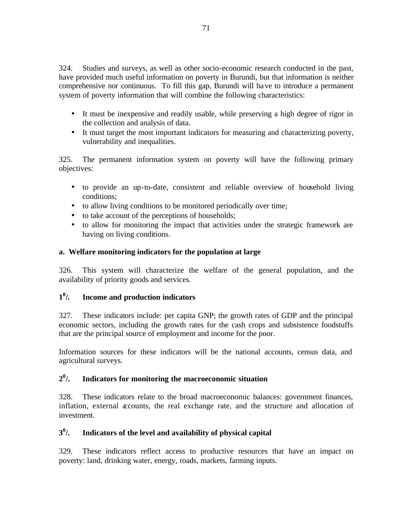324. Studies and surveys, as well as other socio-economic research conducted in the past, have provided much useful information on poverty in Burundi, but that information is neither comprehensive nor continuous. To fill this gap, Burundi will have to introduce a permanent system of poverty information that will combine the following characteristics:

- It must be inexpensive and readily usable, while preserving a high degree of rigor in the collection and analysis of data.
- It must target the most important indicators for measuring and characterizing poverty, vulnerability and inequalities.

325. The permanent information system on poverty will have the following primary objectives:

- to provide an up-to-date, consistent and reliable overview of household living conditions;
- to allow living conditions to be monitored periodically over time;
- to take account of the perceptions of households;
- to allow for monitoring the impact that activities under the strategic framework are having on living conditions.

# **a. Welfare monitoring indicators for the population at large**

326. This system will characterize the welfare of the general population, and the availability of priority goods and services.

#### **1 0 /. Income and production indicators**

327. These indicators include: per capita GNP; the growth rates of GDP and the principal economic sectors, including the growth rates for the cash crops and subsistence foodstuffs that are the principal source of employment and income for the poor.

Information sources for these indicators will be the national accounts, census data, and agricultural surveys.

#### **2 0 /. Indicators for monitoring the macroeconomic situation**

328. These indicators relate to the broad macroeconomic balances: government finances, inflation, external accounts, the real exchange rate, and the structure and allocation of investment.

#### **3 0 /. Indicators of the level and availability of physical capital**

329. These indicators reflect access to productive resources that have an impact on poverty: land, drinking water, energy, roads, markets, farming inputs.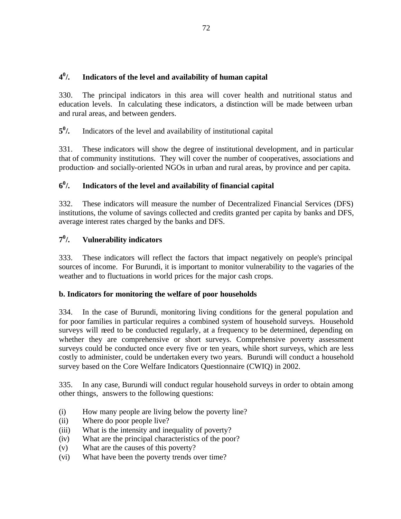#### **4 0 /. Indicators of the level and availability of human capital**

330. The principal indicators in this area will cover health and nutritional status and education levels. In calculating these indicators, a distinction will be made between urban and rural areas, and between genders.

**5 0 /.** Indicators of the level and availability of institutional capital

331. These indicators will show the degree of institutional development, and in particular that of community institutions. They will cover the number of cooperatives, associations and production- and socially-oriented NGOs in urban and rural areas, by province and per capita.

#### **6 0 /. Indicators of the level and availability of financial capital**

332. These indicators will measure the number of Decentralized Financial Services (DFS) institutions, the volume of savings collected and credits granted per capita by banks and DFS, average interest rates charged by the banks and DFS.

#### **7 0 /. Vulnerability indicators**

333. These indicators will reflect the factors that impact negatively on people's principal sources of income. For Burundi, it is important to monitor vulnerability to the vagaries of the weather and to fluctuations in world prices for the major cash crops.

# **b. Indicators for monitoring the welfare of poor households**

334. In the case of Burundi, monitoring living conditions for the general population and for poor families in particular requires a combined system of household surveys. Household surveys will reed to be conducted regularly, at a frequency to be determined, depending on whether they are comprehensive or short surveys. Comprehensive poverty assessment surveys could be conducted once every five or ten years, while short surveys, which are less costly to administer, could be undertaken every two years. Burundi will conduct a household survey based on the Core Welfare Indicators Questionnaire (CWIQ) in 2002.

335. In any case, Burundi will conduct regular household surveys in order to obtain among other things, answers to the following questions:

- (i) How many people are living below the poverty line?
- (ii) Where do poor people live?
- (iii) What is the intensity and inequality of poverty?
- (iv) What are the principal characteristics of the poor?
- (v) What are the causes of this poverty?
- (vi) What have been the poverty trends over time?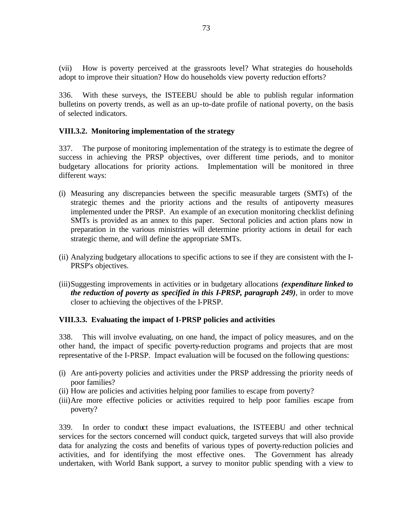(vii) How is poverty perceived at the grassroots level? What strategies do households adopt to improve their situation? How do households view poverty reduction efforts?

336. With these surveys, the ISTEEBU should be able to publish regular information bulletins on poverty trends, as well as an up-to-date profile of national poverty, on the basis of selected indicators.

### **VIII.3.2. Monitoring implementation of the strategy**

337. The purpose of monitoring implementation of the strategy is to estimate the degree of success in achieving the PRSP objectives, over different time periods, and to monitor budgetary allocations for priority actions. Implementation will be monitored in three different ways:

- (i) Measuring any discrepancies between the specific measurable targets (SMTs) of the strategic themes and the priority actions and the results of antipoverty measures implemented under the PRSP. An example of an execution monitoring checklist defining SMTs is provided as an annex to this paper. Sectoral policies and action plans now in preparation in the various ministries will determine priority actions in detail for each strategic theme, and will define the appropriate SMTs.
- (ii) Analyzing budgetary allocations to specific actions to see if they are consistent with the I-PRSP's objectives.
- (iii)Suggesting improvements in activities or in budgetary allocations *(expenditure linked to the reduction of poverty as specified in this I-PRSP, paragraph 249)*, in order to move closer to achieving the objectives of the I-PRSP.

### **VIII.3.3. Evaluating the impact of I-PRSP policies and activities**

338. This will involve evaluating, on one hand, the impact of policy measures, and on the other hand, the impact of specific poverty-reduction programs and projects that are most representative of the I-PRSP. Impact evaluation will be focused on the following questions:

- (i) Are anti-poverty policies and activities under the PRSP addressing the priority needs of poor families?
- (ii) How are policies and activities helping poor families to escape from poverty?
- (iii)Are more effective policies or activities required to help poor families escape from poverty?

339. In order to conduct these impact evaluations, the ISTEEBU and other technical services for the sectors concerned will conduct quick, targeted surveys that will also provide data for analyzing the costs and benefits of various types of poverty-reduction policies and activities, and for identifying the most effective ones. The Government has already undertaken, with World Bank support, a survey to monitor public spending with a view to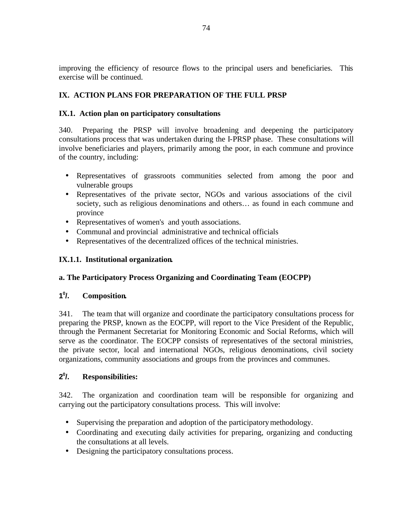improving the efficiency of resource flows to the principal users and beneficiaries. This exercise will be continued.

# **IX. ACTION PLANS FOR PREPARATION OF THE FULL PRSP**

# **IX.1. Action plan on participatory consultations**

340. Preparing the PRSP will involve broadening and deepening the participatory consultations process that was undertaken during the I-PRSP phase. These consultations will involve beneficiaries and players, primarily among the poor, in each commune and province of the country, including:

- Representatives of grassroots communities selected from among the poor and vulnerable groups
- Representatives of the private sector, NGOs and various associations of the civil society, such as religious denominations and others… as found in each commune and province
- Representatives of women's and youth associations.
- Communal and provincial administrative and technical officials
- Representatives of the decentralized offices of the technical ministries.

# **IX.1.1. Institutional organization.**

# **a. The Participatory Process Organizing and Coordinating Team (EOCPP)**

#### **1 0 /. Composition.**

341. The team that will organize and coordinate the participatory consultations process for preparing the PRSP, known as the EOCPP, will report to the Vice President of the Republic, through the Permanent Secretariat for Monitoring Economic and Social Reforms, which will serve as the coordinator. The EOCPP consists of representatives of the sectoral ministries, the private sector, local and international NGOs, religious denominations, civil society organizations, community associations and groups from the provinces and communes.

#### **2 0 /. Responsibilities:**

342. The organization and coordination team will be responsible for organizing and carrying out the participatory consultations process. This will involve:

- Supervising the preparation and adoption of the participatory methodology.
- Coordinating and executing daily activities for preparing, organizing and conducting the consultations at all levels.
- Designing the participatory consultations process.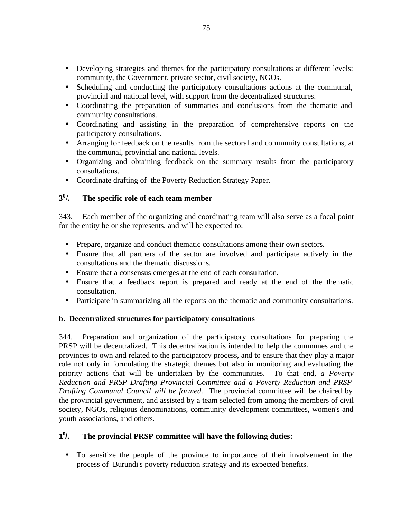- Developing strategies and themes for the participatory consultations at different levels: community, the Government, private sector, civil society, NGOs.
- Scheduling and conducting the participatory consultations actions at the communal, provincial and national level, with support from the decentralized structures.
- Coordinating the preparation of summaries and conclusions from the thematic and community consultations.
- Coordinating and assisting in the preparation of comprehensive reports on the participatory consultations.
- Arranging for feedback on the results from the sectoral and community consultations, at the communal, provincial and national levels.
- Organizing and obtaining feedback on the summary results from the participatory consultations.
- Coordinate drafting of the Poverty Reduction Strategy Paper.

#### **3 0 /. The specific role of each team member**

343. Each member of the organizing and coordinating team will also serve as a focal point for the entity he or she represents, and will be expected to:

- Prepare, organize and conduct thematic consultations among their own sectors.
- Ensure that all partners of the sector are involved and participate actively in the consultations and the thematic discussions.
- Ensure that a consensus emerges at the end of each consultation.
- Ensure that a feedback report is prepared and ready at the end of the thematic consultation.
- Participate in summarizing all the reports on the thematic and community consultations.

# **b. Decentralized structures for participatory consultations**

344. Preparation and organization of the participatory consultations for preparing the PRSP will be decentralized. This decentralization is intended to help the communes and the provinces to own and related to the participatory process, and to ensure that they play a major role not only in formulating the strategic themes but also in monitoring and evaluating the priority actions that will be undertaken by the communities. To that end, *a Poverty Reduction and PRSP Drafting Provincial Committee and a Poverty Reduction and PRSP Drafting Communal Council will be formed.* The provincial committee will be chaired by the provincial government, and assisted by a team selected from among the members of civil society, NGOs, religious denominations, community development committees, women's and youth associations, and others.

#### **1 0 /. The provincial PRSP committee will have the following duties:**

• To sensitize the people of the province to importance of their involvement in the process of Burundi's poverty reduction strategy and its expected benefits.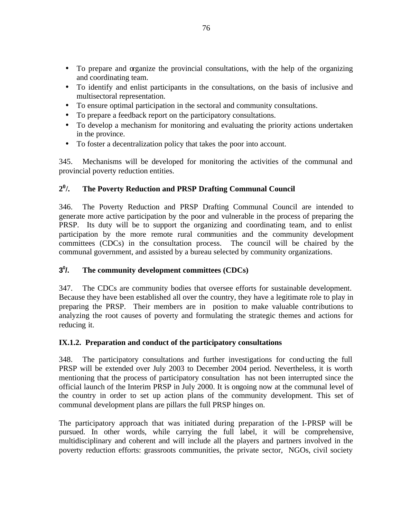- To prepare and organize the provincial consultations, with the help of the organizing and coordinating team.
- To identify and enlist participants in the consultations, on the basis of inclusive and multisectoral representation.
- To ensure optimal participation in the sectoral and community consultations.
- To prepare a feedback report on the participatory consultations.
- To develop a mechanism for monitoring and evaluating the priority actions undertaken in the province.
- To foster a decentralization policy that takes the poor into account.

345. Mechanisms will be developed for monitoring the activities of the communal and provincial poverty reduction entities.

#### **2 0 /. The Poverty Reduction and PRSP Drafting Communal Council**

346. The Poverty Reduction and PRSP Drafting Communal Council are intended to generate more active participation by the poor and vulnerable in the process of preparing the PRSP. Its duty will be to support the organizing and coordinating team, and to enlist participation by the more remote rural communities and the community development committees (CDCs) in the consultation process. The council will be chaired by the communal government, and assisted by a bureau selected by community organizations.

#### **3 0 /. The community development committees (CDCs)**

347. The CDCs are community bodies that oversee efforts for sustainable development. Because they have been established all over the country, they have a legitimate role to play in preparing the PRSP. Their members are in position to make valuable contributions to analyzing the root causes of poverty and formulating the strategic themes and actions for reducing it.

# **IX.1.2. Preparation and conduct of the participatory consultations**

348. The participatory consultations and further investigations for conducting the full PRSP will be extended over July 2003 to December 2004 period. Nevertheless, it is worth mentioning that the process of participatory consultation has not been interrupted since the official launch of the Interim PRSP in July 2000. It is ongoing now at the communal level of the country in order to set up action plans of the community development. This set of communal development plans are pillars the full PRSP hinges on.

The participatory approach that was initiated during preparation of the I-PRSP will be pursued. In other words, while carrying the full label, it will be comprehensive, multidisciplinary and coherent and will include all the players and partners involved in the poverty reduction efforts: grassroots communities, the private sector, NGOs, civil society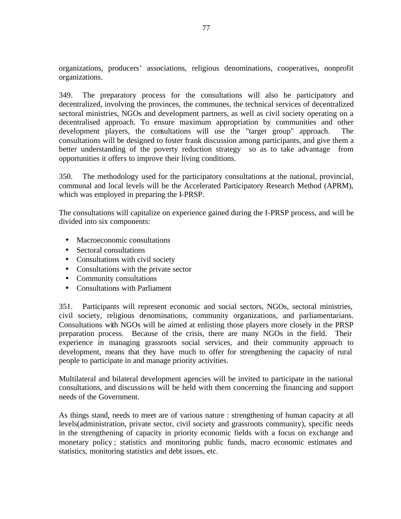organizations, producers' associations, religious denominations, cooperatives, nonprofit organizations.

349. The preparatory process for the consultations will also be participatory and decentralized, involving the provinces, the communes, the technical services of decentralized sectoral ministries, NGOs and development partners, as well as civil society operating on a decentralised approach. To ensure maximum appropriation by communities and other development players, the consultations will use the "target group" approach. The consultations will be designed to foster frank discussion among participants, and give them a better understanding of the poverty reduction strategy so as to take advantage from opportunities it offers to improve their living conditions.

350. The methodology used for the participatory consultations at the national, provincial, communal and local levels will be the Accelerated Participatory Research Method (APRM), which was employed in preparing the I-PRSP.

The consultations will capitalize on experience gained during the I-PRSP process, and will be divided into six components:

- Macroeconomic consultations
- Sectoral consultations
- Consultations with civil society
- Consultations with the private sector
- Community consultations
- Consultations with Parliament

351. Participants will represent economic and social sectors, NGOs, sectoral ministries, civil society, religious denominations, community organizations, and parliamentarians. Consultations with NGOs will be aimed at enlisting those players more closely in the PRSP preparation process. Because of the crisis, there are many NGOs in the field. Their experience in managing grassroots social services, and their community approach to development, means that they have much to offer for strengthening the capacity of rural people to participate in and manage priority activities.

Multilateral and bilateral development agencies will be invited to participate in the national consultations, and discussions will be held with them concerning the financing and support needs of the Government.

As things stand, needs to meet are of various nature : strengthening of human capacity at all levels(administration, private sector, civil society and grassroots community), specific needs in the strengthening of capacity in priority economic fields with a focus on exchange and monetary policy ; statistics and monitoring public funds, macro economic estimates and statistics, monitoring statistics and debt issues, etc.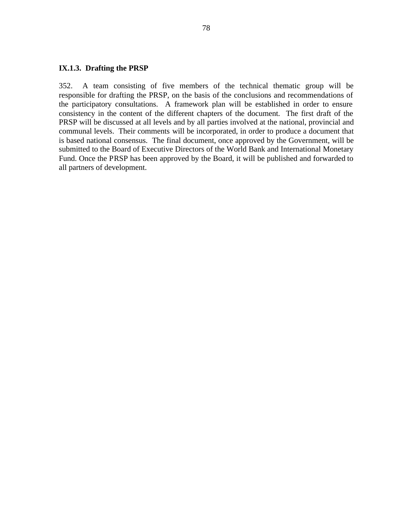### **IX.1.3. Drafting the PRSP**

352. A team consisting of five members of the technical thematic group will be responsible for drafting the PRSP, on the basis of the conclusions and recommendations of the participatory consultations. A framework plan will be established in order to ensure consistency in the content of the different chapters of the document. The first draft of the PRSP will be discussed at all levels and by all parties involved at the national, provincial and communal levels. Their comments will be incorporated, in order to produce a document that is based national consensus. The final document, once approved by the Government, will be submitted to the Board of Executive Directors of the World Bank and International Monetary Fund. Once the PRSP has been approved by the Board, it will be published and forwarded to all partners of development.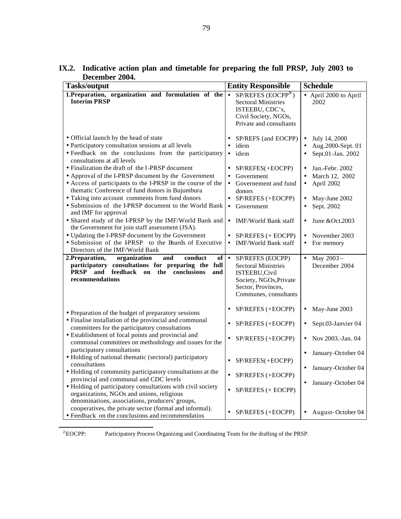| <b>Tasks/output</b>                                                                                                                                                                                                                                                                                                                                                                                                                                                                                                                                                                                                                                                                                                                                                                                                                                                                                                                                                                                   | <b>Entity Responsible</b>                                                                                                                                                                                                                                                                                                                                                 | <b>Schedule</b>                                                                                                                                                                                                                                                                                        |
|-------------------------------------------------------------------------------------------------------------------------------------------------------------------------------------------------------------------------------------------------------------------------------------------------------------------------------------------------------------------------------------------------------------------------------------------------------------------------------------------------------------------------------------------------------------------------------------------------------------------------------------------------------------------------------------------------------------------------------------------------------------------------------------------------------------------------------------------------------------------------------------------------------------------------------------------------------------------------------------------------------|---------------------------------------------------------------------------------------------------------------------------------------------------------------------------------------------------------------------------------------------------------------------------------------------------------------------------------------------------------------------------|--------------------------------------------------------------------------------------------------------------------------------------------------------------------------------------------------------------------------------------------------------------------------------------------------------|
| 1. Preparation, organization and formulation of the<br><b>Interim PRSP</b>                                                                                                                                                                                                                                                                                                                                                                                                                                                                                                                                                                                                                                                                                                                                                                                                                                                                                                                            | $SP/REFES$ (EOCPP <sup>3/</sup> )<br>$\bullet$<br><b>Sectoral Ministries</b><br>ISTEEBU, CDC's,<br>Civil Society, NGOs,<br>Private and consultants                                                                                                                                                                                                                        | • April 2000 to April<br>2002                                                                                                                                                                                                                                                                          |
| • Official launch by the head of state<br>• Participatory consultation sessions at all levels<br>· Feedback on the conclusions from the participatory<br>consultations at all levels<br>• Finalization the draft of the I-PRSP document<br>• Approval of the I-PRSP document by the Government<br>• Access of participants to the I-PRSP in the course of the<br>thematic Conference of fund donors in Bujumbura<br>• Taking into account comments from fund donors<br>• Submission of the I-PRSP document to the World Bank<br>and IMF for approval<br>• Shared study of the I-PRSP by the IMF/World Bank and<br>the Government for join staff assessment (JSA).<br>• Updating the I-PRSP document by the Government<br>· Submission of the IPRSP to the Boards of Executive<br>Directors of the IMF/World Bank<br>2.Preparation,<br>organization<br>and<br>conduct<br>of<br>participatory consultations for preparing the full<br><b>PRSP</b><br>feedback<br>the<br>conclusions<br>and<br>on<br>and | SP/REFS (and EOCPP)<br>idem<br>$\bullet$<br>idem<br>SP/REFES(+EOCPP)<br>Government<br>Governement and fund<br>$\bullet$<br>donors<br>SP/REFES (+EOCPP)<br>Government<br>$\bullet$<br><b>IMF/World Bank staff</b><br>$\bullet$<br>SP/REFES (+ EOCPP)<br>IMF/World Bank staff<br>$\bullet$<br>$\bullet$<br>SP/REFES (EOCPP)<br><b>Sectoral Ministries</b><br>ISTEEBU, Civil | July 14, 2000<br>$\bullet$<br>Aug.2000-Sept. 01<br>$\bullet$<br>Sept.01-Jan. 2002<br>Jan.-Febr. 2002<br>March 12, 2002<br>April 2002<br>$\bullet$<br>May-June 2002<br>Sept. 2002<br>$\bullet$<br>June &Oct.2003<br>November 2003<br>$\bullet$<br>For memory<br>May 2003-<br>$\bullet$<br>December 2004 |
| recommendations                                                                                                                                                                                                                                                                                                                                                                                                                                                                                                                                                                                                                                                                                                                                                                                                                                                                                                                                                                                       | Society, NGOs, Private<br>Sector, Provinces,<br>Communes, consultants                                                                                                                                                                                                                                                                                                     |                                                                                                                                                                                                                                                                                                        |
| • Preparation of the budget of preparatory sessions                                                                                                                                                                                                                                                                                                                                                                                                                                                                                                                                                                                                                                                                                                                                                                                                                                                                                                                                                   | SP/REFES (+EOCPP)                                                                                                                                                                                                                                                                                                                                                         | May-June 2003<br>$\bullet$                                                                                                                                                                                                                                                                             |
| • Finalise installation of the provincial and communal<br>committees for the participatory consultations                                                                                                                                                                                                                                                                                                                                                                                                                                                                                                                                                                                                                                                                                                                                                                                                                                                                                              | SP/REFES (+EOCPP)                                                                                                                                                                                                                                                                                                                                                         | Sept.03-Janvier 04                                                                                                                                                                                                                                                                                     |
| • Establishment of focal points and provincial and<br>communal committees on methodology and issues for the                                                                                                                                                                                                                                                                                                                                                                                                                                                                                                                                                                                                                                                                                                                                                                                                                                                                                           | SP/REFES (+EOCPP)                                                                                                                                                                                                                                                                                                                                                         | Nov 2003.-Jan. 04                                                                                                                                                                                                                                                                                      |
| participatory consultations<br>• Holding of national thematic (sectoral) participatory                                                                                                                                                                                                                                                                                                                                                                                                                                                                                                                                                                                                                                                                                                                                                                                                                                                                                                                | SP/REFES(+EOCPP)                                                                                                                                                                                                                                                                                                                                                          | January-October 04<br>$\bullet$                                                                                                                                                                                                                                                                        |
| consultations<br>• Holding of community participatory consultations at the                                                                                                                                                                                                                                                                                                                                                                                                                                                                                                                                                                                                                                                                                                                                                                                                                                                                                                                            | SP/REFES (+EOCPP)                                                                                                                                                                                                                                                                                                                                                         | January-October 04                                                                                                                                                                                                                                                                                     |
| provincial and communal and CDC levels<br>• Holding of participatory consultations with civil society<br>organizations, NGOs and unions, religious<br>denominations, associations, producers' groups,                                                                                                                                                                                                                                                                                                                                                                                                                                                                                                                                                                                                                                                                                                                                                                                                 | SP/REFES (+ EOCPP)                                                                                                                                                                                                                                                                                                                                                        | January-October 04                                                                                                                                                                                                                                                                                     |
| cooperatives, the private sector (formal and informal).<br>• Feedback on the conclusions and recommendatios                                                                                                                                                                                                                                                                                                                                                                                                                                                                                                                                                                                                                                                                                                                                                                                                                                                                                           | SP/REFES (+EOCPP)                                                                                                                                                                                                                                                                                                                                                         | August-October 04                                                                                                                                                                                                                                                                                      |

**IX.2. Indicative action plan and timetable for preparing the full PRSP, July 2003 to December 2004.**

<sup>2/</sup>EOCPP: Participatory Process Organizing and Coordinating Team for the drafting of the PRSP.

 $\overline{a}$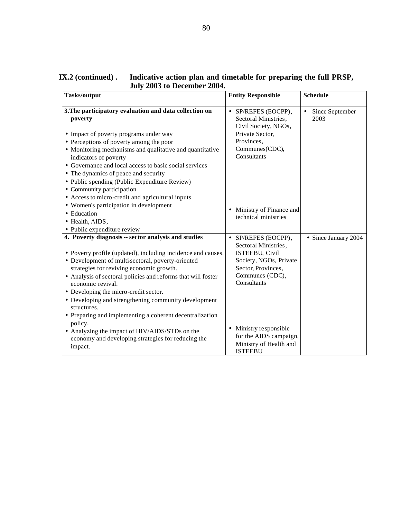| JUIY 2009 to December 2007.                                                                          |                                         |                      |
|------------------------------------------------------------------------------------------------------|-----------------------------------------|----------------------|
| <b>Tasks/output</b>                                                                                  | <b>Entity Responsible</b>               | <b>Schedule</b>      |
| 3. The participatory evaluation and data collection on                                               | • SP/REFES (EOCPP),                     | Since September      |
| poverty                                                                                              | Sectoral Ministries,                    | 2003                 |
|                                                                                                      | Civil Society, NGOs,<br>Private Sector, |                      |
| • Impact of poverty programs under way<br>• Perceptions of poverty among the poor                    | Provinces,                              |                      |
| • Monitoring mechanisms and qualitative and quantitative                                             | Communes(CDC),                          |                      |
| indicators of poverty                                                                                | Consultants                             |                      |
| • Governance and local access to basic social services                                               |                                         |                      |
| • The dynamics of peace and security                                                                 |                                         |                      |
| • Public spending (Public Expenditure Review)                                                        |                                         |                      |
| • Community participation                                                                            |                                         |                      |
| • Access to micro-credit and agricultural inputs                                                     |                                         |                      |
| • Women's participation in development                                                               |                                         |                      |
| • Education                                                                                          | • Ministry of Finance and               |                      |
| • Health, AIDS,                                                                                      | technical ministries                    |                      |
| • Public expenditure review                                                                          |                                         |                      |
| 4. Poverty diagnosis -- sector analysis and studies                                                  | SP/REFES (EOCPP),<br>$\bullet$          | • Since January 2004 |
|                                                                                                      | Sectoral Ministries,                    |                      |
| • Poverty profile (updated), including incidence and causes.                                         | <b>ISTEEBU, Civil</b>                   |                      |
| • Development of multi-sectoral, poverty-oriented                                                    | Society, NGOs, Private                  |                      |
| strategies for reviving economic growth.                                                             | Sector, Provinces,                      |                      |
| • Analysis of sectoral policies and reforms that will foster                                         | Communes (CDC),                         |                      |
| economic revival.                                                                                    | Consultants                             |                      |
| • Developing the micro-credit sector.                                                                |                                         |                      |
| • Developing and strengthening community development                                                 |                                         |                      |
| structures.                                                                                          |                                         |                      |
| • Preparing and implementing a coherent decentralization                                             |                                         |                      |
| policy.                                                                                              | Ministry responsible<br>$\bullet$       |                      |
| • Analyzing the impact of HIV/AIDS/STDs on the<br>economy and developing strategies for reducing the | for the AIDS campaign,                  |                      |
|                                                                                                      | Ministry of Health and                  |                      |
| impact.                                                                                              | <b>ISTEEBU</b>                          |                      |

### **IX.2 (continued) . Indicative action plan and timetable for preparing the full PRSP, July 2003 to December 2004.**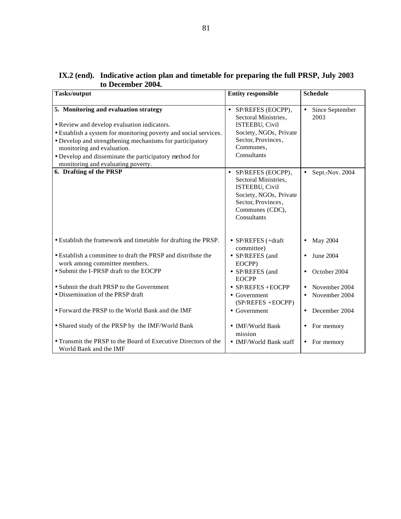| <b>Tasks/output</b>                                                                                                                                                                                                                                                                                                                                | <b>Entity responsible</b>                                                                                                                                         | <b>Schedule</b>                      |  |  |
|----------------------------------------------------------------------------------------------------------------------------------------------------------------------------------------------------------------------------------------------------------------------------------------------------------------------------------------------------|-------------------------------------------------------------------------------------------------------------------------------------------------------------------|--------------------------------------|--|--|
|                                                                                                                                                                                                                                                                                                                                                    |                                                                                                                                                                   |                                      |  |  |
| 5. Monitoring and evaluation strategy<br>• Review and develop evaluation indicators.<br>• Establish a system for monitoring poverty and social services.<br>• Develop and strengthening mechanisms for participatory<br>monitoring and evaluation.<br>• Develop and disseminate the participatory method for<br>monitoring and evaluating poverty. | • SP/REFES (EOCPP),<br>Sectoral Ministries,<br><b>ISTEEBU, Civil</b><br>Society, NGOs, Private<br>Sector, Provinces,<br>Communes,<br>Consultants                  | Since September<br>$\bullet$<br>2003 |  |  |
| 6. Drafting of the PRSP                                                                                                                                                                                                                                                                                                                            | SP/REFES (EOCPP),<br>$\bullet$<br>Sectoral Ministries,<br><b>ISTEEBU, Civil</b><br>Society, NGOs, Private<br>Sector, Provinces,<br>Communes (CDC),<br>Consultants | Sept.-Nov. 2004<br>$\bullet$         |  |  |
| • Establish the framework and timetable for drafting the PRSP.                                                                                                                                                                                                                                                                                     | • $SP/REFES$ (+draft<br>committee)                                                                                                                                | May 2004<br>$\bullet$                |  |  |
| • Establish a committee to draft the PRSP and distribute the<br>work among committee members.                                                                                                                                                                                                                                                      | • SP/REFES (and<br>EOCPP)                                                                                                                                         | June 2004<br>$\bullet$               |  |  |
| • Submit the I-PRSP draft to the EOCPP                                                                                                                                                                                                                                                                                                             | • SP/REFES (and<br><b>EOCPP</b>                                                                                                                                   | October 2004<br>$\bullet$            |  |  |
| • Submit the draft PRSP to the Government                                                                                                                                                                                                                                                                                                          | $\bullet$ SP/REFES + EOCPP                                                                                                                                        | November 2004<br>$\bullet$           |  |  |
| · Dissemination of the PRSP draft                                                                                                                                                                                                                                                                                                                  | • Government<br>(SP/REFES +EOCPP)                                                                                                                                 | November 2004<br>$\bullet$           |  |  |
| • Forward the PRSP to the World Bank and the IMF                                                                                                                                                                                                                                                                                                   | • Government                                                                                                                                                      | December 2004<br>$\bullet$           |  |  |
| • Shared study of the PRSP by the IMF/World Bank                                                                                                                                                                                                                                                                                                   | • IMF/World Bank<br>mission                                                                                                                                       | For memory<br>$\bullet$              |  |  |
| • Transmit the PRSP to the Board of Executive Directors of the<br>World Bank and the IMF                                                                                                                                                                                                                                                           | • IMF/World Bank staff                                                                                                                                            | For memory<br>$\bullet$              |  |  |

### **IX.2 (end). Indicative action plan and timetable for preparing the full PRSP, July 2003 to December 2004.**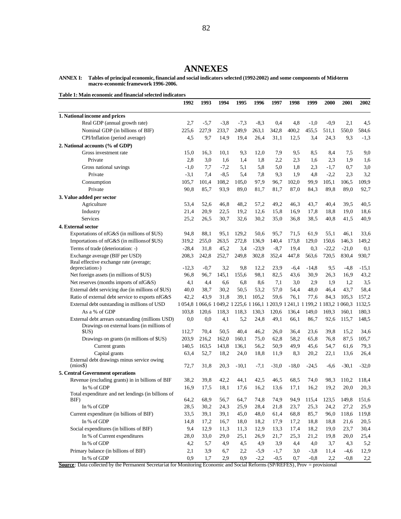### **ANNEXES**

**ANNEX I: Tables of principal economic, financial and social indicators selected (1992-2002) and some components of Mid-term macro-economic framework 1996-2006.** 

**Table 1: Main economic and financial selected indicators**

|                                                                          | 1992        | 1993   | 1994         | 1995                                                                  | 1996    | 1997    | 1998    | 1999    | <b>2000</b> | <b>2001</b> | 2002    |
|--------------------------------------------------------------------------|-------------|--------|--------------|-----------------------------------------------------------------------|---------|---------|---------|---------|-------------|-------------|---------|
| 1. National income and prices                                            |             |        |              |                                                                       |         |         |         |         |             |             |         |
| Real GDP (annual growth rate)                                            | 2,7         | $-5,7$ | $-3,8$       | $-7,3$                                                                | $-8,3$  | 0,4     | 4,8     | $-1,0$  | $-0,9$      | 2,1         | 4,5     |
| Nominal GDP (in billions of BIF)                                         | 225,6       | 227,9  | 233,7        | 249,9                                                                 | 263,1   | 342,8   | 400,2   | 455,5   | 511,1       | 550,0       | 584,6   |
| CPI/Inflation (period average)                                           | 4,5         | 9,7    | 14,9         | 19,4                                                                  | 26,4    | 31,1    | 12,5    | 3,4     | 24,3        | 9,3         | $-1,3$  |
| 2. National accounts (% of GDP)                                          |             |        |              |                                                                       |         |         |         |         |             |             |         |
| Gross investment rate                                                    | 15,0        | 16,3   | 10,1         | 9,3                                                                   | 12,0    | 7,9     | 9,5     | 8,5     | 8,4         | 7,5         | 9,0     |
| Private                                                                  | 2,8         | 3,0    | 1.6          | 1,4                                                                   | 1,8     | 2,2     | 2,3     | 1,6     | 2,3         | 1,9         | 1,6     |
| Gross national savings                                                   | $-1,0$      | 7,7    | $-7,2$       | 5,1                                                                   | 5,8     | 5,0     | 1,8     | 2,3     | $-1,7$      | 0,7         | 3,0     |
| Private                                                                  | $-3,1$      | 7,4    | $-8,5$       | 5,4                                                                   | 7,8     | 9,3     | 1,9     | 4,8     | $-2,2$      | 2,3         | 3,2     |
| Consumption                                                              | 105,7       | 101,4  | 108,2        | 105,0                                                                 | 97,9    | 96,7    | 102,0   | 99,9    | 105,1       | 106,5       | 109,9   |
| Private                                                                  | 90,8        | 85,7   | 93,9         | 89,0                                                                  | 81,7    | 81,7    | 87,0    | 84,3    | 89,8        | 89,0        | 92,7    |
| 3. Value added per sector                                                |             |        |              |                                                                       |         |         |         |         |             |             |         |
| Agriculture                                                              | 53,4        | 52,6   | 46,8         | 48,2                                                                  | 57,2    | 49,2    | 46,3    | 43,7    | 40,4        | 39,5        | 40,5    |
| Industry                                                                 | 21,4        | 20,9   | 22,5         | 19,2                                                                  | 12,6    | 15,8    | 16,9    | 17,8    | 18,8        | 19,0        | 18,6    |
| <b>Services</b>                                                          | 25,2        | 26,5   | 30,7         | 32,6                                                                  | 30,2    | 35,0    | 36,8    | 38,5    | 40,8        | 41,5        | 40,9    |
|                                                                          |             |        |              |                                                                       |         |         |         |         |             |             |         |
| 4. External sector                                                       |             | 88,1   |              |                                                                       |         |         |         |         |             |             |         |
| Exportations of nfG&S (in millions of \$US)                              | 94,8        |        | 95,1         | 129,2                                                                 | 50,6    | 95,7    | 71,5    | 61,9    | 55,1        | 46,1        | 33,6    |
| Importations of nfG&S (in millions of \$US)                              | 319,2       | 255,0  | 263,5        | 272,8                                                                 | 136,9   | 140,4   | 173,8   | 129,0   | 150,6       | 146,3       | 149,2   |
| Terms of trade (deterioration: -)                                        | $-28,4$     | 31,8   | 45,2         | 3,4                                                                   | $-23,9$ | $-8,7$  | 19,4    | 0,3     | $-22,2$     | $-21,0$     | 0,1     |
| Exchange average (BIF per USD)<br>Real effective exchange rate (average; | 208,3       | 242,8  | 252,7        | 249,8                                                                 | 302,8   | 352,4   | 447,8   | 563,6   | 720,5       | 830,4       | 930,7   |
| depreciation-)                                                           | $-12,3$     | $-0.7$ | 3,2          | 9,8                                                                   | 12,2    | 23,9    | $-6,4$  | $-14.8$ | 9,5         | $-4,8$      | $-15,1$ |
| Net foreign assets (in millions of \$US)                                 | 96,8        | 96,7   | 145,1        | 155,6                                                                 | 98,1    | 82,5    | 43,6    | 30,9    | 26,3        | 16,9        | 43,2    |
| Net reserves (months imports of nfG&S)                                   | 4,1         | 4,4    | 6,6          | 6,8                                                                   | 8,6     | 7,1     | 3,0     | 2,9     | 1,9         | 1,2         | 3,5     |
| External debt servicing due (in millions of \$US)                        | 40,0        | 38,7   | 30,2         | 50,5                                                                  | 53,2    | 57,0    | 54,4    | 48,0    | 46,4        | 43,7        | 58,4    |
| Ratio of external debt service to exports nfG&S                          | 42,2        | 43,9   | 31,8         | 39,1                                                                  | 105,2   | 59,6    | 76,1    | 77,6    | 84,3        | 105,3       | 157,2   |
| External debt outstanding in millions of USD                             |             |        |              | 1054,8 1066,6 1049,2 1225,6 1166,1 1203,9 1241,1 1199,2 1183,2 1060,3 |         |         |         |         |             |             | 1132,5  |
| As a % of GDP                                                            | 103,8       | 120,6  | 118,3        | 118,3                                                                 | 130,3   | 120,6   | 136,4   | 149,0   | 169,3       | 160,1       | 180,3   |
| External debt arrears outstanding (millions USD)                         | 0,0         | 0,0    | 4,1          | 5,2                                                                   | 24,8    | 49,1    | 66,1    | 86,7    | 92,6        | 115,7       | 148,5   |
| Drawings on external loans (in millions of                               |             |        |              |                                                                       |         |         |         |         |             |             |         |
| \$US)                                                                    | 112,7       | 70,4   | 50,5         | 40,4                                                                  | 46,2    | 26,0    | 36,4    | 23,6    | 39,8        | 15,2        | 34,6    |
| Drawings on grants (in millions of \$US)                                 | 203,9       | 216,2  | 162,0        | 160,1                                                                 | 75,0    | 62,8    | 58,2    | 65,8    | 76,8        | 87,5        | 105,7   |
| Current grants                                                           | 140,5       | 163,5  | 143,8        | 136,1                                                                 | 56,2    | 50,9    | 49,9    | 45,6    | 54,7        | 61,6        | 79,3    |
| Capital grants                                                           | 63,4        | 52,7   | 18,2         | 24,0                                                                  | 18,8    | 11,9    | 8,3     | 20,2    | 22,1        | 13,6        | 26,4    |
| External debt drawings minus service owing                               |             |        |              |                                                                       |         |         |         |         |             |             |         |
| (mios                                                                    | 72,7        | 31,8   | 20,3         | $-10,1$                                                               | $-7,1$  | $-31,0$ | $-18,0$ | $-24,5$ | $-6,6$      | $-30,1$     | $-32,0$ |
| 5. Central Government operations                                         |             |        |              |                                                                       |         |         |         |         |             |             |         |
| Revenue (excluding grants) in in billions of BIF                         | 38,2        | 39,8   | 42,2         | 44,1                                                                  | 42,5    | 46,5    | 68,5    | 74,0    | 98,3        | 110,2       | 118,4   |
| In % of GDP                                                              | 16.9        | 17,5   | 18,1         | 17,6                                                                  | 16,2    | 13,6    | 17,1    | 16,2    | 19,2        | 20,0        | 20,3    |
| Total expenditure and net lendings (in billions of<br>BIF)               | 64,2        | 68,9   | 56,7         | 64,7                                                                  | 74,8    | 74,9    | 94,9    | 115,4   | 123,5       | 149,8       | 151,6   |
| In % of GDP                                                              | 28,5        | 30,2   | 24,3         | 25,9                                                                  | 28,4    | 21,8    | 23,7    | 25,3    | 24,2        | 27,2        | 25,9    |
| Current expenditure (in billions of BIF)                                 | 33,5        | 39,1   | 39,1         | 45,0                                                                  | 48,0    | 61,4    | 68,8    | 85,7    | 96,0        | 118,6       | 119,8   |
| In % of GDP                                                              | 14,8        | 17,2   | 16,7         | 18,0                                                                  | 18,2    | 17,9    | 17,2    | 18,8    | 18,8        | 21,6        | 20,5    |
| Social expenditures (in billions of BIF)                                 | 9,4         | 12,9   |              |                                                                       |         |         |         |         |             |             |         |
|                                                                          |             | 33,0   | 11,3<br>29,0 | 11,3                                                                  | 12,9    | 13,3    | 17,4    | 18,2    | 19,0        | 23,7        | 30,4    |
| In % of Current expenditures<br>In % of GDP                              | 28,0<br>4,2 |        |              | 25,1                                                                  | 26,9    | 21,7    | 25,3    | 21,2    | 19,8        | 20,0        | 25,4    |
|                                                                          |             | 5,7    | 4,9          | 4,5                                                                   | 4,9     | 3,9     | 4,4     | 4,0     | 3,7         | 4,3         | 5,2     |
| Primary balance (in billions of BIF)                                     | 2,1         | 3,9    | 6,7          | 2,2                                                                   | $-5,9$  | $-1,7$  | 3,0     | $-3,8$  | 11,4        | $-4,6$      | 12,9    |
| In % of GDP                                                              | 0,9         | 1,7    | 2,9          | 0,9                                                                   | $-2,2$  | $-0,5$  | 0,7     | $-0,8$  | 2,2         | $-0,8$      | 2,2     |

**Source**: Data collected by the Permanent Secretariat for Monitoring Economic and Social Reforms (SP/REFES), Prov = provisional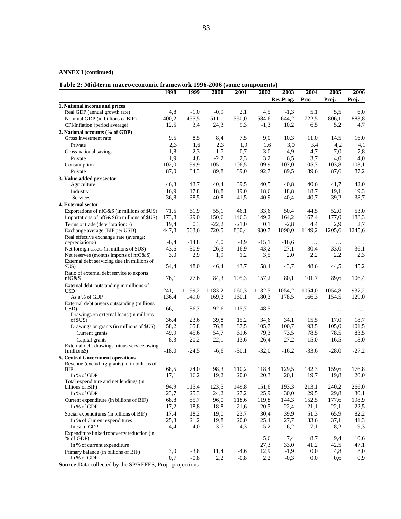### **ANNEX I (continued)**

### **Table 2: Mid-term macro-economic framework 1996-2006 (some components)**

|                                                     | 1998       | 1999    | 2000        | 2001    | 2002    | 2003      | 2004     | 2005     | 2006    |
|-----------------------------------------------------|------------|---------|-------------|---------|---------|-----------|----------|----------|---------|
|                                                     |            |         |             |         |         | Rev.Prog. | Proj     | Proj.    | Proj.   |
| 1. National income and prices                       |            |         |             |         |         |           |          |          |         |
| Real GDP (annual growth rate)                       | 4,8        | $-1,0$  | $-0.9$      | 2,1     | 4,5     | $-1,3$    | 5,1      | 5,5      | 6,0     |
| Nominal GDP (in billions of BIF)                    | 400,2      | 455,5   | 511,1       | 550,0   | 584,6   | 644,2     | 722,5    | 806,1    | 883,8   |
| CPI/Inflation (period average)                      | 12,5       | 3,4     | 24,3        | 9,3     | $-1,3$  | 10,2      | 6,5      | 5,2      | 4,7     |
| 2. National accounts (% of GDP)                     |            |         |             |         |         |           |          |          |         |
| Gross investment rate                               | 9,5        | 8,5     | 8,4         | 7,5     | 9,0     | 10,3      | 11,0     | 14,5     | 16,0    |
| Private                                             | 2,3        | 1,6     | 2,3         | 1,9     | 1,6     | 3,0       | 3,4      | 4,2      | 4,1     |
| Gross national savings                              | 1,8        | 2,3     | $-1,7$      | 0,7     | 3,0     | 4,9       | 4,7      | 7,0      | 7,8     |
| Private                                             | 1,9        | 4,8     | $-2,2$      | 2,3     | 3,2     | 6,5       | 3,7      | 4,0      | 4,0     |
| Consumption                                         | 102,0      | 99,9    | 105,1       | 106,5   | 109,9   | 107,0     | 105,7    | 103,8    | 103,1   |
| Private                                             | 87,0       | 84,3    | 89,8        | 89,0    | 92,7    | 89,5      | 89,6     | 87,6     | 87,2    |
| 3. Value added per sector                           |            |         |             |         |         |           |          |          |         |
| Agriculture                                         | 46,3       | 43,7    | 40,4        | 39,5    | 40,5    | 40,8      | 40,6     | 41,7     | 42,0    |
| Industry                                            | 16,9       | 17,8    | 18,8        | 19,0    | 18,6    | 18,8      | 18,7     | 19,1     | 19,3    |
| Services                                            | 36,8       | 38,5    | 40,8        | 41,5    | 40,9    | 40,4      | 40,7     | 39,2     | 38,7    |
| 4. External sector                                  |            |         |             |         |         |           |          |          |         |
| Exportations of nfG&S (in millions of \$US)         | 71,5       | 61,9    | 55,1        | 46,1    | 33,6    | 50,4      | 44,5     | 52,0     | 53,0    |
| Importations of nfG&S(in millions of \$US)          | 173,8      | 129,0   | 150,6       | 146,3   | 149,2   | 164,2     | 167,4    | 177,0    | 188,3   |
| Terms of trade (deterioration: -)                   | 19,4       | 0,3     | $-22,2$     | $-21,0$ | 0,1     | $-2,8$    | 4,4      | 2,9      | 2,7     |
| Exchange average (BIF per USD)                      | 447,8      | 563,6   | 720,5       | 830,4   | 930,7   | 1090,0    | 1149,2   | 1205,6   | 1245,6  |
| Real effective exchange rate (average;              |            |         |             |         |         |           |          |          |         |
| depreciation:-)                                     | $-6,4$     | $-14,8$ | 4,0         | $-4,9$  | $-15,1$ | $-16,6$   | $\ddots$ | $\ldots$ |         |
| Net foreign assets (in millions of \$US)            | 43,6       | 30,9    | 26,3        | 16,9    | 43,2    | 27,1      | 30,4     | 33,0     | 36,1    |
| Net reserves (months imports of nfG&S)              | 3,0        | 2,9     | 1,9         | 1,2     | 3,5     | 2,0       | 2,2      | 2,2      | 2,3     |
| External debt servicing due (in millions of         |            |         |             |         |         |           |          |          |         |
| \$US)                                               | 54,4       | 48,0    | 46,4        | 43,7    | 58,4    | 43,7      | 48,6     | 44,5     | 45,2    |
| Ratio of external debt service to exports           |            |         |             |         |         |           |          |          |         |
| nfG&S                                               | 76,1       | 77,6    | 84,3        | 105,3   | 157,2   | 80,1      | 101,7    | 89,6     | 106,4   |
| External debt outstanding in millions of            | 1<br>241,1 | 1 199,2 | 1 1 8 3 , 2 | 1 060,3 | 1132,5  | 1054,2    | 1054,0   | 1054,8   | 937,2   |
| <b>USD</b><br>As a % of GDP                         | 136,4      | 149,0   | 169,3       | 160,1   | 180,3   | 178,5     | 166,3    | 154,5    | 129,0   |
|                                                     |            |         |             |         |         |           |          |          |         |
| External debt arrears outstanding (millions<br>USD) | 66,1       | 86,7    | 92,6        | 115,7   | 148,5   | $\cdots$  | .        | $\cdots$ | .       |
| Drawings on external loans (in millions             |            |         |             |         |         |           |          |          |         |
| of $SUS$ )                                          | 36,4       | 23,6    | 39,8        | 15,2    | 34,6    | 34,1      | 15,5     | 17,0     | 18,7    |
| Drawings on grants (in millions of \$US)            | 58,2       | 65,8    | 76,8        | 87,5    | 105,7   | 100,7     | 93,5     | 105,0    | 101,5   |
| Current grants                                      | 49,9       | 45,6    | 54,7        | 61,6    | 79,3    | 73,5      | 78,5     | 78,5     | 83,5    |
| Capital grants                                      | 8,3        | 20,2    | 22,1        | 13,6    | 26,4    | 27,2      | 15,0     | 16,5     | 18,0    |
| External debt drawings minus service owing          |            |         |             |         |         |           |          |          |         |
| (millions\$)                                        | $-18,0$    | $-24.5$ | $-6,6$      | $-30,1$ | $-32,0$ | $-16,2$   | $-33.6$  | $-28,0$  | $-27,2$ |
| 5. Central Government operations                    |            |         |             |         |         |           |          |          |         |
| Revenue (excluding grants) in in billions of        |            |         |             |         |         |           |          |          |         |
| BIF                                                 | 68,5       | 74,0    | 98,3        | 110,2   | 118,4   | 129,5     | 142,3    | 159,6    | 176,8   |
| In % of GDP                                         | 17,1       | 16,2    | 19,2        | 20,0    | 20,3    | 20,1      | 19,7     | 19,8     | 20,0    |
| Total expenditure and net lendings (in              | 94,9       | 115,4   | 123,5       | 149,8   | 151,6   | 193,3     | 213,1    | 240,2    | 266,0   |
| billions of BIF)<br>In % of GDP                     | 23,7       | 25,3    |             | 27,2    | 25,9    | 30,0      | 29,5     | 29,8     | 30,1    |
|                                                     |            |         | 24,2        |         |         |           |          |          |         |
| Current expenditure (in billions of BIF)            | 68,8       | 85,7    | 96,0        | 118,6   | 119,8   | 144,3     | 152,5    | 177,6    | 198,9   |
| In % of GDP                                         | 17,2       | 18,8    | 18,8        | 21,6    | 20,5    | 22,4      | 21,1     | 22,1     | 22,5    |
| Social expenditures (in billions of BIF)            | 17,4       | 18,2    | 19,0        | 23,7    | 30,4    | 39,9      | 51,3     | 65,9     | 82,2    |
| In % of Current expenditures                        | 25,3       | 21,2    | 19,8        | 20,0    | 25,4    | 27,7      | 33,6     | 37,1     | 41,3    |
| In % of GDP                                         | 4,4        | 4,0     | 3,7         | 4,3     | 5,2     | 6,2       | 7,1      | 8,2      | 9,3     |
| Expenditure linked topoverty reduction (in          |            |         |             |         |         |           |          |          |         |
| % of GDP)                                           |            |         |             |         | 5,6     | 7,4       | 8,7      | 9,4      | 10,6    |
| In % of current expenditure                         |            |         |             |         | 27,3    | 33,0      | 41,2     | 42,5     | 47,1    |
| Primary balance (in billions of BIF)                | 3,0        | $-3,8$  | 11,4        | $-4,6$  | 12,9    | $-1,9$    | 0,0      | 4,8      | 8,0     |
| In % of GDP                                         | 0,7        | $-0,8$  | 2,2         | $-0,8$  | 2,2     | $-0,3$    | 0,0      | 0,6      | 0,9     |

**Source**:Data collected by the SP/REFES, Proj.=projections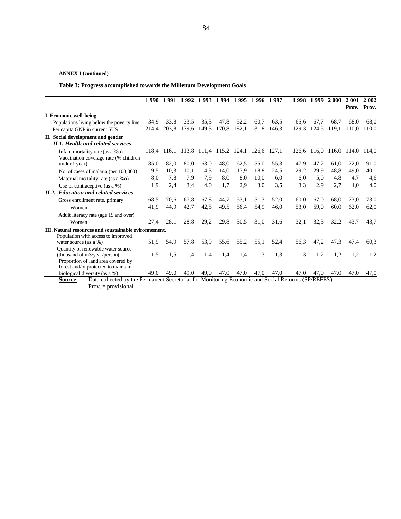### **ANNEX I (continued)**

**Table 3: Progress accomplished towards the Millenum Development Goals**

|                                                                                                                                                                                      |       | 1990 1991 1992 1993 1994 1995 1996 1997 |       |                   |       |       |       |       |       | 1998 1999 | <b>2000</b> | 2 001 | 2 0 0 2<br>Prov. Prov. |
|--------------------------------------------------------------------------------------------------------------------------------------------------------------------------------------|-------|-----------------------------------------|-------|-------------------|-------|-------|-------|-------|-------|-----------|-------------|-------|------------------------|
| I. Economic well-being                                                                                                                                                               |       |                                         |       |                   |       |       |       |       |       |           |             |       |                        |
| Populations living below the poverty line                                                                                                                                            | 34.9  | 33.8                                    | 33.5  | 35,3              | 47,8  | 52,2  | 60.7  | 63,5  | 65.6  | 67,7      | 68.7        | 68.0  | 68.0                   |
| Per capita GNP in current \$US                                                                                                                                                       | 214,4 | 203.8                                   | 179,6 | 149.3             | 170.8 | 182,1 | 131.8 | 146.3 | 129.3 | 124.5     | 119,1       | 110.0 | 110.0                  |
| II. Social development and gender<br>II.1. Health and related services                                                                                                               |       |                                         |       |                   |       |       |       |       |       |           |             |       |                        |
| Infant mortality rate (as a $\%$ o)<br>Vaccination coverage rate (% children                                                                                                         | 118,4 | 116,1                                   | 113,8 | 111,4 115,2 124,1 |       |       | 126,6 | 127,1 | 126.6 | 116,0     | 116,0       | 114,0 | 114,0                  |
| under 1 year)                                                                                                                                                                        | 85,0  | 82,0                                    | 80,0  | 63.0              | 48.0  | 62,5  | 55.0  | 55.3  | 47,9  | 47,2      | 61,0        | 72,0  | 91,0                   |
| No. of cases of malaria (per 100,000)                                                                                                                                                | 9,5   | 10,3                                    | 10,1  | 14,3              | 14,0  | 17.9  | 18.8  | 24,5  | 29,2  | 29,9      | 48,8        | 49,0  | 40,1                   |
| Maternal mortality rate (as a %o)                                                                                                                                                    | 8,0   | 7,8                                     | 7,9   | 7,9               | 8.0   | 8.0   | 10.0  | 6.0   | 6,0   | 5,0       | 4,8         | 4,7   | 4,6                    |
| Use of contraceptive (as a $\%$ )                                                                                                                                                    | 1,9   | 2,4                                     | 3,4   | 4,0               | 1,7   | 2,9   | 3,0   | 3,5   | 3,3   | 2,9       | 2,7         | 4,0   | 4,0                    |
| <b>II.2.</b> Education and related services                                                                                                                                          |       |                                         |       |                   |       |       |       |       |       |           |             |       |                        |
| Gross enrollment rate, primary                                                                                                                                                       | 68,5  | 70.6                                    | 67,8  | 67,8              | 44,7  | 53,1  | 51,3  | 52,0  | 60,0  | 67,0      | 68,0        | 73,0  | 73,0                   |
| Women                                                                                                                                                                                | 41,9  | 44,9                                    | 42,7  | 42,5              | 49,5  | 56,4  | 54,9  | 46,0  | 53,0  | 59,0      | 60,0        | 62,0  | 62,0                   |
| Adult literacy rate (age 15 and over)                                                                                                                                                |       |                                         |       |                   |       |       |       |       |       |           |             |       |                        |
| Women                                                                                                                                                                                | 27,4  | 28,1                                    | 28,8  | 29,2              | 29,8  | 30,5  | 31,0  | 31,6  | 32.1  | 32,3      | 32.2        | 43.7  | 43,7                   |
| III. Natural resources and soustainable evironnement.<br>Population with access to improved<br>water source (as a $\%$ )                                                             | 51,9  | 54,9                                    | 57,8  | 53,9              | 55,6  | 55,2  | 55,1  | 52,4  | 56,3  | 47,2      | 47,3        | 47,4  | 60.3                   |
| Quantity of renewable water source<br>(thousand of m3/year/person)<br>Proportion of land area covered by                                                                             | 1,5   | 1,5                                     | 1,4   | 1,4               | 1.4   | 1,4   | 1,3   | 1,3   | 1.3   | 1,2       | 1,2         | 1,2   | 1,2                    |
| forest and/or protected to maintain<br>biological diversity (as a %)<br>Data collected by the Permanent Secretariat for Monitoring Economic and Social Reforms (SP/REFES)<br>Source: | 49.0  | 49.0                                    | 49.0  | 49.0              | 47.0  | 47.0  | 47.0  | 47.0  | 47.0  | 47.0      | 47.0        | 47,0  | 47,0                   |

Prov. = provisional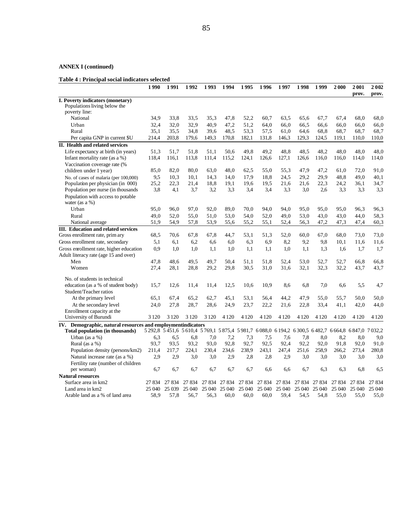### **ANNEX I (continued)**

### **Table 4 : Principal social indicators selected**

|                                                                            | 1990          | 1991          | 1992          | 1993          | 1994          | 1995                                                                                       | 1996          | 1997          | 1998          | 1999          | 2000          | 2001<br>prov. | 2002<br>prov. |
|----------------------------------------------------------------------------|---------------|---------------|---------------|---------------|---------------|--------------------------------------------------------------------------------------------|---------------|---------------|---------------|---------------|---------------|---------------|---------------|
| I. Poverty indicators (monetary)                                           |               |               |               |               |               |                                                                                            |               |               |               |               |               |               |               |
| Populations living below the                                               |               |               |               |               |               |                                                                                            |               |               |               |               |               |               |               |
| poverty line:                                                              |               |               |               |               |               |                                                                                            |               |               |               |               |               |               |               |
| National                                                                   | 34,9          | 33,8          | 33,5          | 35,3          | 47,8          | 52,2                                                                                       | 60,7          | 63.5          | 65.6          | 67,7          | 67,4          | 68,0          | 68,0          |
| Urban                                                                      | 32,4          | 32.0          | 32.9          | 40.9          | 47,2          | 51.2                                                                                       | 64.0          | 66.0          | 66.5          | 66.6          | 66.0          | 66,0          | 66,0          |
| Rural<br>Per capita GNP in current \$U                                     | 35,1<br>214,4 | 35.5<br>203,8 | 34,8<br>179,6 | 39,6<br>149,3 | 48.5<br>170,8 | 53,3<br>182,1                                                                              | 57,5<br>131,8 | 61,0<br>146,3 | 64,6<br>129,3 | 68.8<br>124,5 | 68,7<br>119,1 | 68,7<br>110,0 | 68,7<br>110,0 |
| II. Health and related services                                            |               |               |               |               |               |                                                                                            |               |               |               |               |               |               |               |
| Life expectancy at birth (in years)                                        | 51,3          | 51,7          | 51.8          | 51.1          | 50.6          | 49.8                                                                                       | 49.2          | 48.8          | 48,5          | 48,2          | 48.0          | 48.0          | 48,0          |
| Infant mortality rate (as a %)                                             | 118,4         | 116,1         | 113,8         | 111,4         | 115,2         | 124,1                                                                                      | 126,6         | 127,1         | 126,6         | 116,0         | 116,0         | 114,0         | 114,0         |
| Vaccination coverage rate (%                                               |               |               |               |               |               |                                                                                            |               |               |               |               |               |               |               |
| children under 1 year)                                                     | 85,0          | 82,0          | 80,0          | 63,0          | 48,0          | 62,5                                                                                       | 55,0          | 55.3          | 47,9          | 47,2          | 61,0          | 72,0          | 91,0          |
|                                                                            | 9,5           | 10.3          | 10,1          | 14,3          | 14,0          | 17.9                                                                                       | 18.8          | 24,5          | 29,2          | 29,9          | 48.8          | 49,0          | 40,1          |
| No. of cases of malaria (per 100,000)<br>Population per physician (in 000) | 25,2          | 22,3          | 21,4          | 18,8          | 19.1          | 19.6                                                                                       | 19,5          | 21,6          | 21,6          | 22,3          | 24,2          | 36,1          | 34,7          |
| Population per nurse (in thousands                                         | 3.8           | 4,1           | 3.7           | 3,2           | 3.3           | 3,4                                                                                        | 3.4           | 3.3           | 3,0           | 2.6           | 3.3           | 3.3           | 3,3           |
| Population with access to potable                                          |               |               |               |               |               |                                                                                            |               |               |               |               |               |               |               |
| water (as a $%$ )                                                          |               |               |               |               |               |                                                                                            |               |               |               |               |               |               |               |
| Urban                                                                      | 95.0          | 96.0          | 97,0          | 92,0          | 89.0          | 70.0                                                                                       | 94,0          | 94,0          | 95,0          | 95.0          | 95.0          | 96,3          | 96,3          |
| Rural                                                                      | 49,0          | 52,0          | 55,0          | 51,0          | 53,0          | 54,0                                                                                       | 52,0          | 49,0          | 53,0          | 43,0          | 43,0          | 44,0          | 58,3          |
| National average                                                           | 51,9          | 54,9          | 57,8          | 53,9          | 55,6          | 55,2                                                                                       | 55,1          | 52,4          | 56,3          | 47,2          | 47,3          | 47,4          | 60,3          |
| <b>III.</b> Education and related services                                 |               |               |               |               |               |                                                                                            |               |               |               |               |               |               |               |
| Gross enrollment rate, prim ary                                            | 68.5          | 70,6          | 67,8          | 67,8          | 44,7          | 53,1                                                                                       | 51,3          | 52,0          | 60,0          | 67,0          | 68,0          | 73,0          | 73,0          |
| Gross enrollment rate, secondary                                           | 5,1           | 6,1           | 6,2           | 6,6           | 6,0           | 6,3                                                                                        | 6.9           | 8,2           | 9,2           | 9,8           | 10,1          | 11,6          | 11,6          |
| Gross enrollment rate, higher education                                    | 0.9           | 1.0           | 1,0           | 1.1           | 1,0           | 1,1                                                                                        | 1,1           | 1,0           | 1,1           | 1.3           | 1.6           | 1,7           | 1,7           |
| Adult literacy rate (age 15 and over)                                      |               |               |               |               |               |                                                                                            |               |               |               |               |               |               |               |
| Men                                                                        | 47,8          | 48.6          | 49,5          | 49,7          | 50,4          | 51,1                                                                                       | 51,8          | 52,4          | 53,0          | 52,7          | 52,7          | 66,8          | 66,8          |
| Women                                                                      | 27,4          | 28.1          | 28.8          | 29,2          | 29,8          | 30.5                                                                                       | 31,0          | 31,6          | 32,1          | 32,3          | 32.2          | 43.7          | 43,7          |
|                                                                            |               |               |               |               |               |                                                                                            |               |               |               |               |               |               |               |
| No. of students in technical                                               |               |               |               |               |               |                                                                                            |               |               |               |               |               |               |               |
| education (as a % of student body)                                         | 15,7          | 12,6          | 11,4          | 11,4          | 12,5          | 10.6                                                                                       | 10,9          | 8,6           | 6,8           | 7,0           | 6,6           | 5,5           | 4,7           |
| Student/Teacher ratios                                                     |               |               |               |               |               |                                                                                            |               |               |               |               |               |               |               |
| At the primary level                                                       | 65,1          | 67,4          | 65,2          | 62,7          | 45,1          | 53,1                                                                                       | 56.4          | 44,2          | 47.9          | 55,0          | 55,7          | 50,0          | 50,0          |
| At the secondary level                                                     | 24,0          | 27,8          | 28.7          | 28,6          | 24,9          | 23.7                                                                                       | 22,2          | 21,6          | 22,8          | 33.4          | 41,1          | 42,0          | 44,0          |
| Enrollment capacity at the                                                 |               |               |               |               |               |                                                                                            |               |               |               |               |               |               |               |
| University of Burundi                                                      | 3 1 2 0       | 3 1 2 0       | 3 1 2 0       | 3 1 2 0       | 4 1 2 0       | 4 1 2 0                                                                                    | 4 1 2 0       | 4 1 2 0       | 4 1 2 0       | 4 1 2 0       | 4 1 2 0       | 4 1 2 0       | 4 1 2 0       |
| IV. Demographic, natural resources and employmentindicators                |               |               |               |               |               | 5292.8 5451.6 5610.4 5769.1 5875.4 5981.7 6088.0 6194.2 6300.5 6482.7 6664.8 6847.0 7032.2 |               |               |               |               |               |               |               |
| <b>Total population (in thousands)</b>                                     |               |               |               |               |               |                                                                                            |               |               |               |               |               |               |               |
| Urban (as a %)                                                             | 6,3           | 6,5           | 6,8           | 7,0           | 7,2           | 7,3                                                                                        | 7,5           | 7,6           | 7,8           | 8,0           | 8,2           | 8,0           | 9,0           |
| Rural (as a %)                                                             | 93.7          | 93.5          | 93,2          | 93,0          | 92,8          | 92,7                                                                                       | 92,5          | 92,4          | 92,2          | 92.0          | 91.8          | 92,0          | 91,0          |
| Population density (persons/km2)                                           | 211,4         | 217,7         | 224,1         | 230,4         | 234,6         | 238,9                                                                                      | 243,1         | 247,4         | 251,6         | 258,9         | 266,2         | 273,4         | 280,8         |
| Natural increase rate (as a %)                                             | 2.9           | 2,9           | 3,0           | 3,0           | 2.9           | 2,8                                                                                        | 2,8           | 2.9           | 3,0           | 3.0           | 3,0           | 3,0           | 3,0           |
| Fertility rate (number of children                                         |               |               |               |               |               |                                                                                            |               |               |               |               |               |               |               |
| per woman)                                                                 | 6,7           | 6,7           | 6,7           | 6,7           | 6,7           | 6,7                                                                                        | 6,6           | 6,6           | 6,7           | 6.3           | 6.3           | 6,8           | 6.5           |
| <b>Natural resources</b>                                                   |               |               |               |               |               |                                                                                            |               |               |               |               |               |               |               |
| Surface area in km2                                                        | 27 834        | 27 834        | 27 834        | 27 834        | 27 834        | 27 834                                                                                     | 27 834        | 27 834        | 27 834        | 27 834        | 27 834        | 27 834        | 27 834        |
| Land area in km2                                                           | 25 040        | 25 039        | 25 040        | 25 040        | 25 040        | 25 040                                                                                     | 25 040        | 25 040        | 25 040        | 25 040        | 25 040        | 25 040        | 25 040        |
| Arable land as a % of land area                                            | 58.9          | 57,8          | 56,7          | 56,3          | 60.0          | 60.0                                                                                       | 60.0          | 59,4          | 54,5          | 54.8          | 55,0          | 55,0          | 55,0          |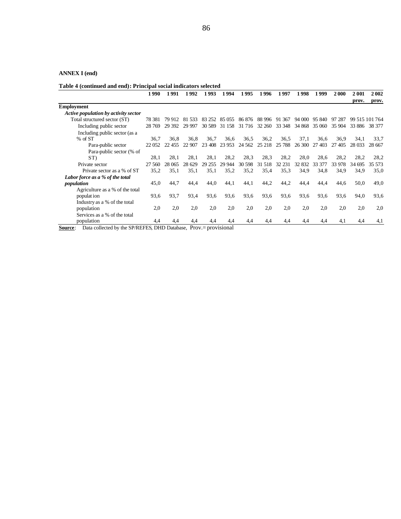### **ANNEX I (end)**

**Table 4 (continued and end): Principal social indicators selected**

|                                      | 1990    | 1991   | 1 992    | 1 9 9 3 | 1994   | 1995    | 1 996     | 1997   | 1998   | 1999   | 2000   | 2001   | 2002           |
|--------------------------------------|---------|--------|----------|---------|--------|---------|-----------|--------|--------|--------|--------|--------|----------------|
|                                      |         |        |          |         |        |         |           |        |        |        |        | prov.  | prov.          |
| <b>Employment</b>                    |         |        |          |         |        |         |           |        |        |        |        |        |                |
| Active population by activity sector |         |        |          |         |        |         |           |        |        |        |        |        |                |
| Total structured sector (ST)         | 78.381  | 79 912 | 81 533   | 83 252  | 85 055 | 86 876  | 88 996    | 91 367 | 94 000 | 95 840 | 97 287 |        | 99 515 101 764 |
| Including public sector              | 28 769  | 29 392 | 29 9 9 7 | 30.589  | 31 158 | 31 716  | 32 260    | 33 348 | 34 868 | 35 060 | 35 904 | 33 886 | 38 377         |
| Including public sector (as a        |         |        |          |         |        |         |           |        |        |        |        |        |                |
| $%$ of ST                            | 36.7    | 36.8   | 36.8     | 36.7    | 36.6   | 36.5    | 36.2      | 36.5   | 37.1   | 36.6   | 36.9   | 34.1   | 33.7           |
| Para-public sector                   | 22 05 2 | 22 455 | 22 907   | 23 408  | 23 953 | 24 5 62 | 25 218    | 25 788 | 26 300 | 27 403 | 27 405 | 28 033 | 28 667         |
| Para-public sector (% of             |         |        |          |         |        |         |           |        |        |        |        |        |                |
| ST)                                  | 28,1    | 28,1   | 28,1     | 28,1    | 28,2   | 28,3    | 28.3      | 28,2   | 28,0   | 28,6   | 28,2   | 28,2   | 28,2           |
| Private sector                       | 27 560  | 28 065 | 28 629   | 29 255  | 29 944 | 30 598  | 31<br>518 | 32 231 | 32 832 | 33 377 | 33 978 | 34 695 | 35 573         |
| Private sector as a % of ST          | 35,2    | 35,1   | 35,1     | 35,1    | 35,2   | 35,2    | 35,4      | 35,3   | 34,9   | 34,8   | 34,9   | 34,9   | 35,0           |
| Labor force as a % of the total      |         |        |          |         |        |         |           |        |        |        |        |        |                |
| population                           | 45,0    | 44,7   | 44,4     | 44,0    | 44,1   | 44,1    | 44,2      | 44,2   | 44,4   | 44,4   | 44,6   | 50,0   | 49,0           |
| Agriculture as a % of the total      |         |        |          |         |        |         |           |        |        |        |        |        |                |
| populat ion                          | 93,6    | 93.7   | 93.4     | 93,6    | 93.6   | 93,6    | 93,6      | 93,6   | 93.6   | 93,6   | 93,6   | 94,0   | 93,6           |
| Industry as a % of the total         |         |        |          |         |        |         |           |        |        |        |        |        |                |
| population                           | 2,0     | 2,0    | 2,0      | 2,0     | 2,0    | 2,0     | 2,0       | 2,0    | 2,0    | 2.0    | 2.0    | 2,0    | 2,0            |
| Services as a % of the total         |         |        |          |         |        |         |           |        |        |        |        |        |                |
| population                           | 4,4     | 4,4    | 4,4      | 4,4     | 4,4    | 4,4     | 4.4       | 4,4    | 4,4    | 4,4    | 4.1    | 4,4    | 4,1            |

**<u>Source</u>**: Data collected by the SP/REFES, DHD Database, Prov.= provisional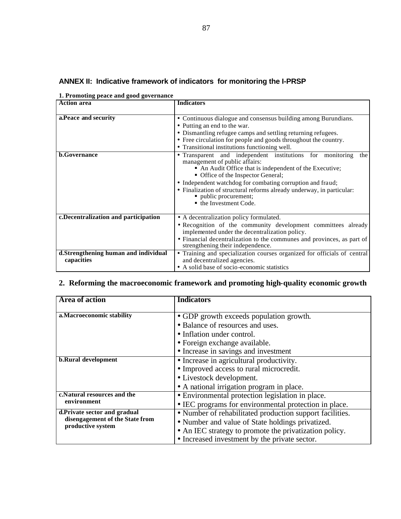| 11110 november 1000 to 1000 post-centure<br><b>Action area</b> | <b>Indicators</b>                                                                                                                                                                                                                                                                                                                                                                          |
|----------------------------------------------------------------|--------------------------------------------------------------------------------------------------------------------------------------------------------------------------------------------------------------------------------------------------------------------------------------------------------------------------------------------------------------------------------------------|
|                                                                |                                                                                                                                                                                                                                                                                                                                                                                            |
| a. Peace and security                                          | • Continuous dialogue and consensus building among Burundians.<br>• Putting an end to the war.<br>• Dismantling refugee camps and settling returning refugees.<br>• Free circulation for people and goods throughout the country.<br>• Transitional institutions functioning well.                                                                                                         |
| <b>b.Governance</b>                                            | • Transparent and independent institutions for monitoring<br>the<br>management of public affairs:<br>• An Audit Office that is independent of the Executive;<br>• Office of the Inspector General;<br>• Independent watchdog for combating corruption and fraud;<br>• Finalization of structural reforms already underway, in particular:<br>public procurement;<br>• the Investment Code. |
| c. Decentralization and participation                          | • A decentralization policy formulated.<br>• Recognition of the community development committees already<br>implemented under the decentralization policy.                                                                                                                                                                                                                                 |
|                                                                | • Financial decentralization to the communes and provinces, as part of<br>strengthening their independence.                                                                                                                                                                                                                                                                                |
| d.Strengthening human and individual<br>capacities             | • Training and specialization courses organized for officials of central<br>and decentralized agencies.<br>• A solid base of socio-economic statistics                                                                                                                                                                                                                                     |

# **ANNEX II: Indicative framework of indicators for monitoring the I-PRSP**

|  |  |  | 1. Promoting peace and good governance |  |
|--|--|--|----------------------------------------|--|
|--|--|--|----------------------------------------|--|

# **2. Reforming the macroeconomic framework and promoting high-quality economic growth**

| <b>Area of action</b>                                                                | <b>Indicators</b>                                        |
|--------------------------------------------------------------------------------------|----------------------------------------------------------|
|                                                                                      |                                                          |
| a. Macroeconomic stability                                                           | • GDP growth exceeds population growth.                  |
|                                                                                      | • Balance of resources and uses.                         |
|                                                                                      | • Inflation under control.                               |
|                                                                                      | • Foreign exchange available.                            |
|                                                                                      | • Increase in savings and investment                     |
| <b>b.Rural development</b>                                                           | • Increase in agricultural productivity.                 |
|                                                                                      | • Improved access to rural microcredit.                  |
|                                                                                      | • Livestock development.                                 |
|                                                                                      | • A national irrigation program in place.                |
| c.Natural resources and the<br>environment                                           | • Environmental protection legislation in place.         |
|                                                                                      | • IEC programs for environmental protection in place.    |
| d.Private sector and gradual<br>disengagement of the State from<br>productive system | • Number of rehabilitated production support facilities. |
|                                                                                      | • Number and value of State holdings privatized.         |
|                                                                                      | • An IEC strategy to promote the privatization policy.   |
|                                                                                      | • Increased investment by the private sector.            |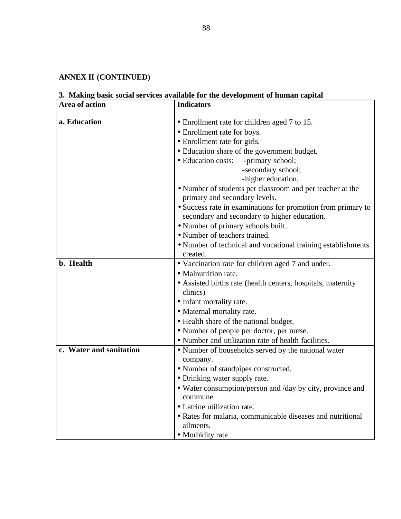# **ANNEX II (CONTINUED)**

# **3. Making basic social services available for the development of human capital**

| Area of action          | <b>Indicators</b>                                                                                            |
|-------------------------|--------------------------------------------------------------------------------------------------------------|
| a. Education            | • Enrollment rate for children aged 7 to 15.                                                                 |
|                         | • Enrollment rate for boys.                                                                                  |
|                         | • Enrollment rate for girls.                                                                                 |
|                         | · Education share of the government budget.                                                                  |
|                         | · Education costs:<br>-primary school;                                                                       |
|                         | -secondary school;                                                                                           |
|                         | -higher education.                                                                                           |
|                         | • Number of students per classroom and per teacher at the<br>primary and secondary levels.                   |
|                         | • Success rate in examinations for promotion from primary to<br>secondary and secondary to higher education. |
|                         | • Number of primary schools built.                                                                           |
|                         | • Number of teachers trained.                                                                                |
|                         | • Number of technical and vocational training establishments<br>created.                                     |
| b. Health               | • Vaccination rate for children aged 7 and under.                                                            |
|                         | • Malnutrition rate.                                                                                         |
|                         | • Assisted births rate (health centers, hospitals, maternity                                                 |
|                         | clinics)                                                                                                     |
|                         | • Infant mortality rate.                                                                                     |
|                         | • Maternal mortality rate.                                                                                   |
|                         | • Health share of the national budget.                                                                       |
|                         | • Number of people per doctor, per nurse.                                                                    |
|                         | • Number and utilization rate of health facilities.                                                          |
| c. Water and sanitation | • Number of households served by the national water                                                          |
|                         | company.                                                                                                     |
|                         | • Number of standpipes constructed.                                                                          |
|                         | • Drinking water supply rate.                                                                                |
|                         | • Water consumption/person and /day by city, province and<br>commune.                                        |
|                         | • Latrine utilization rate.                                                                                  |
|                         | • Rates for malaria, communicable diseases and nutritional                                                   |
|                         | ailments.                                                                                                    |
|                         | • Morbidity rate                                                                                             |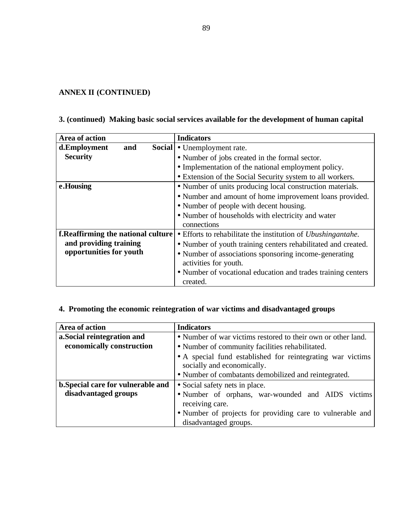# **ANNEX II (CONTINUED)**

# **3. (continued) Making basic social services available for the development of human capital**

| Area of action                             | <b>Indicators</b>                                                    |
|--------------------------------------------|----------------------------------------------------------------------|
| d.Employment<br>and                        | Social • Unemployment rate.                                          |
| <b>Security</b>                            | • Number of jobs created in the formal sector.                       |
|                                            | • Implementation of the national employment policy.                  |
|                                            | • Extension of the Social Security system to all workers.            |
| e.Housing                                  | • Number of units producing local construction materials.            |
|                                            | • Number and amount of home improvement loans provided.              |
|                                            | • Number of people with decent housing.                              |
|                                            | • Number of households with electricity and water                    |
|                                            | connections                                                          |
| <b>f. Reaffirming the national culture</b> | • Efforts to rehabilitate the institution of <i>Ubushingantahe</i> . |
| and providing training                     | • Number of youth training centers rehabilitated and created.        |
| opportunities for youth                    | • Number of associations sponsoring income-generating                |
|                                            | activities for youth.                                                |
|                                            | • Number of vocational education and trades training centers         |
|                                            | created.                                                             |

# **4. Promoting the economic reintegration of war victims and disadvantaged groups**

| Area of action                     | <b>Indicators</b>                                                                        |
|------------------------------------|------------------------------------------------------------------------------------------|
| a. Social reintegration and        | • Number of war victims restored to their own or other land.                             |
| economically construction          | • Number of community facilities rehabilitated.                                          |
|                                    | • A special fund established for reintegrating war victims<br>socially and economically. |
|                                    | • Number of combatants demobilized and reintegrated.                                     |
| b. Special care for vulnerable and | • Social safety nets in place.                                                           |
| disadvantaged groups               | • Number of orphans, war-wounded and AIDS victims                                        |
|                                    | receiving care.                                                                          |
|                                    | • Number of projects for providing care to vulnerable and                                |
|                                    | disadvantaged groups.                                                                    |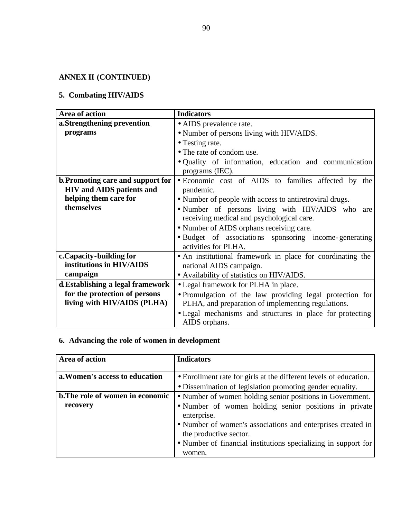# **ANNEX II (CONTINUED)**

# **5. Combating HIV/AIDS**

| Area of action                    | <b>Indicators</b>                                                          |
|-----------------------------------|----------------------------------------------------------------------------|
| a.Strengthening prevention        | • AIDS prevalence rate.                                                    |
| programs                          | • Number of persons living with HIV/AIDS.                                  |
|                                   | • Testing rate.                                                            |
|                                   | • The rate of condom use.                                                  |
|                                   | . Quality of information, education and communication<br>programs (IEC).   |
| b. Promoting care and support for | • Economic cost of AIDS to families affected by the                        |
| <b>HIV</b> and AIDS patients and  | pandemic.                                                                  |
| helping them care for             | • Number of people with access to antiretroviral drugs.                    |
| themselves                        | • Number of persons living with HIV/AIDS who are                           |
|                                   | receiving medical and psychological care.                                  |
|                                   | • Number of AIDS orphans receiving care.                                   |
|                                   | · Budget of associations sponsoring income-generating                      |
|                                   | activities for PLHA.                                                       |
| c. Capacity - building for        | • An institutional framework in place for coordinating the                 |
| institutions in HIV/AIDS          | national AIDS campaign.                                                    |
| campaign                          | • Availability of statistics on HIV/AIDS.                                  |
| d. Establishing a legal framework | • Legal framework for PLHA in place.                                       |
| for the protection of persons     | • Promulgation of the law providing legal protection for                   |
| living with HIV/AIDS (PLHA)       | PLHA, and preparation of implementing regulations.                         |
|                                   | • Legal mechanisms and structures in place for protecting<br>AIDS orphans. |

# **6. Advancing the role of women in development**

| Area of action                   | <b>Indicators</b>                                                                     |
|----------------------------------|---------------------------------------------------------------------------------------|
| a. Women's access to education   | • Enrollment rate for girls at the different levels of education.                     |
|                                  | • Dissemination of legislation promoting gender equality.                             |
| b. The role of women in economic | • Number of women holding senior positions in Government.                             |
| recovery                         | • Number of women holding senior positions in private<br>enterprise.                  |
|                                  | • Number of women's associations and enterprises created in<br>the productive sector. |
|                                  | • Number of financial institutions specializing in support for<br>women.              |